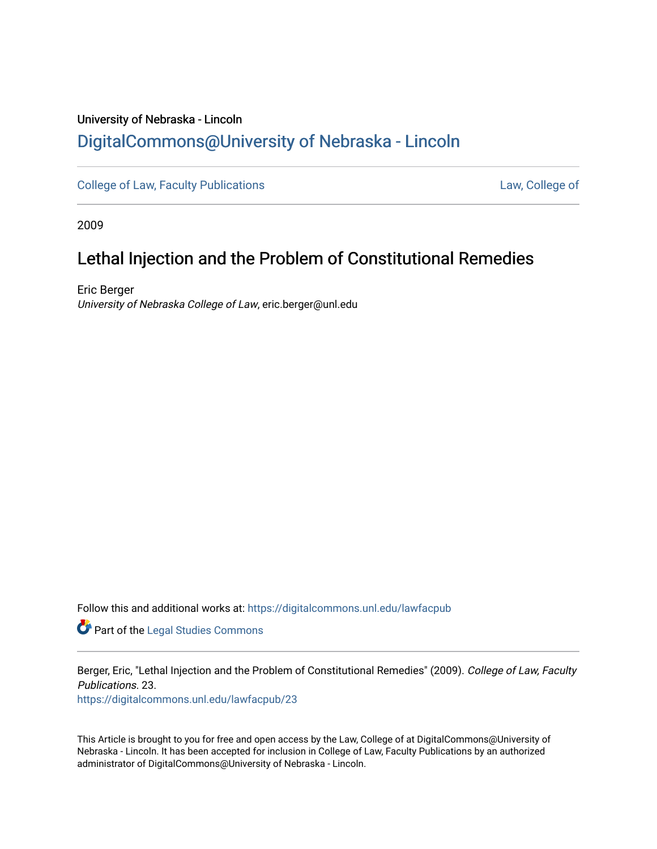## University of Nebraska - Lincoln [DigitalCommons@University of Nebraska - Lincoln](https://digitalcommons.unl.edu/)

[College of Law, Faculty Publications](https://digitalcommons.unl.edu/lawfacpub) **[Law, College of](https://digitalcommons.unl.edu/law) Law, College of** 

2009

## Lethal Injection and the Problem of Constitutional Remedies

Eric Berger University of Nebraska College of Law, eric.berger@unl.edu

Follow this and additional works at: [https://digitalcommons.unl.edu/lawfacpub](https://digitalcommons.unl.edu/lawfacpub?utm_source=digitalcommons.unl.edu%2Flawfacpub%2F23&utm_medium=PDF&utm_campaign=PDFCoverPages) 

Part of the [Legal Studies Commons](http://network.bepress.com/hgg/discipline/366?utm_source=digitalcommons.unl.edu%2Flawfacpub%2F23&utm_medium=PDF&utm_campaign=PDFCoverPages) 

Berger, Eric, "Lethal Injection and the Problem of Constitutional Remedies" (2009). College of Law, Faculty Publications. 23.

[https://digitalcommons.unl.edu/lawfacpub/23](https://digitalcommons.unl.edu/lawfacpub/23?utm_source=digitalcommons.unl.edu%2Flawfacpub%2F23&utm_medium=PDF&utm_campaign=PDFCoverPages)

This Article is brought to you for free and open access by the Law, College of at DigitalCommons@University of Nebraska - Lincoln. It has been accepted for inclusion in College of Law, Faculty Publications by an authorized administrator of DigitalCommons@University of Nebraska - Lincoln.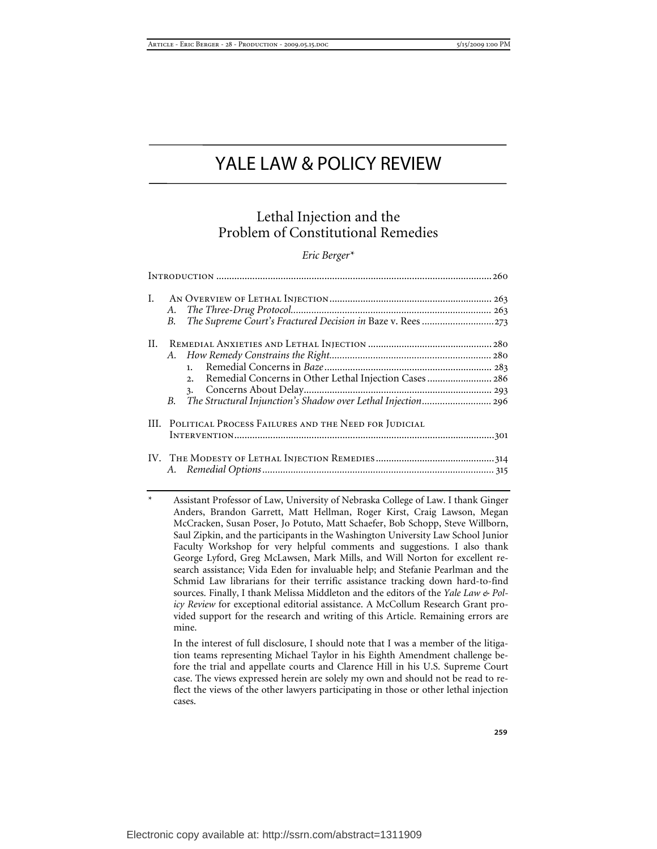# YALE LAW & POLICY REVIEW

## Lethal Injection and the Problem of Constitutional Remedies

### *Eric Berger\**

| 2. Remedial Concerns in Other Lethal Injection Cases  286 |  |
|-----------------------------------------------------------|--|
| III. POLITICAL PROCESS FAILURES AND THE NEED FOR JUDICIAL |  |
|                                                           |  |

\* Assistant Professor of Law, University of Nebraska College of Law. I thank Ginger Anders, Brandon Garrett, Matt Hellman, Roger Kirst, Craig Lawson, Megan McCracken, Susan Poser, Jo Potuto, Matt Schaefer, Bob Schopp, Steve Willborn, Saul Zipkin, and the participants in the Washington University Law School Junior Faculty Workshop for very helpful comments and suggestions. I also thank George Lyford, Greg McLawsen, Mark Mills, and Will Norton for excellent research assistance; Vida Eden for invaluable help; and Stefanie Pearlman and the Schmid Law librarians for their terrific assistance tracking down hard-to-find sources. Finally, I thank Melissa Middleton and the editors of the *Yale Law & Policy Review* for exceptional editorial assistance. A McCollum Research Grant provided support for the research and writing of this Article. Remaining errors are mine.

 In the interest of full disclosure, I should note that I was a member of the litigation teams representing Michael Taylor in his Eighth Amendment challenge before the trial and appellate courts and Clarence Hill in his U.S. Supreme Court case. The views expressed herein are solely my own and should not be read to reflect the views of the other lawyers participating in those or other lethal injection cases.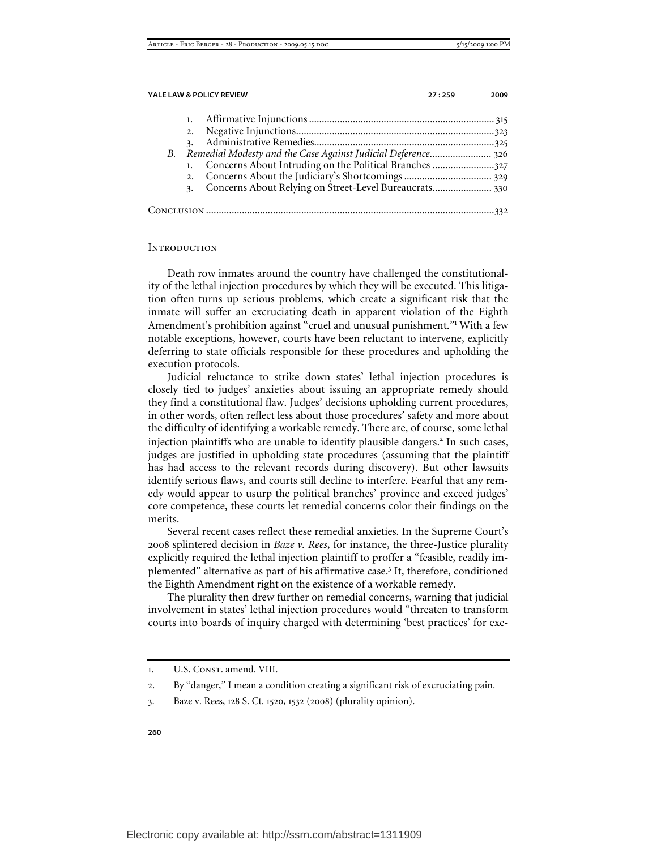| B. | Remedial Modesty and the Case Against Judicial Deference 326 |  |
|----|--------------------------------------------------------------|--|
|    |                                                              |  |
|    |                                                              |  |
|    |                                                              |  |
|    |                                                              |  |
|    |                                                              |  |

#### **INTRODUCTION**

Death row inmates around the country have challenged the constitutionality of the lethal injection procedures by which they will be executed. This litigation often turns up serious problems, which create a significant risk that the inmate will suffer an excruciating death in apparent violation of the Eighth Amendment's prohibition against "cruel and unusual punishment."<sup>1</sup> With a few notable exceptions, however, courts have been reluctant to intervene, explicitly deferring to state officials responsible for these procedures and upholding the execution protocols.

Judicial reluctance to strike down states' lethal injection procedures is closely tied to judges' anxieties about issuing an appropriate remedy should they find a constitutional flaw. Judges' decisions upholding current procedures, in other words, often reflect less about those procedures' safety and more about the difficulty of identifying a workable remedy. There are, of course, some lethal injection plaintiffs who are unable to identify plausible dangers.<sup>2</sup> In such cases, judges are justified in upholding state procedures (assuming that the plaintiff has had access to the relevant records during discovery). But other lawsuits identify serious flaws, and courts still decline to interfere. Fearful that any remedy would appear to usurp the political branches' province and exceed judges' core competence, these courts let remedial concerns color their findings on the merits.

Several recent cases reflect these remedial anxieties. In the Supreme Court's 2008 splintered decision in *Baze v. Rees*, for instance, the three-Justice plurality explicitly required the lethal injection plaintiff to proffer a "feasible, readily implemented" alternative as part of his affirmative case.<sup>3</sup> It, therefore, conditioned the Eighth Amendment right on the existence of a workable remedy.

The plurality then drew further on remedial concerns, warning that judicial involvement in states' lethal injection procedures would "threaten to transform courts into boards of inquiry charged with determining 'best practices' for exe-

2. By "danger," I mean a condition creating a significant risk of excruciating pain.

<sup>1</sup>. U.S. Const. amend. VIII.

<sup>3</sup>. Baze v. Rees, 128 S. Ct. 1520, 1532 (2008) (plurality opinion).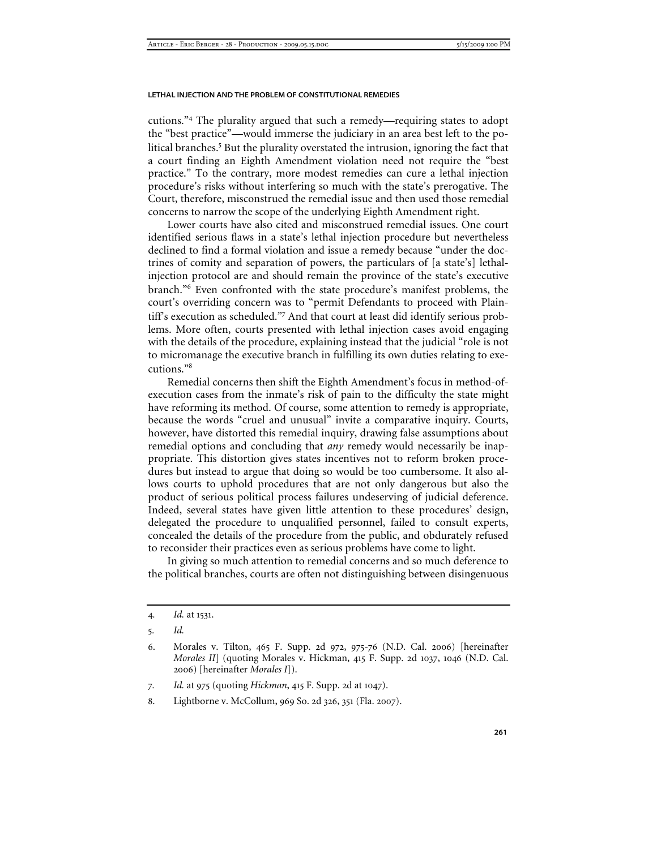cutions."<sup>4</sup> The plurality argued that such a remedy—requiring states to adopt the "best practice"—would immerse the judiciary in an area best left to the political branches.<sup>5</sup> But the plurality overstated the intrusion, ignoring the fact that a court finding an Eighth Amendment violation need not require the "best practice." To the contrary, more modest remedies can cure a lethal injection procedure's risks without interfering so much with the state's prerogative. The Court, therefore, misconstrued the remedial issue and then used those remedial concerns to narrow the scope of the underlying Eighth Amendment right.

Lower courts have also cited and misconstrued remedial issues. One court identified serious flaws in a state's lethal injection procedure but nevertheless declined to find a formal violation and issue a remedy because "under the doctrines of comity and separation of powers, the particulars of [a state's] lethalinjection protocol are and should remain the province of the state's executive branch."<sup>6</sup> Even confronted with the state procedure's manifest problems, the court's overriding concern was to "permit Defendants to proceed with Plaintiff's execution as scheduled."7 And that court at least did identify serious problems. More often, courts presented with lethal injection cases avoid engaging with the details of the procedure, explaining instead that the judicial "role is not to micromanage the executive branch in fulfilling its own duties relating to executions."<sup>8</sup>

Remedial concerns then shift the Eighth Amendment's focus in method-ofexecution cases from the inmate's risk of pain to the difficulty the state might have reforming its method. Of course, some attention to remedy is appropriate, because the words "cruel and unusual" invite a comparative inquiry. Courts, however, have distorted this remedial inquiry, drawing false assumptions about remedial options and concluding that *any* remedy would necessarily be inappropriate. This distortion gives states incentives not to reform broken procedures but instead to argue that doing so would be too cumbersome. It also allows courts to uphold procedures that are not only dangerous but also the product of serious political process failures undeserving of judicial deference. Indeed, several states have given little attention to these procedures' design, delegated the procedure to unqualified personnel, failed to consult experts, concealed the details of the procedure from the public, and obdurately refused to reconsider their practices even as serious problems have come to light.

In giving so much attention to remedial concerns and so much deference to the political branches, courts are often not distinguishing between disingenuous

- 7*. Id.* at 975 (quoting *Hickman*, 415 F. Supp. 2d at 1047).
- 8. Lightborne v. McCollum, 969 So. 2d 326, 351 (Fla. 2007).

<sup>4</sup>*. Id.* at 1531.

<sup>5</sup>*. Id.*

<sup>6</sup>. Morales v. Tilton, 465 F. Supp. 2d 972, 975-76 (N.D. Cal. 2006) [hereinafter *Morales II*] (quoting Morales v. Hickman, 415 F. Supp. 2d 1037, 1046 (N.D. Cal. 2006) [hereinafter *Morales I*]).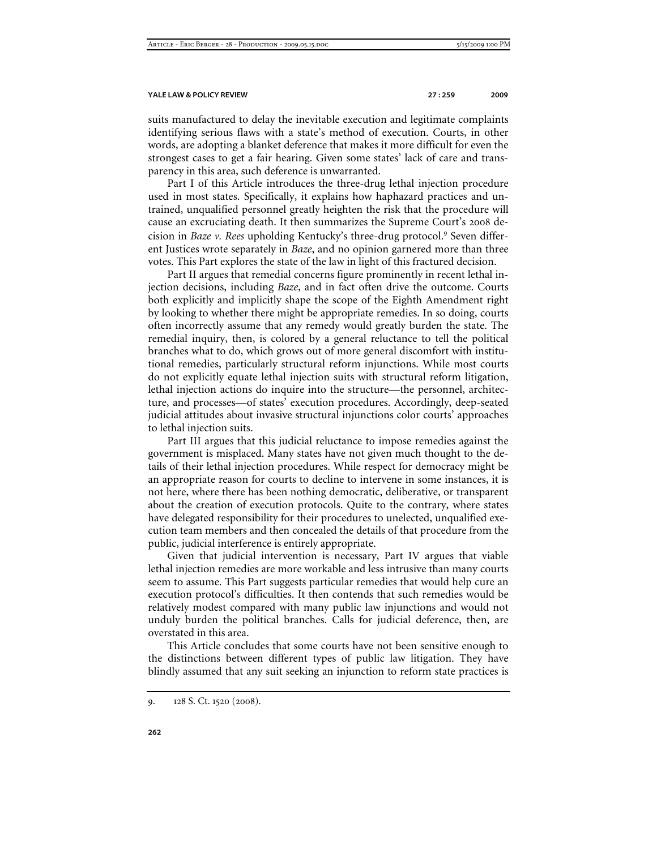suits manufactured to delay the inevitable execution and legitimate complaints identifying serious flaws with a state's method of execution. Courts, in other words, are adopting a blanket deference that makes it more difficult for even the strongest cases to get a fair hearing. Given some states' lack of care and transparency in this area, such deference is unwarranted.

Part I of this Article introduces the three-drug lethal injection procedure used in most states. Specifically, it explains how haphazard practices and untrained, unqualified personnel greatly heighten the risk that the procedure will cause an excruciating death. It then summarizes the Supreme Court's 2008 decision in *Baze v. Rees* upholding Kentucky's three-drug protocol.<sup>9</sup> Seven different Justices wrote separately in *Baze*, and no opinion garnered more than three votes. This Part explores the state of the law in light of this fractured decision.

Part II argues that remedial concerns figure prominently in recent lethal injection decisions, including *Baze*, and in fact often drive the outcome. Courts both explicitly and implicitly shape the scope of the Eighth Amendment right by looking to whether there might be appropriate remedies. In so doing, courts often incorrectly assume that any remedy would greatly burden the state. The remedial inquiry, then, is colored by a general reluctance to tell the political branches what to do, which grows out of more general discomfort with institutional remedies, particularly structural reform injunctions. While most courts do not explicitly equate lethal injection suits with structural reform litigation, lethal injection actions do inquire into the structure—the personnel, architecture, and processes—of states' execution procedures. Accordingly, deep-seated judicial attitudes about invasive structural injunctions color courts' approaches to lethal injection suits.

Part III argues that this judicial reluctance to impose remedies against the government is misplaced. Many states have not given much thought to the details of their lethal injection procedures. While respect for democracy might be an appropriate reason for courts to decline to intervene in some instances, it is not here, where there has been nothing democratic, deliberative, or transparent about the creation of execution protocols. Quite to the contrary, where states have delegated responsibility for their procedures to unelected, unqualified execution team members and then concealed the details of that procedure from the public, judicial interference is entirely appropriate.

Given that judicial intervention is necessary, Part IV argues that viable lethal injection remedies are more workable and less intrusive than many courts seem to assume. This Part suggests particular remedies that would help cure an execution protocol's difficulties. It then contends that such remedies would be relatively modest compared with many public law injunctions and would not unduly burden the political branches. Calls for judicial deference, then, are overstated in this area.

This Article concludes that some courts have not been sensitive enough to the distinctions between different types of public law litigation. They have blindly assumed that any suit seeking an injunction to reform state practices is

<sup>9</sup>. 128 S. Ct. 1520 (2008).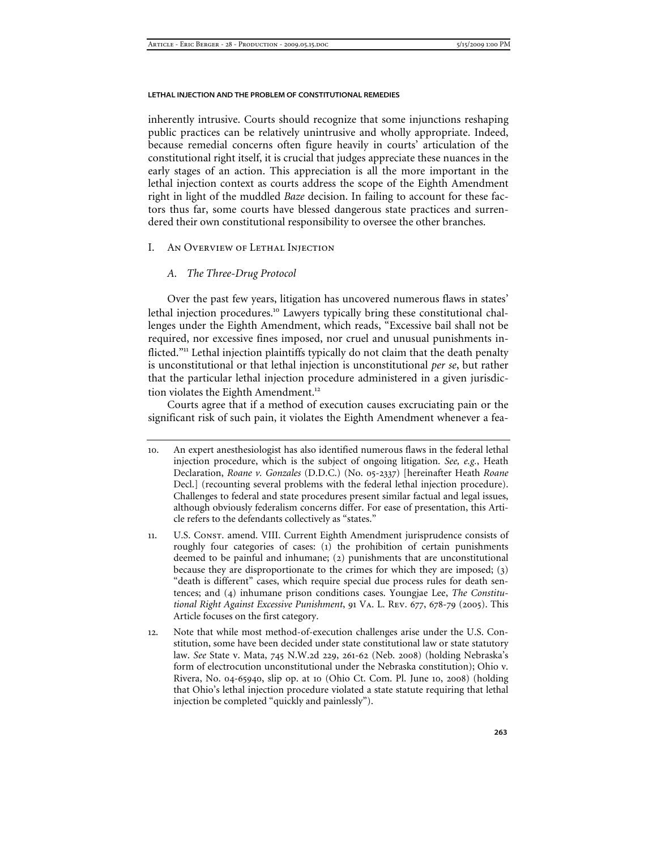#### **LETHAL INJECTION AND THE PROBLEM OF CONSTITUTIONAL REMEDIES**

inherently intrusive. Courts should recognize that some injunctions reshaping public practices can be relatively unintrusive and wholly appropriate. Indeed, because remedial concerns often figure heavily in courts' articulation of the constitutional right itself, it is crucial that judges appreciate these nuances in the early stages of an action. This appreciation is all the more important in the lethal injection context as courts address the scope of the Eighth Amendment right in light of the muddled *Baze* decision. In failing to account for these factors thus far, some courts have blessed dangerous state practices and surrendered their own constitutional responsibility to oversee the other branches.

## I. An Overview of Lethal Injection

## *A. The Three-Drug Protocol*

Over the past few years, litigation has uncovered numerous flaws in states' lethal injection procedures.<sup>10</sup> Lawyers typically bring these constitutional challenges under the Eighth Amendment, which reads, "Excessive bail shall not be required, nor excessive fines imposed, nor cruel and unusual punishments inflicted."<sup>11</sup> Lethal injection plaintiffs typically do not claim that the death penalty is unconstitutional or that lethal injection is unconstitutional *per se*, but rather that the particular lethal injection procedure administered in a given jurisdiction violates the Eighth Amendment.<sup>12</sup>

Courts agree that if a method of execution causes excruciating pain or the significant risk of such pain, it violates the Eighth Amendment whenever a fea-

- 11. U.S. Const. amend. VIII. Current Eighth Amendment jurisprudence consists of roughly four categories of cases: (1) the prohibition of certain punishments deemed to be painful and inhumane; (2) punishments that are unconstitutional because they are disproportionate to the crimes for which they are imposed; (3) "death is different" cases, which require special due process rules for death sentences; and (4) inhumane prison conditions cases. Youngjae Lee, *The Constitutional Right Against Excessive Punishment*, 91 Va. L. Rev. 677, 678-79 (2005). This Article focuses on the first category.
- 12. Note that while most method-of-execution challenges arise under the U.S. Constitution, some have been decided under state constitutional law or state statutory law. *See* State v. Mata, 745 N.W.2d 229, 261-62 (Neb. 2008) (holding Nebraska's form of electrocution unconstitutional under the Nebraska constitution); Ohio v. Rivera, No. 04-65940, slip op. at 10 (Ohio Ct. Com. Pl. June 10, 2008) (holding that Ohio's lethal injection procedure violated a state statute requiring that lethal injection be completed "quickly and painlessly").

<sup>10</sup>. An expert anesthesiologist has also identified numerous flaws in the federal lethal injection procedure, which is the subject of ongoing litigation. *See, e.g.*, Heath Declaration, *Roane v. Gonzales* (D.D.C.) (No. 05-2337) [hereinafter Heath *Roane*  Decl.] (recounting several problems with the federal lethal injection procedure). Challenges to federal and state procedures present similar factual and legal issues, although obviously federalism concerns differ. For ease of presentation, this Article refers to the defendants collectively as "states."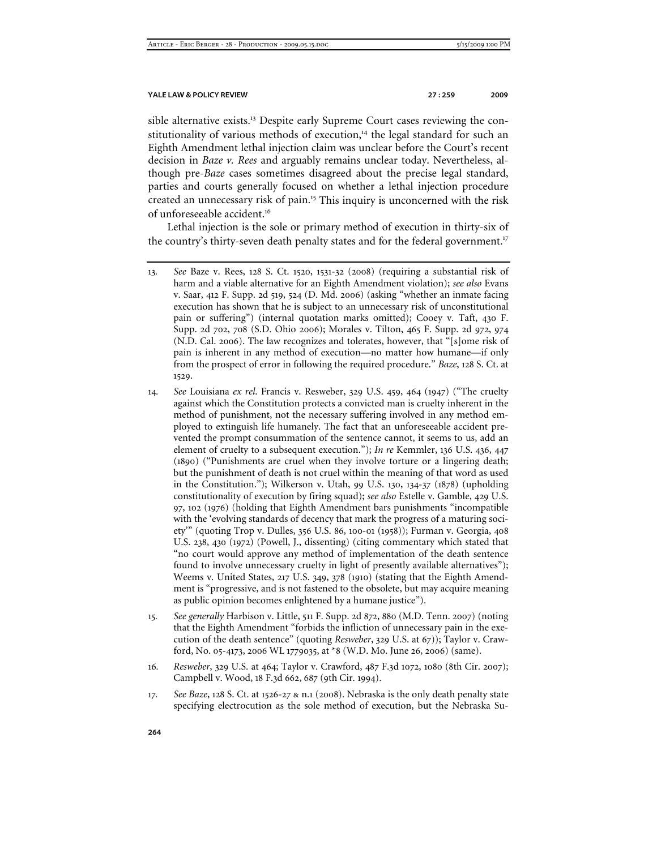sible alternative exists.<sup>13</sup> Despite early Supreme Court cases reviewing the constitutionality of various methods of execution,<sup>14</sup> the legal standard for such an Eighth Amendment lethal injection claim was unclear before the Court's recent decision in *Baze v. Rees* and arguably remains unclear today. Nevertheless, although pre-*Baze* cases sometimes disagreed about the precise legal standard, parties and courts generally focused on whether a lethal injection procedure created an unnecessary risk of pain.<sup>15</sup> This inquiry is unconcerned with the risk of unforeseeable accident.<sup>16</sup>

Lethal injection is the sole or primary method of execution in thirty-six of the country's thirty-seven death penalty states and for the federal government.<sup>17</sup>

- 13*. See* Baze v. Rees, 128 S. Ct. 1520, 1531-32 (2008) (requiring a substantial risk of harm and a viable alternative for an Eighth Amendment violation); *see also* Evans v. Saar, 412 F. Supp. 2d 519, 524 (D. Md. 2006) (asking "whether an inmate facing execution has shown that he is subject to an unnecessary risk of unconstitutional pain or suffering") (internal quotation marks omitted); Cooey v. Taft, 430 F. Supp. 2d 702, 708 (S.D. Ohio 2006); Morales v. Tilton, 465 F. Supp. 2d 972, 974 (N.D. Cal. 2006). The law recognizes and tolerates, however, that "[s]ome risk of pain is inherent in any method of execution—no matter how humane—if only from the prospect of error in following the required procedure." *Baze*, 128 S. Ct. at 1529.
- 14*. See* Louisiana *ex rel*. Francis v. Resweber, 329 U.S. 459, 464 (1947) ("The cruelty against which the Constitution protects a convicted man is cruelty inherent in the method of punishment, not the necessary suffering involved in any method employed to extinguish life humanely. The fact that an unforeseeable accident prevented the prompt consummation of the sentence cannot, it seems to us, add an element of cruelty to a subsequent execution."); *In re* Kemmler, 136 U.S. 436, 447 (1890) ("Punishments are cruel when they involve torture or a lingering death; but the punishment of death is not cruel within the meaning of that word as used in the Constitution."); Wilkerson v. Utah, 99 U.S. 130, 134-37 (1878) (upholding constitutionality of execution by firing squad); *see also* Estelle v. Gamble, 429 U.S. 97, 102 (1976) (holding that Eighth Amendment bars punishments "incompatible with the 'evolving standards of decency that mark the progress of a maturing society'" (quoting Trop v. Dulles, 356 U.S. 86, 100-01 (1958)); Furman v. Georgia, 408 U.S. 238, 430 (1972) (Powell, J., dissenting) (citing commentary which stated that "no court would approve any method of implementation of the death sentence found to involve unnecessary cruelty in light of presently available alternatives"); Weems v. United States, 217 U.S. 349, 378 (1910) (stating that the Eighth Amendment is "progressive, and is not fastened to the obsolete, but may acquire meaning as public opinion becomes enlightened by a humane justice").
- 15*. See generally* Harbison v. Little, 511 F. Supp. 2d 872, 880 (M.D. Tenn. 2007) (noting that the Eighth Amendment "forbids the infliction of unnecessary pain in the execution of the death sentence" (quoting *Resweber*, 329 U.S. at 67)); Taylor v. Crawford, No. 05-4173, 2006 WL 1779035, at \*8 (W.D. Mo. June 26, 2006) (same).
- 16*. Resweber*, 329 U.S. at 464; Taylor v. Crawford, 487 F.3d 1072, 1080 (8th Cir. 2007); Campbell v. Wood, 18 F.3d 662, 687 (9th Cir. 1994).
- 17*. See Baze*, 128 S. Ct. at 1526-27 & n.1 (2008). Nebraska is the only death penalty state specifying electrocution as the sole method of execution, but the Nebraska Su-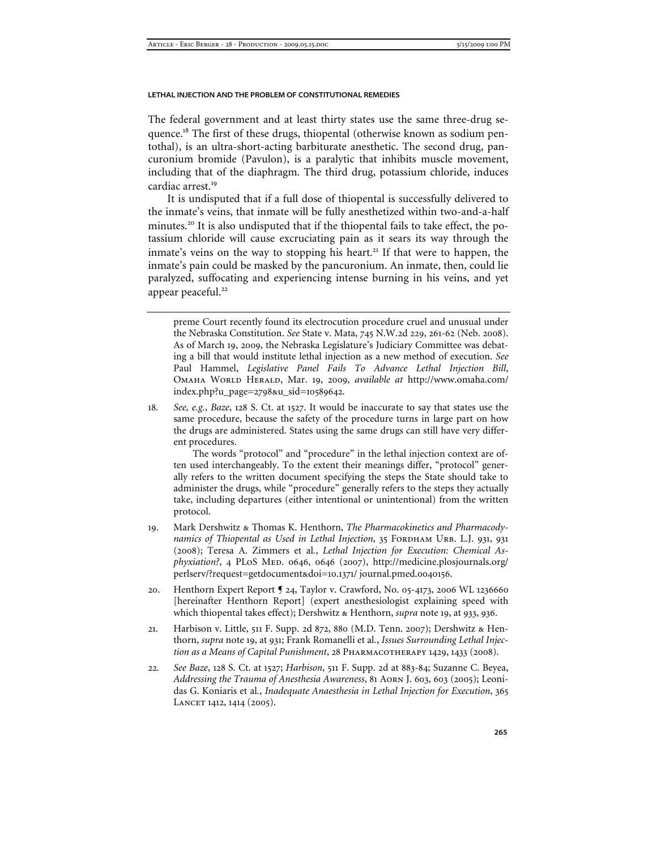#### **LETHAL INJECTION AND THE PROBLEM OF CONSTITUTIONAL REMEDIES**

The federal government and at least thirty states use the same three-drug sequence.<sup>18</sup> The first of these drugs, thiopental (otherwise known as sodium pentothal), is an ultra-short-acting barbiturate anesthetic. The second drug, pancuronium bromide (Pavulon), is a paralytic that inhibits muscle movement, including that of the diaphragm. The third drug, potassium chloride, induces cardiac arrest.<sup>19</sup>

It is undisputed that if a full dose of thiopental is successfully delivered to the inmate's veins, that inmate will be fully anesthetized within two-and-a-half minutes.<sup>20</sup> It is also undisputed that if the thiopental fails to take effect, the potassium chloride will cause excruciating pain as it sears its way through the inmate's veins on the way to stopping his heart.<sup>21</sup> If that were to happen, the inmate's pain could be masked by the pancuronium. An inmate, then, could lie paralyzed, suffocating and experiencing intense burning in his veins, and yet appear peaceful.<sup>22</sup>

preme Court recently found its electrocution procedure cruel and unusual under the Nebraska Constitution. *See* State v. Mata, 745 N.W.2d 229, 261-62 (Neb. 2008). As of March 19, 2009, the Nebraska Legislature's Judiciary Committee was debating a bill that would institute lethal injection as a new method of execution. *See* Paul Hammel, *Legislative Panel Fails To Advance Lethal Injection Bill*, Omaha World Herald, Mar. 19, 2009, *available at* http://www.omaha.com/ index.php?u\_page=2798&u\_sid=10589642.

18*. See, e.g.*, *Baze*, 128 S. Ct. at 1527. It would be inaccurate to say that states use the same procedure, because the safety of the procedure turns in large part on how the drugs are administered. States using the same drugs can still have very different procedures.

 The words "protocol" and "procedure" in the lethal injection context are often used interchangeably. To the extent their meanings differ, "protocol" generally refers to the written document specifying the steps the State should take to administer the drugs, while "procedure" generally refers to the steps they actually take, including departures (either intentional or unintentional) from the written protocol.

- 19. Mark Dershwitz & Thomas K. Henthorn, *The Pharmacokinetics and Pharmacody*namics of Thiopental as Used in Lethal Injection, 35 FORDHAM URB. L.J. 931, 931 (2008); Teresa A. Zimmers et al*.*, *Lethal Injection for Execution: Chemical As*phyxiation?, 4 PLoS MED. 0646, 0646 (2007), http://medicine.plosjournals.org/ perlserv/?request=getdocument&doi=10.1371/ journal.pmed.0040156.
- 20. Henthorn Expert Report ¶ 24, Taylor v. Crawford, No. 05-4173, 2006 WL 1236660 [hereinafter Henthorn Report] (expert anesthesiologist explaining speed with which thiopental takes effect); Dershwitz & Henthorn, *supra* note 19, at 933, 936.
- 21*.* Harbison v. Little, 511 F. Supp. 2d 872, 880 (M.D. Tenn. 2007); Dershwitz & Henthorn, *supra* note 19, at 931; Frank Romanelli et al*.*, *Issues Surrounding Lethal Injection as a Means of Capital Punishment*, 28 Pharmacotherapy 1429, 1433 (2008).
- 22*. See Baze*, 128 S. Ct. at 1527; *Harbison*, 511 F. Supp. 2d at 883-84; Suzanne C. Beyea, *Addressing the Trauma of Anesthesia Awareness*, 81 Aorn J. 603, 603 (2005); Leonidas G. Koniaris et al*.*, *Inadequate Anaesthesia in Lethal Injection for Execution*, 365 LANCET 1412, 1414 (2005).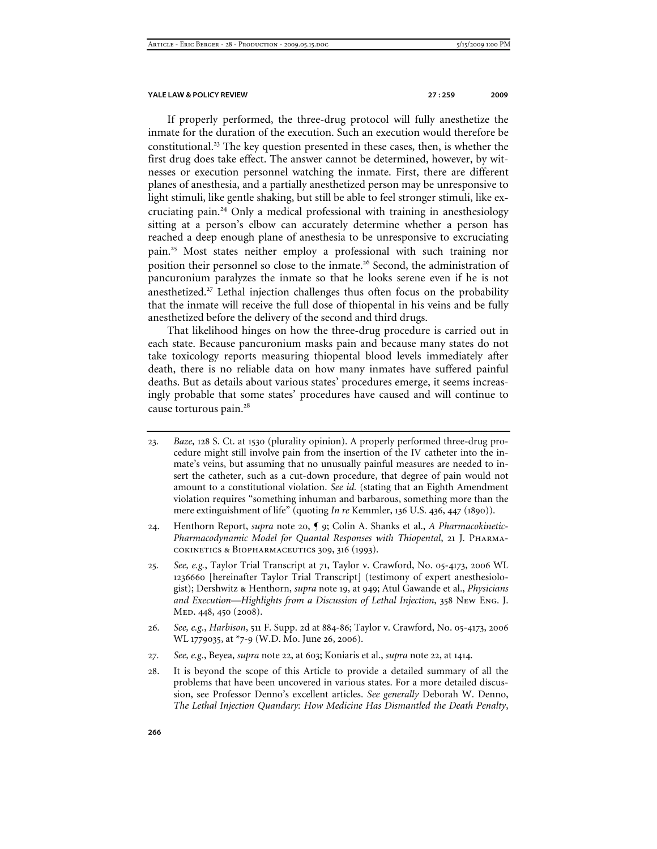If properly performed, the three-drug protocol will fully anesthetize the inmate for the duration of the execution. Such an execution would therefore be constitutional.<sup>23</sup> The key question presented in these cases, then, is whether the first drug does take effect. The answer cannot be determined, however, by witnesses or execution personnel watching the inmate. First, there are different planes of anesthesia, and a partially anesthetized person may be unresponsive to light stimuli, like gentle shaking, but still be able to feel stronger stimuli, like excruciating pain.<sup>24</sup> Only a medical professional with training in anesthesiology sitting at a person's elbow can accurately determine whether a person has reached a deep enough plane of anesthesia to be unresponsive to excruciating pain.<sup>25</sup> Most states neither employ a professional with such training nor position their personnel so close to the inmate.<sup>26</sup> Second, the administration of pancuronium paralyzes the inmate so that he looks serene even if he is not anesthetized.<sup>27</sup> Lethal injection challenges thus often focus on the probability that the inmate will receive the full dose of thiopental in his veins and be fully anesthetized before the delivery of the second and third drugs.

That likelihood hinges on how the three-drug procedure is carried out in each state. Because pancuronium masks pain and because many states do not take toxicology reports measuring thiopental blood levels immediately after death, there is no reliable data on how many inmates have suffered painful deaths. But as details about various states' procedures emerge, it seems increasingly probable that some states' procedures have caused and will continue to cause torturous pain.<sup>28</sup>

- 23*. Baze*, 128 S. Ct. at 1530 (plurality opinion). A properly performed three-drug procedure might still involve pain from the insertion of the IV catheter into the inmate's veins, but assuming that no unusually painful measures are needed to insert the catheter, such as a cut-down procedure, that degree of pain would not amount to a constitutional violation. *See id.* (stating that an Eighth Amendment violation requires "something inhuman and barbarous, something more than the mere extinguishment of life" (quoting *In re* Kemmler, 136 U.S. 436, 447 (1890)).
- 24. Henthorn Report, *supra* note 20, ¶ 9; Colin A. Shanks et al., *A Pharmacokinetic-Pharmacodynamic Model for Quantal Responses with Thiopental*, 21 J. Pharmacokinetics & Biopharmaceutics 309, 316 (1993).
- 25*. See, e.g.*, Taylor Trial Transcript at 71, Taylor v. Crawford, No. 05-4173, 2006 WL 1236660 [hereinafter Taylor Trial Transcript] (testimony of expert anesthesiologist); Dershwitz & Henthorn, *supra* note 19, at 949; Atul Gawande et al., *Physicians and Execution—Highlights from a Discussion of Lethal Injection*, 358 New Eng. J. MED. 448, 450 (2008).
- 26*. See, e.g.*, *Harbison*, 511 F. Supp. 2d at 884-86; Taylor v. Crawford, No. 05-4173, 2006 WL 1779035, at \*7-9 (W.D. Mo. June 26, 2006).
- 27*. See, e.g.*, Beyea, *supra* note 22, at 603; Koniaris et al., *supra* note 22, at 1414.
- 28. It is beyond the scope of this Article to provide a detailed summary of all the problems that have been uncovered in various states. For a more detailed discussion, see Professor Denno's excellent articles. *See generally* Deborah W. Denno, *The Lethal Injection Quandary: How Medicine Has Dismantled the Death Penalty*,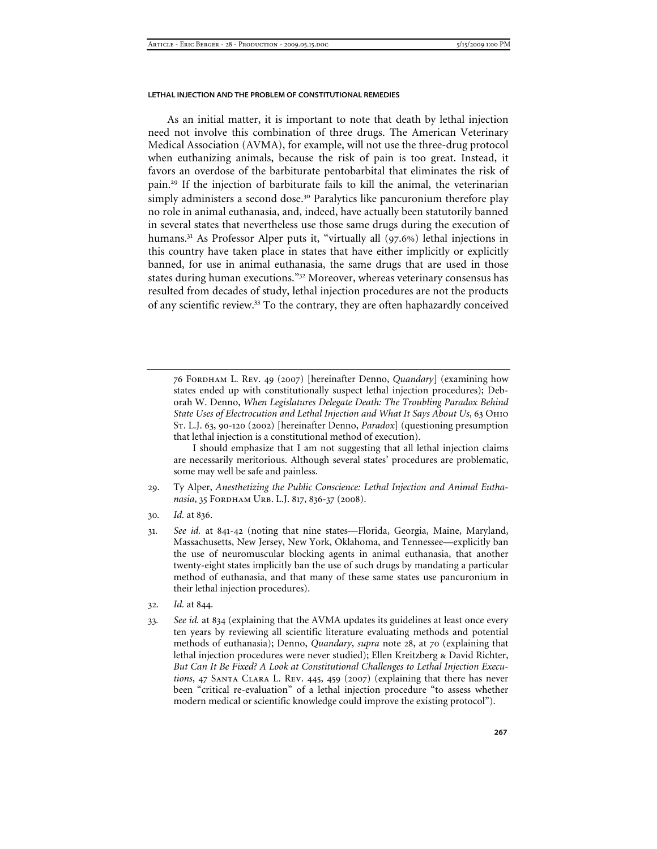#### **LETHAL INJECTION AND THE PROBLEM OF CONSTITUTIONAL REMEDIES**

As an initial matter, it is important to note that death by lethal injection need not involve this combination of three drugs. The American Veterinary Medical Association (AVMA), for example, will not use the three-drug protocol when euthanizing animals, because the risk of pain is too great. Instead, it favors an overdose of the barbiturate pentobarbital that eliminates the risk of pain.<sup>29</sup> If the injection of barbiturate fails to kill the animal, the veterinarian simply administers a second dose.<sup>30</sup> Paralytics like pancuronium therefore play no role in animal euthanasia, and, indeed, have actually been statutorily banned in several states that nevertheless use those same drugs during the execution of humans.<sup>31</sup> As Professor Alper puts it, "virtually all (97.6%) lethal injections in this country have taken place in states that have either implicitly or explicitly banned, for use in animal euthanasia, the same drugs that are used in those states during human executions."<sup>32</sup> Moreover, whereas veterinary consensus has resulted from decades of study, lethal injection procedures are not the products of any scientific review.<sup>33</sup> To the contrary, they are often haphazardly conceived

76 Fordham L. Rev. 49 (2007) [hereinafter Denno, *Quandary*] (examining how states ended up with constitutionally suspect lethal injection procedures); Deborah W. Denno, *When Legislatures Delegate Death: The Troubling Paradox Behind State Uses of Electrocution and Lethal Injection and What It Says About Us*, 63 Ohio St. L.J. 63, 90-120 (2002) [hereinafter Denno, *Paradox*] (questioning presumption that lethal injection is a constitutional method of execution).

 I should emphasize that I am not suggesting that all lethal injection claims are necessarily meritorious. Although several states' procedures are problematic, some may well be safe and painless.

- 29. Ty Alper, *Anesthetizing the Public Conscience: Lethal Injection and Animal Euthanasia*, 35 Fordham Urb. L.J. 817, 836-37 (2008).
- 30*. Id.* at 836.
- 31*. See id.* at 841-42 (noting that nine states—Florida, Georgia, Maine, Maryland, Massachusetts, New Jersey, New York, Oklahoma, and Tennessee—explicitly ban the use of neuromuscular blocking agents in animal euthanasia, that another twenty-eight states implicitly ban the use of such drugs by mandating a particular method of euthanasia, and that many of these same states use pancuronium in their lethal injection procedures).
- 32*. Id.* at 844.
- 33*. See id.* at 834 (explaining that the AVMA updates its guidelines at least once every ten years by reviewing all scientific literature evaluating methods and potential methods of euthanasia); Denno, *Quandary*, *supra* note 28, at 70 (explaining that lethal injection procedures were never studied); Ellen Kreitzberg & David Richter, *But Can It Be Fixed? A Look at Constitutional Challenges to Lethal Injection Executions*, 47 Santa Clara L. Rev. 445, 459 (2007) (explaining that there has never been "critical re-evaluation" of a lethal injection procedure "to assess whether modern medical or scientific knowledge could improve the existing protocol").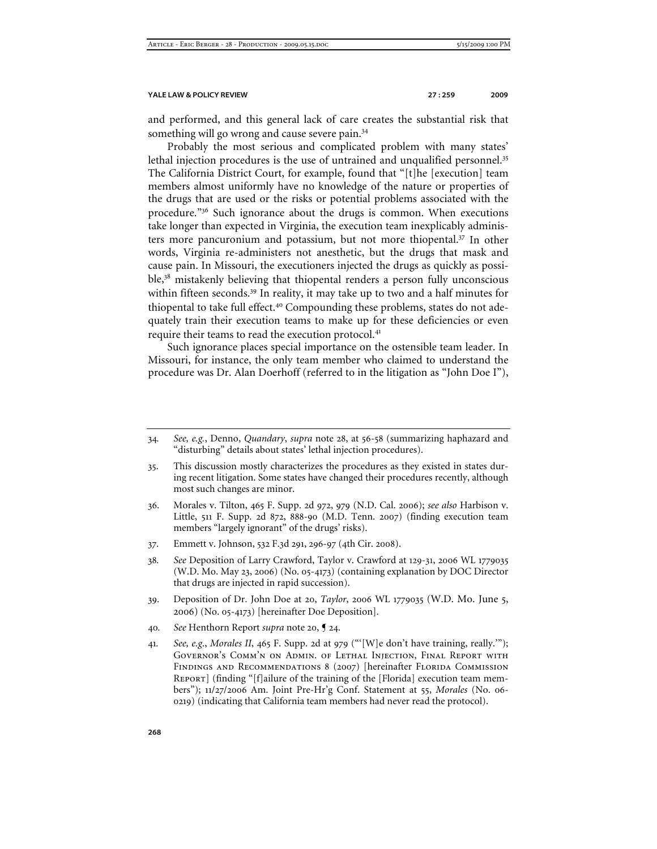and performed, and this general lack of care creates the substantial risk that something will go wrong and cause severe pain.<sup>34</sup>

Probably the most serious and complicated problem with many states' lethal injection procedures is the use of untrained and unqualified personnel.<sup>35</sup> The California District Court, for example, found that "[t]he [execution] team members almost uniformly have no knowledge of the nature or properties of the drugs that are used or the risks or potential problems associated with the procedure."<sup>36</sup> Such ignorance about the drugs is common. When executions take longer than expected in Virginia, the execution team inexplicably administers more pancuronium and potassium, but not more thiopental.<sup>37</sup> In other words, Virginia re-administers not anesthetic, but the drugs that mask and cause pain. In Missouri, the executioners injected the drugs as quickly as possible,<sup>38</sup> mistakenly believing that thiopental renders a person fully unconscious within fifteen seconds.<sup>39</sup> In reality, it may take up to two and a half minutes for thiopental to take full effect.<sup>40</sup> Compounding these problems, states do not adequately train their execution teams to make up for these deficiencies or even require their teams to read the execution protocol.<sup>41</sup>

Such ignorance places special importance on the ostensible team leader. In Missouri, for instance, the only team member who claimed to understand the procedure was Dr. Alan Doerhoff (referred to in the litigation as "John Doe I"),

- 36. Morales v. Tilton, 465 F. Supp. 2d 972, 979 (N.D. Cal. 2006); *see also* Harbison v. Little, 511 F. Supp. 2d 872, 888-90 (M.D. Tenn. 2007) (finding execution team members "largely ignorant" of the drugs' risks).
- 37. Emmett v. Johnson, 532 F.3d 291, 296-97 (4th Cir. 2008).
- 38*. See* Deposition of Larry Crawford, Taylor v. Crawford at 129-31, 2006 WL 1779035 (W.D. Mo. May 23, 2006) (No. 05-4173) (containing explanation by DOC Director that drugs are injected in rapid succession).
- 39. Deposition of Dr. John Doe at 20, *Taylor*, 2006 WL 1779035 (W.D. Mo. June 5, 2006) (No. 05-4173) [hereinafter Doe Deposition].
- 40*. See* Henthorn Report *supra* note 20, ¶ 24.
- 41*. See, e.g*., *Morales II*, 465 F. Supp. 2d at 979 ("'[W]e don't have training, really.'"); Governor's Comm'n on Admin. of Lethal Injection, Final Report with Findings and Recommendations 8 (2007) [hereinafter Florida Commission Report] (finding "[f]ailure of the training of the [Florida] execution team members"); 11/27/2006 Am. Joint Pre-Hr'g Conf. Statement at 55, *Morales* (No. 06- 0219) (indicating that California team members had never read the protocol).

<sup>34</sup>*. See, e.g.*, Denno, *Quandary*, *supra* note 28, at 56-58 (summarizing haphazard and "disturbing" details about states' lethal injection procedures).

<sup>35</sup>. This discussion mostly characterizes the procedures as they existed in states during recent litigation. Some states have changed their procedures recently, although most such changes are minor.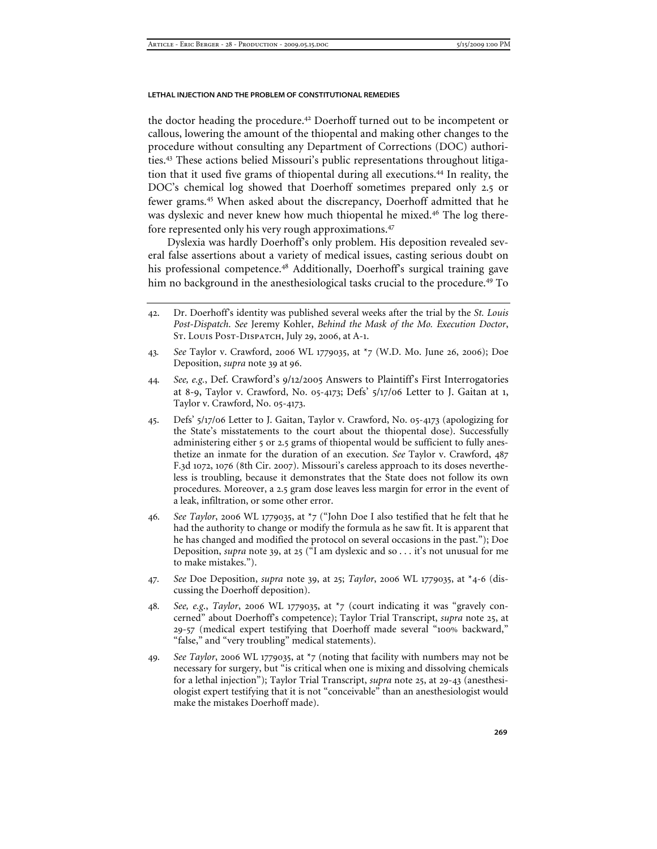#### **LETHAL INJECTION AND THE PROBLEM OF CONSTITUTIONAL REMEDIES**

the doctor heading the procedure.<sup>42</sup> Doerhoff turned out to be incompetent or callous, lowering the amount of the thiopental and making other changes to the procedure without consulting any Department of Corrections (DOC) authorities.<sup>43</sup> These actions belied Missouri's public representations throughout litigation that it used five grams of thiopental during all executions.<sup>44</sup> In reality, the DOC's chemical log showed that Doerhoff sometimes prepared only 2.5 or fewer grams.<sup>45</sup> When asked about the discrepancy, Doerhoff admitted that he was dyslexic and never knew how much thiopental he mixed.<sup>46</sup> The log therefore represented only his very rough approximations.<sup>47</sup>

Dyslexia was hardly Doerhoff's only problem. His deposition revealed several false assertions about a variety of medical issues, casting serious doubt on his professional competence.<sup>48</sup> Additionally, Doerhoff's surgical training gave him no background in the anesthesiological tasks crucial to the procedure.<sup>49</sup> To

- 43*. See* Taylor v. Crawford, 2006 WL 1779035, at \*7 (W.D. Mo. June 26, 2006); Doe Deposition, *supra* note 39 at 96.
- 44*. See, e.g.*, Def. Crawford's 9/12/2005 Answers to Plaintiff's First Interrogatories at 8-9, Taylor v. Crawford, No. 05-4173; Defs' 5/17/06 Letter to J. Gaitan at 1, Taylor v. Crawford, No. 05-4173.
- 45. Defs' 5/17/06 Letter to J. Gaitan, Taylor v. Crawford, No. 05-4173 (apologizing for the State's misstatements to the court about the thiopental dose). Successfully administering either 5 or 2.5 grams of thiopental would be sufficient to fully anesthetize an inmate for the duration of an execution. *See* Taylor v. Crawford, 487 F.3d 1072, 1076 (8th Cir. 2007). Missouri's careless approach to its doses nevertheless is troubling, because it demonstrates that the State does not follow its own procedures. Moreover, a 2.5 gram dose leaves less margin for error in the event of a leak, infiltration, or some other error.
- 46*. See Taylor*, 2006 WL 1779035, at \*7 ("John Doe I also testified that he felt that he had the authority to change or modify the formula as he saw fit. It is apparent that he has changed and modified the protocol on several occasions in the past."); Doe Deposition, *supra* note 39, at 25 ("I am dyslexic and so . . . it's not unusual for me to make mistakes.").
- 47*. See* Doe Deposition, *supra* note 39, at 25; *Taylor*, 2006 WL 1779035, at \*4-6 (discussing the Doerhoff deposition).
- 48*. See, e.g*., *Taylor*, 2006 WL 1779035, at \*7 (court indicating it was "gravely concerned" about Doerhoff's competence); Taylor Trial Transcript, *supra* note 25, at 29-57 (medical expert testifying that Doerhoff made several "100% backward," "false," and "very troubling" medical statements).
- 49*. See Taylor*, 2006 WL 1779035, at \*7 (noting that facility with numbers may not be necessary for surgery, but "is critical when one is mixing and dissolving chemicals for a lethal injection"); Taylor Trial Transcript, *supra* note 25, at 29-43 (anesthesiologist expert testifying that it is not "conceivable" than an anesthesiologist would make the mistakes Doerhoff made).

<sup>42</sup>. Dr. Doerhoff's identity was published several weeks after the trial by the *St. Louis Post-Dispatch*. *See* Jeremy Kohler, *Behind the Mask of the Mo. Execution Doctor*, St. Louis Post-Dispatch, July 29, 2006, at A-1.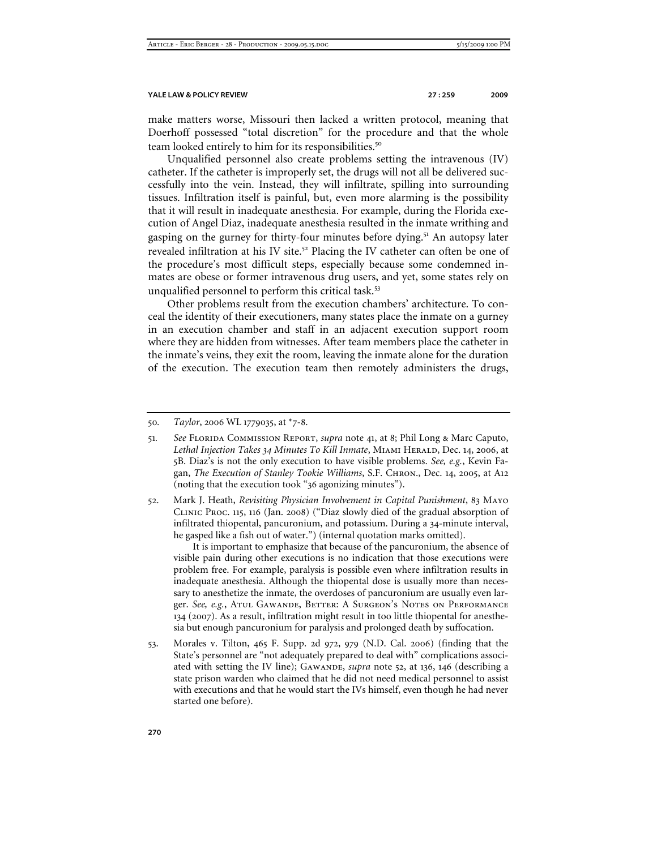make matters worse, Missouri then lacked a written protocol, meaning that Doerhoff possessed "total discretion" for the procedure and that the whole team looked entirely to him for its responsibilities.<sup>50</sup>

Unqualified personnel also create problems setting the intravenous (IV) catheter. If the catheter is improperly set, the drugs will not all be delivered successfully into the vein. Instead, they will infiltrate, spilling into surrounding tissues. Infiltration itself is painful, but, even more alarming is the possibility that it will result in inadequate anesthesia. For example, during the Florida execution of Angel Diaz, inadequate anesthesia resulted in the inmate writhing and gasping on the gurney for thirty-four minutes before dying.<sup>51</sup> An autopsy later revealed infiltration at his IV site.<sup>52</sup> Placing the IV catheter can often be one of the procedure's most difficult steps, especially because some condemned inmates are obese or former intravenous drug users, and yet, some states rely on unqualified personnel to perform this critical task.<sup>53</sup>

Other problems result from the execution chambers' architecture. To conceal the identity of their executioners, many states place the inmate on a gurney in an execution chamber and staff in an adjacent execution support room where they are hidden from witnesses. After team members place the catheter in the inmate's veins, they exit the room, leaving the inmate alone for the duration of the execution. The execution team then remotely administers the drugs,

52. Mark J. Heath, *Revisiting Physician Involvement in Capital Punishment*, 83 Mayo Clinic Proc. 115, 116 (Jan. 2008) ("Diaz slowly died of the gradual absorption of infiltrated thiopental, pancuronium, and potassium. During a 34-minute interval, he gasped like a fish out of water.") (internal quotation marks omitted).

 It is important to emphasize that because of the pancuronium, the absence of visible pain during other executions is no indication that those executions were problem free. For example, paralysis is possible even where infiltration results in inadequate anesthesia. Although the thiopental dose is usually more than necessary to anesthetize the inmate, the overdoses of pancuronium are usually even larger. *See, e.g.*, Atul Gawande, Better: A Surgeon's Notes on Performance 134 (2007). As a result, infiltration might result in too little thiopental for anesthesia but enough pancuronium for paralysis and prolonged death by suffocation.

53. Morales v. Tilton, 465 F. Supp. 2d 972, 979 (N.D. Cal. 2006) (finding that the State's personnel are "not adequately prepared to deal with" complications associated with setting the IV line); GAWANDE, *supra* note 52, at 136, 146 (describing a state prison warden who claimed that he did not need medical personnel to assist with executions and that he would start the IVs himself, even though he had never started one before).

<sup>50</sup>*. Taylor*, 2006 WL 1779035, at \*7-8.

<sup>51</sup>*. See* Florida Commission Report, *supra* note 41, at 8; Phil Long & Marc Caputo, *Lethal Injection Takes 34 Minutes To Kill Inmate*, Miami Herald, Dec. 14, 2006, at 5B. Diaz's is not the only execution to have visible problems. *See, e.g.*, Kevin Fagan, *The Execution of Stanley Tookie Williams*, S.F. Chron., Dec. 14, 2005, at A12 (noting that the execution took "36 agonizing minutes").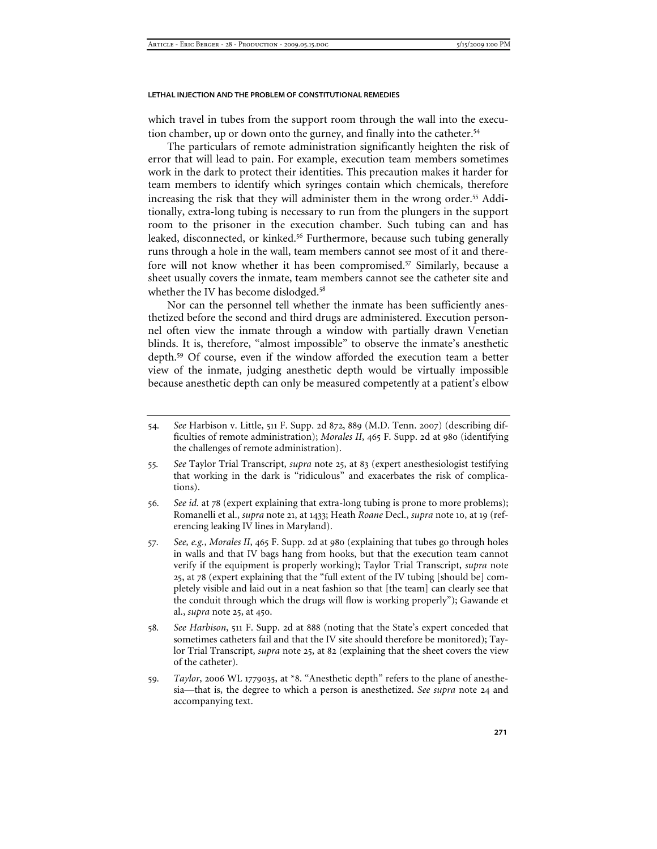which travel in tubes from the support room through the wall into the execution chamber, up or down onto the gurney, and finally into the catheter.<sup>54</sup>

The particulars of remote administration significantly heighten the risk of error that will lead to pain. For example, execution team members sometimes work in the dark to protect their identities. This precaution makes it harder for team members to identify which syringes contain which chemicals, therefore increasing the risk that they will administer them in the wrong order.<sup>55</sup> Additionally, extra-long tubing is necessary to run from the plungers in the support room to the prisoner in the execution chamber. Such tubing can and has leaked, disconnected, or kinked.<sup>56</sup> Furthermore, because such tubing generally runs through a hole in the wall, team members cannot see most of it and therefore will not know whether it has been compromised.<sup>57</sup> Similarly, because a sheet usually covers the inmate, team members cannot see the catheter site and whether the IV has become dislodged.<sup>58</sup>

Nor can the personnel tell whether the inmate has been sufficiently anesthetized before the second and third drugs are administered. Execution personnel often view the inmate through a window with partially drawn Venetian blinds. It is, therefore, "almost impossible" to observe the inmate's anesthetic depth.<sup>59</sup> Of course, even if the window afforded the execution team a better view of the inmate, judging anesthetic depth would be virtually impossible because anesthetic depth can only be measured competently at a patient's elbow

- 55*. See* Taylor Trial Transcript, *supra* note 25, at 83 (expert anesthesiologist testifying that working in the dark is "ridiculous" and exacerbates the risk of complications).
- 56*. See id.* at 78 (expert explaining that extra-long tubing is prone to more problems); Romanelli et al., *supra* note 21, at 1433; Heath *Roane* Decl., *supra* note 10, at 19 (referencing leaking IV lines in Maryland).
- 57*. See, e.g.*, *Morales II*, 465 F. Supp. 2d at 980 (explaining that tubes go through holes in walls and that IV bags hang from hooks, but that the execution team cannot verify if the equipment is properly working); Taylor Trial Transcript, *supra* note 25, at 78 (expert explaining that the "full extent of the IV tubing [should be] completely visible and laid out in a neat fashion so that [the team] can clearly see that the conduit through which the drugs will flow is working properly"); Gawande et al., *supra* note 25, at 450.
- 58*. See Harbison*, 511 F. Supp. 2d at 888 (noting that the State's expert conceded that sometimes catheters fail and that the IV site should therefore be monitored); Taylor Trial Transcript, *supra* note 25, at 82 (explaining that the sheet covers the view of the catheter).
- 59*. Taylor*, 2006 WL 1779035, at \*8. "Anesthetic depth" refers to the plane of anesthesia—that is, the degree to which a person is anesthetized. *See supra* note 24 and accompanying text.

<sup>54</sup>. *See* Harbison v. Little, 511 F. Supp. 2d 872, 889 (M.D. Tenn. 2007) (describing difficulties of remote administration); *Morales II*, 465 F. Supp. 2d at 980 (identifying the challenges of remote administration).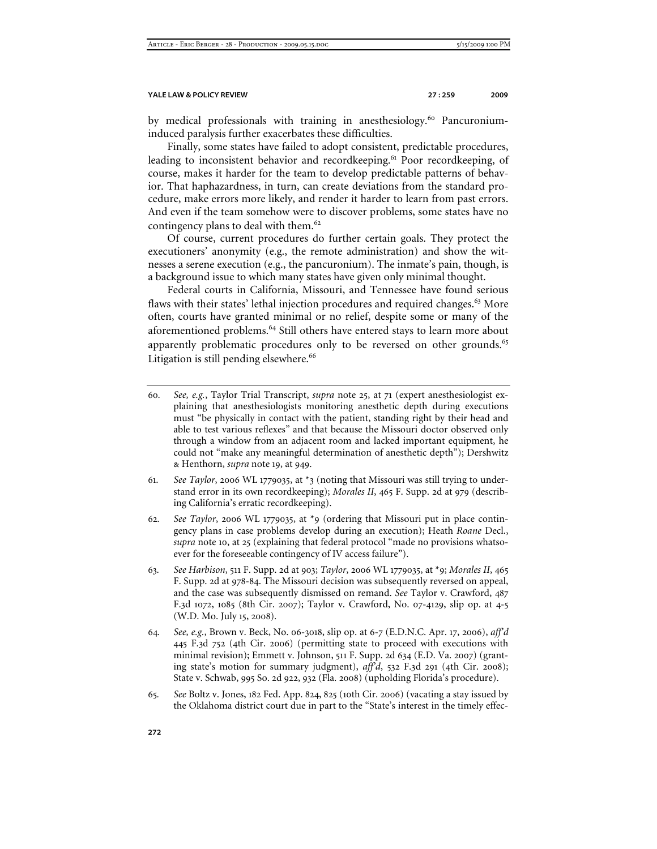by medical professionals with training in anesthesiology.<sup>60</sup> Pancuroniuminduced paralysis further exacerbates these difficulties.

Finally, some states have failed to adopt consistent, predictable procedures, leading to inconsistent behavior and recordkeeping.<sup>61</sup> Poor recordkeeping, of course, makes it harder for the team to develop predictable patterns of behavior. That haphazardness, in turn, can create deviations from the standard procedure, make errors more likely, and render it harder to learn from past errors. And even if the team somehow were to discover problems, some states have no contingency plans to deal with them.<sup>62</sup>

Of course, current procedures do further certain goals. They protect the executioners' anonymity (e.g., the remote administration) and show the witnesses a serene execution (e.g., the pancuronium). The inmate's pain, though, is a background issue to which many states have given only minimal thought.

Federal courts in California, Missouri, and Tennessee have found serious flaws with their states' lethal injection procedures and required changes.<sup>63</sup> More often, courts have granted minimal or no relief, despite some or many of the aforementioned problems.<sup>64</sup> Still others have entered stays to learn more about apparently problematic procedures only to be reversed on other grounds.<sup>65</sup> Litigation is still pending elsewhere.<sup>66</sup>

- 60*. See, e.g.*, Taylor Trial Transcript, *supra* note 25, at 71 (expert anesthesiologist explaining that anesthesiologists monitoring anesthetic depth during executions must "be physically in contact with the patient, standing right by their head and able to test various reflexes" and that because the Missouri doctor observed only through a window from an adjacent room and lacked important equipment, he could not "make any meaningful determination of anesthetic depth"); Dershwitz & Henthorn, *supra* note 19, at 949.
- 61*. See Taylor*, 2006 WL 1779035, at \*3 (noting that Missouri was still trying to understand error in its own recordkeeping); *Morales II*, 465 F. Supp. 2d at 979 (describing California's erratic recordkeeping).
- 62*. See Taylor*, 2006 WL 1779035, at \*9 (ordering that Missouri put in place contingency plans in case problems develop during an execution); Heath *Roane* Decl., *supra* note 10, at 25 (explaining that federal protocol "made no provisions whatsoever for the foreseeable contingency of IV access failure").
- 63*. See Harbison*, 511 F. Supp. 2d at 903; *Taylor*, 2006 WL 1779035, at \*9; *Morales II*, 465 F. Supp. 2d at 978-84. The Missouri decision was subsequently reversed on appeal, and the case was subsequently dismissed on remand. *See* Taylor v. Crawford, 487 F.3d 1072, 1085 (8th Cir. 2007); Taylor v. Crawford, No. 07-4129, slip op. at 4-5 (W.D. Mo. July 15, 2008).
- 64*. See, e.g.*, Brown v. Beck, No. 06-3018, slip op. at 6-7 (E.D.N.C. Apr. 17, 2006), *aff'd* 445 F.3d 752 (4th Cir. 2006) (permitting state to proceed with executions with minimal revision); Emmett v. Johnson, 511 F. Supp. 2d 634 (E.D. Va. 2007) (granting state's motion for summary judgment), *aff'd*, 532 F.3d 291 (4th Cir. 2008); State v. Schwab, 995 So. 2d 922, 932 (Fla. 2008) (upholding Florida's procedure).
- 65*. See* Boltz v. Jones, 182 Fed. App. 824, 825 (10th Cir. 2006) (vacating a stay issued by the Oklahoma district court due in part to the "State's interest in the timely effec-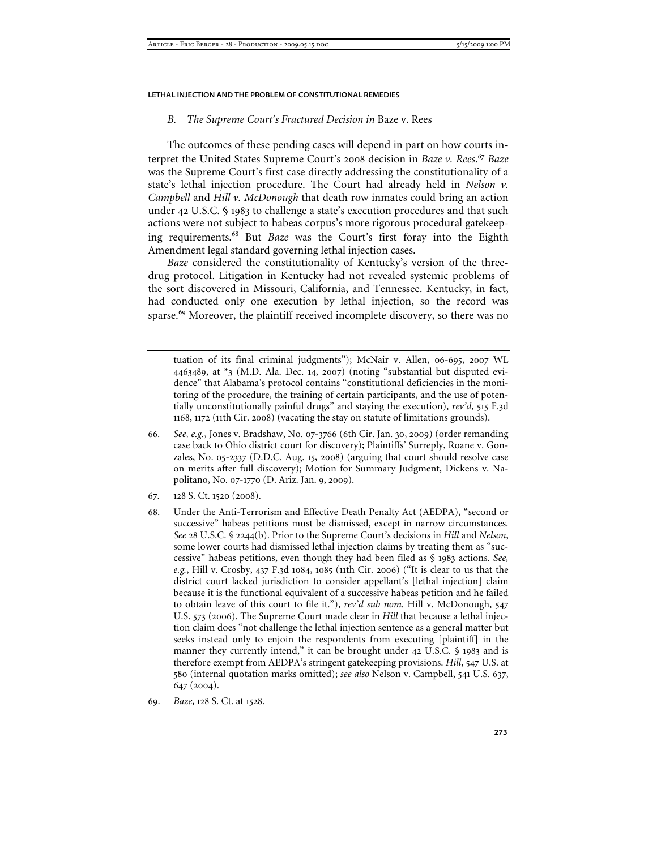#### *B. The Supreme Court's Fractured Decision in* Baze v. Rees

The outcomes of these pending cases will depend in part on how courts interpret the United States Supreme Court's 2008 decision in *Baze v. Rees*. <sup>67</sup> *Baze* was the Supreme Court's first case directly addressing the constitutionality of a state's lethal injection procedure. The Court had already held in *Nelson v. Campbell* and *Hill v. McDonough* that death row inmates could bring an action under 42 U.S.C. § 1983 to challenge a state's execution procedures and that such actions were not subject to habeas corpus's more rigorous procedural gatekeeping requirements.<sup>68</sup> But *Baze* was the Court's first foray into the Eighth Amendment legal standard governing lethal injection cases.

*Baze* considered the constitutionality of Kentucky's version of the threedrug protocol. Litigation in Kentucky had not revealed systemic problems of the sort discovered in Missouri, California, and Tennessee. Kentucky, in fact, had conducted only one execution by lethal injection, so the record was sparse.<sup>69</sup> Moreover, the plaintiff received incomplete discovery, so there was no

- 66*. See, e.g.*, Jones v. Bradshaw, No. 07-3766 (6th Cir. Jan. 30, 2009) (order remanding case back to Ohio district court for discovery); Plaintiffs' Surreply, Roane v. Gonzales, No. 05-2337 (D.D.C. Aug. 15, 2008) (arguing that court should resolve case on merits after full discovery); Motion for Summary Judgment, Dickens v. Napolitano, No. 07-1770 (D. Ariz. Jan. 9, 2009).
- 67. 128 S. Ct. 1520 (2008).
- 68. Under the Anti-Terrorism and Effective Death Penalty Act (AEDPA), "second or successive" habeas petitions must be dismissed, except in narrow circumstances. *See* 28 U.S.C. § 2244(b). Prior to the Supreme Court's decisions in *Hill* and *Nelson*, some lower courts had dismissed lethal injection claims by treating them as "successive" habeas petitions, even though they had been filed as § 1983 actions. *See, e.g.*, Hill v. Crosby, 437 F.3d 1084, 1085 (11th Cir. 2006) ("It is clear to us that the district court lacked jurisdiction to consider appellant's [lethal injection] claim because it is the functional equivalent of a successive habeas petition and he failed to obtain leave of this court to file it."), *rev'd sub nom.* Hill v. McDonough, 547 U.S. 573 (2006). The Supreme Court made clear in *Hill* that because a lethal injection claim does "not challenge the lethal injection sentence as a general matter but seeks instead only to enjoin the respondents from executing [plaintiff] in the manner they currently intend," it can be brought under 42 U.S.C. § 1983 and is therefore exempt from AEDPA's stringent gatekeeping provisions. *Hill*, 547 U.S. at 580 (internal quotation marks omitted); *see also* Nelson v. Campbell, 541 U.S. 637, 647 (2004).
- 69. *Baze*, 128 S. Ct. at 1528.

tuation of its final criminal judgments"); McNair v. Allen, 06-695, 2007 WL 4463489, at \*3 (M.D. Ala. Dec. 14, 2007) (noting "substantial but disputed evidence" that Alabama's protocol contains "constitutional deficiencies in the monitoring of the procedure, the training of certain participants, and the use of potentially unconstitutionally painful drugs" and staying the execution), *rev'd*, 515 F.3d 1168, 1172 (11th Cir. 2008) (vacating the stay on statute of limitations grounds).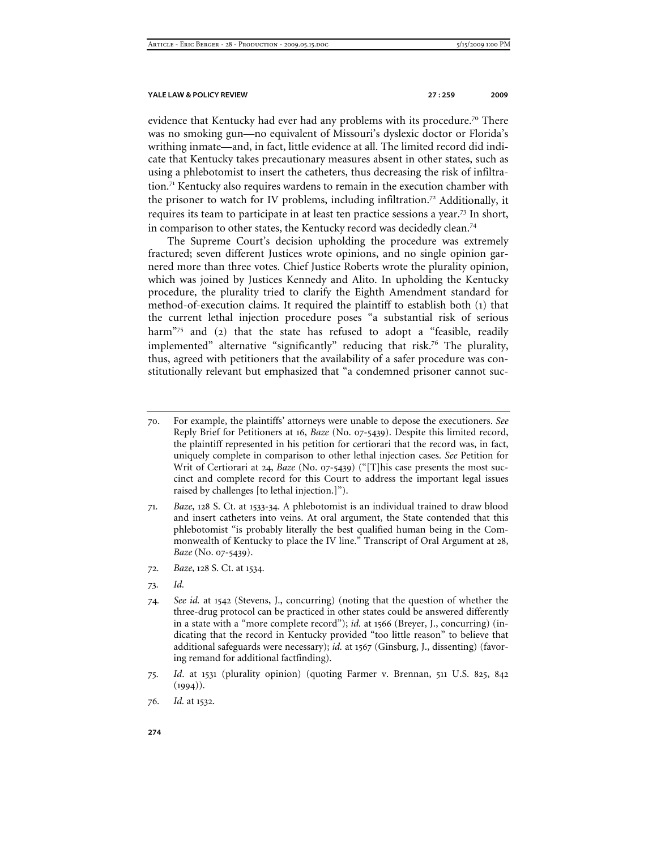evidence that Kentucky had ever had any problems with its procedure.<sup>70</sup> There was no smoking gun—no equivalent of Missouri's dyslexic doctor or Florida's writhing inmate—and, in fact, little evidence at all. The limited record did indicate that Kentucky takes precautionary measures absent in other states, such as using a phlebotomist to insert the catheters, thus decreasing the risk of infiltration.<sup>71</sup> Kentucky also requires wardens to remain in the execution chamber with the prisoner to watch for IV problems, including infiltration.<sup>72</sup> Additionally, it requires its team to participate in at least ten practice sessions a year.<sup>73</sup> In short, in comparison to other states, the Kentucky record was decidedly clean.<sup>74</sup>

The Supreme Court's decision upholding the procedure was extremely fractured; seven different Justices wrote opinions, and no single opinion garnered more than three votes. Chief Justice Roberts wrote the plurality opinion, which was joined by Justices Kennedy and Alito. In upholding the Kentucky procedure, the plurality tried to clarify the Eighth Amendment standard for method-of-execution claims. It required the plaintiff to establish both (1) that the current lethal injection procedure poses "a substantial risk of serious harm"75 and (2) that the state has refused to adopt a "feasible, readily implemented" alternative "significantly" reducing that risk.<sup>76</sup> The plurality, thus, agreed with petitioners that the availability of a safer procedure was constitutionally relevant but emphasized that "a condemned prisoner cannot suc-

- 72*. Baze*, 128 S. Ct. at 1534.
- 73*. Id.*
- 74*. See id.* at 1542 (Stevens, J., concurring) (noting that the question of whether the three-drug protocol can be practiced in other states could be answered differently in a state with a "more complete record"); *id.* at 1566 (Breyer, J., concurring) (indicating that the record in Kentucky provided "too little reason" to believe that additional safeguards were necessary); *id.* at 1567 (Ginsburg, J., dissenting) (favoring remand for additional factfinding).
- 75*. Id*. at 1531 (plurality opinion) (quoting Farmer v. Brennan, 511 U.S. 825, 842  $(1994)$ .
- 76*. Id.* at 1532.

<sup>70</sup>. For example, the plaintiffs' attorneys were unable to depose the executioners. *See*  Reply Brief for Petitioners at 16, *Baze* (No. 07-5439). Despite this limited record, the plaintiff represented in his petition for certiorari that the record was, in fact, uniquely complete in comparison to other lethal injection cases. *See* Petition for Writ of Certiorari at 24, *Baze* (No. 07-5439) ("[T]his case presents the most succinct and complete record for this Court to address the important legal issues raised by challenges [to lethal injection.]").

<sup>71</sup>*. Baze*, 128 S. Ct. at 1533-34. A phlebotomist is an individual trained to draw blood and insert catheters into veins. At oral argument, the State contended that this phlebotomist "is probably literally the best qualified human being in the Commonwealth of Kentucky to place the IV line." Transcript of Oral Argument at 28, *Baze* (No. 07-5439).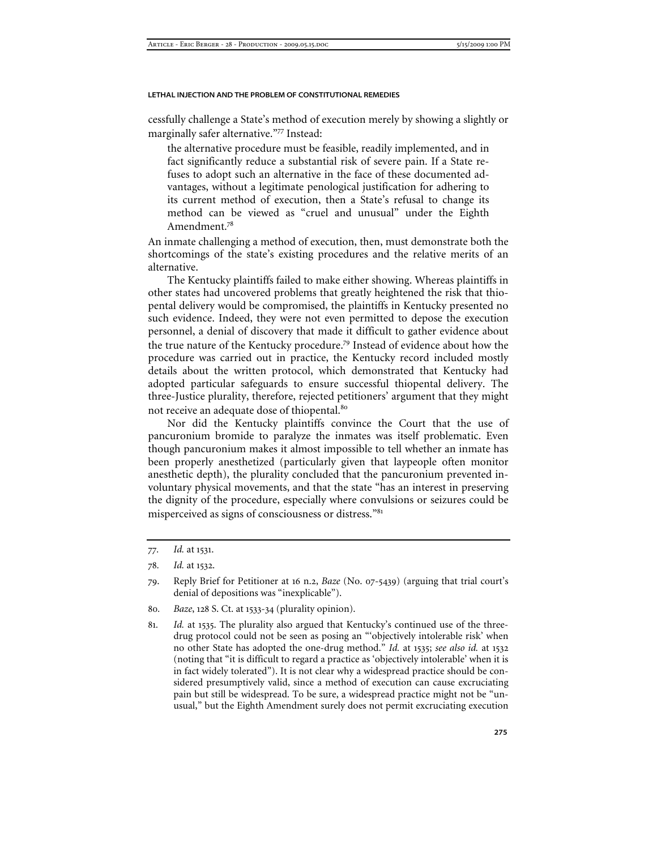#### **LETHAL INJECTION AND THE PROBLEM OF CONSTITUTIONAL REMEDIES**

cessfully challenge a State's method of execution merely by showing a slightly or marginally safer alternative."<sup>77</sup> Instead:

the alternative procedure must be feasible, readily implemented, and in fact significantly reduce a substantial risk of severe pain. If a State refuses to adopt such an alternative in the face of these documented advantages, without a legitimate penological justification for adhering to its current method of execution, then a State's refusal to change its method can be viewed as "cruel and unusual" under the Eighth Amendment<sup>78</sup>

An inmate challenging a method of execution, then, must demonstrate both the shortcomings of the state's existing procedures and the relative merits of an alternative.

The Kentucky plaintiffs failed to make either showing. Whereas plaintiffs in other states had uncovered problems that greatly heightened the risk that thiopental delivery would be compromised, the plaintiffs in Kentucky presented no such evidence. Indeed, they were not even permitted to depose the execution personnel, a denial of discovery that made it difficult to gather evidence about the true nature of the Kentucky procedure.<sup>79</sup> Instead of evidence about how the procedure was carried out in practice, the Kentucky record included mostly details about the written protocol, which demonstrated that Kentucky had adopted particular safeguards to ensure successful thiopental delivery. The three-Justice plurality, therefore, rejected petitioners' argument that they might not receive an adequate dose of thiopental.<sup>80</sup>

Nor did the Kentucky plaintiffs convince the Court that the use of pancuronium bromide to paralyze the inmates was itself problematic. Even though pancuronium makes it almost impossible to tell whether an inmate has been properly anesthetized (particularly given that laypeople often monitor anesthetic depth), the plurality concluded that the pancuronium prevented involuntary physical movements, and that the state "has an interest in preserving the dignity of the procedure, especially where convulsions or seizures could be misperceived as signs of consciousness or distress."<sup>81</sup>

<sup>77</sup>*. Id.* at 1531.

<sup>78</sup>*. Id.* at 1532.

<sup>79</sup>. Reply Brief for Petitioner at 16 n.2, *Baze* (No. 07-5439) (arguing that trial court's denial of depositions was "inexplicable").

<sup>80</sup>*. Baze*, 128 S. Ct. at 1533-34 (plurality opinion).

<sup>81</sup>*. Id.* at 1535. The plurality also argued that Kentucky's continued use of the threedrug protocol could not be seen as posing an "'objectively intolerable risk' when no other State has adopted the one-drug method." *Id.* at 1535; *see also id.* at 1532 (noting that "it is difficult to regard a practice as 'objectively intolerable' when it is in fact widely tolerated"). It is not clear why a widespread practice should be considered presumptively valid, since a method of execution can cause excruciating pain but still be widespread. To be sure, a widespread practice might not be "unusual," but the Eighth Amendment surely does not permit excruciating execution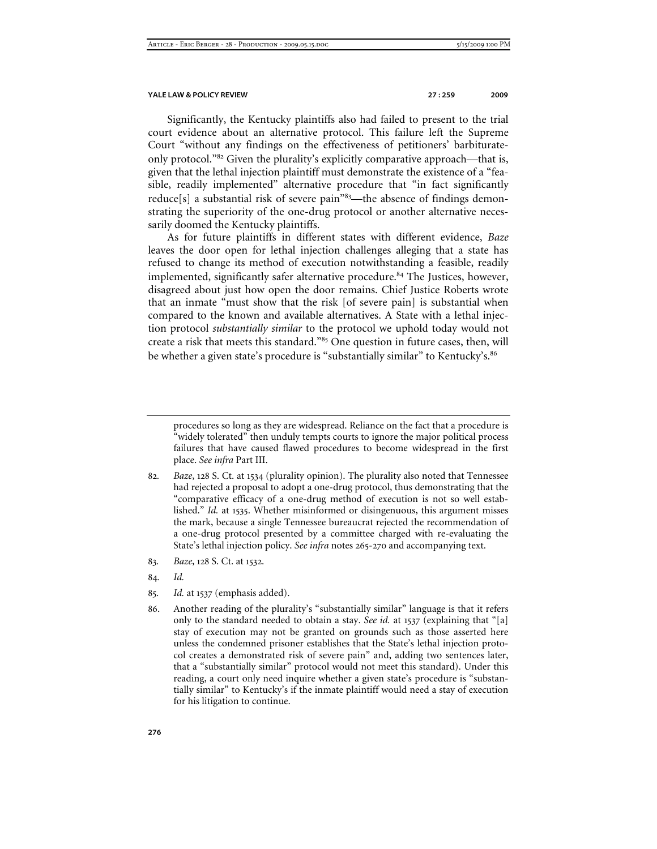Significantly, the Kentucky plaintiffs also had failed to present to the trial court evidence about an alternative protocol. This failure left the Supreme Court "without any findings on the effectiveness of petitioners' barbiturateonly protocol."<sup>82</sup> Given the plurality's explicitly comparative approach—that is, given that the lethal injection plaintiff must demonstrate the existence of a "feasible, readily implemented" alternative procedure that "in fact significantly reduce[s] a substantial risk of severe pain"<sup>83</sup>—the absence of findings demonstrating the superiority of the one-drug protocol or another alternative necessarily doomed the Kentucky plaintiffs.

As for future plaintiffs in different states with different evidence, *Baze*  leaves the door open for lethal injection challenges alleging that a state has refused to change its method of execution notwithstanding a feasible, readily implemented, significantly safer alternative procedure.<sup>84</sup> The Justices, however, disagreed about just how open the door remains. Chief Justice Roberts wrote that an inmate "must show that the risk [of severe pain] is substantial when compared to the known and available alternatives. A State with a lethal injection protocol *substantially similar* to the protocol we uphold today would not create a risk that meets this standard."<sup>85</sup> One question in future cases, then, will be whether a given state's procedure is "substantially similar" to Kentucky's.<sup>86</sup>

- 82*. Baze*, 128 S. Ct. at 1534 (plurality opinion). The plurality also noted that Tennessee had rejected a proposal to adopt a one-drug protocol, thus demonstrating that the "comparative efficacy of a one-drug method of execution is not so well established." *Id.* at 1535. Whether misinformed or disingenuous, this argument misses the mark, because a single Tennessee bureaucrat rejected the recommendation of a one-drug protocol presented by a committee charged with re-evaluating the State's lethal injection policy. *See infra* notes 265-270 and accompanying text.
- 83*. Baze*, 128 S. Ct. at 1532.
- 84*. Id.*
- 85*. Id.* at 1537 (emphasis added).
- 86. Another reading of the plurality's "substantially similar" language is that it refers only to the standard needed to obtain a stay. *See id.* at 1537 (explaining that "[a] stay of execution may not be granted on grounds such as those asserted here unless the condemned prisoner establishes that the State's lethal injection protocol creates a demonstrated risk of severe pain" and, adding two sentences later, that a "substantially similar" protocol would not meet this standard). Under this reading, a court only need inquire whether a given state's procedure is "substantially similar" to Kentucky's if the inmate plaintiff would need a stay of execution for his litigation to continue.

procedures so long as they are widespread. Reliance on the fact that a procedure is "widely tolerated" then unduly tempts courts to ignore the major political process failures that have caused flawed procedures to become widespread in the first place. *See infra* Part III.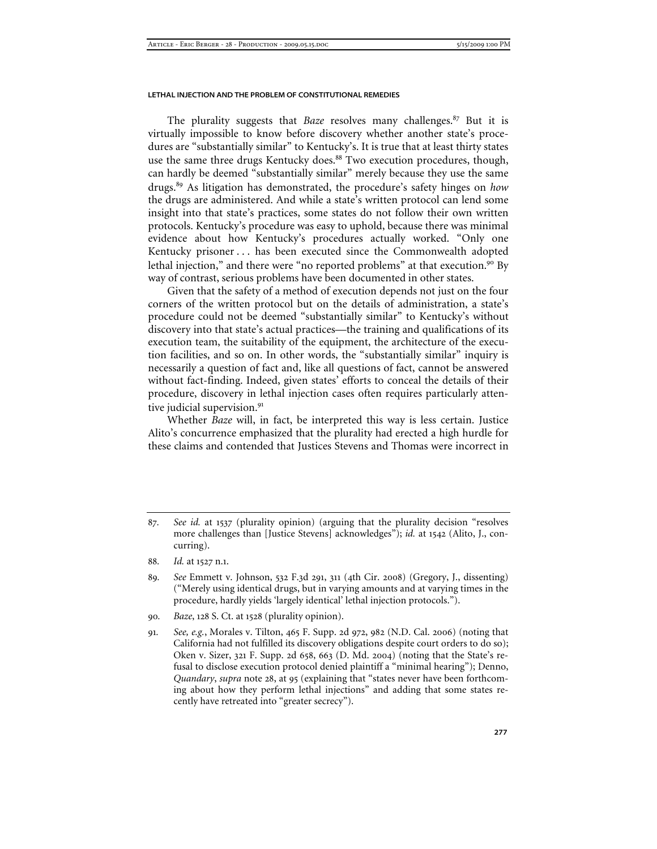The plurality suggests that *Baze* resolves many challenges.<sup>87</sup> But it is virtually impossible to know before discovery whether another state's procedures are "substantially similar" to Kentucky's. It is true that at least thirty states use the same three drugs Kentucky does.<sup>88</sup> Two execution procedures, though, can hardly be deemed "substantially similar" merely because they use the same drugs.<sup>89</sup> As litigation has demonstrated, the procedure's safety hinges on *how* the drugs are administered. And while a state's written protocol can lend some insight into that state's practices, some states do not follow their own written protocols. Kentucky's procedure was easy to uphold, because there was minimal evidence about how Kentucky's procedures actually worked. "Only one Kentucky prisoner . . . has been executed since the Commonwealth adopted lethal injection," and there were "no reported problems" at that execution.<sup>90</sup> By way of contrast, serious problems have been documented in other states.

Given that the safety of a method of execution depends not just on the four corners of the written protocol but on the details of administration, a state's procedure could not be deemed "substantially similar" to Kentucky's without discovery into that state's actual practices—the training and qualifications of its execution team, the suitability of the equipment, the architecture of the execution facilities, and so on. In other words, the "substantially similar" inquiry is necessarily a question of fact and, like all questions of fact, cannot be answered without fact-finding. Indeed, given states' efforts to conceal the details of their procedure, discovery in lethal injection cases often requires particularly attentive judicial supervision.<sup>91</sup>

Whether *Baze* will, in fact, be interpreted this way is less certain. Justice Alito's concurrence emphasized that the plurality had erected a high hurdle for these claims and contended that Justices Stevens and Thomas were incorrect in

- 88*. Id.* at 1527 n.1.
- 89*. See* Emmett v. Johnson, 532 F.3d 291, 311 (4th Cir. 2008) (Gregory, J., dissenting) ("Merely using identical drugs, but in varying amounts and at varying times in the procedure, hardly yields 'largely identical' lethal injection protocols.").
- 90*. Baze*, 128 S. Ct. at 1528 (plurality opinion).
- 91*. See, e.g.*, Morales v. Tilton, 465 F. Supp. 2d 972, 982 (N.D. Cal. 2006) (noting that California had not fulfilled its discovery obligations despite court orders to do so); Oken v. Sizer, 321 F. Supp. 2d 658, 663 (D. Md. 2004) (noting that the State's refusal to disclose execution protocol denied plaintiff a "minimal hearing"); Denno, *Quandary*, *supra* note 28, at 95 (explaining that "states never have been forthcoming about how they perform lethal injections" and adding that some states recently have retreated into "greater secrecy").

<sup>87</sup>*. See id.* at 1537 (plurality opinion) (arguing that the plurality decision "resolves more challenges than [Justice Stevens] acknowledges"); *id.* at 1542 (Alito, J., concurring).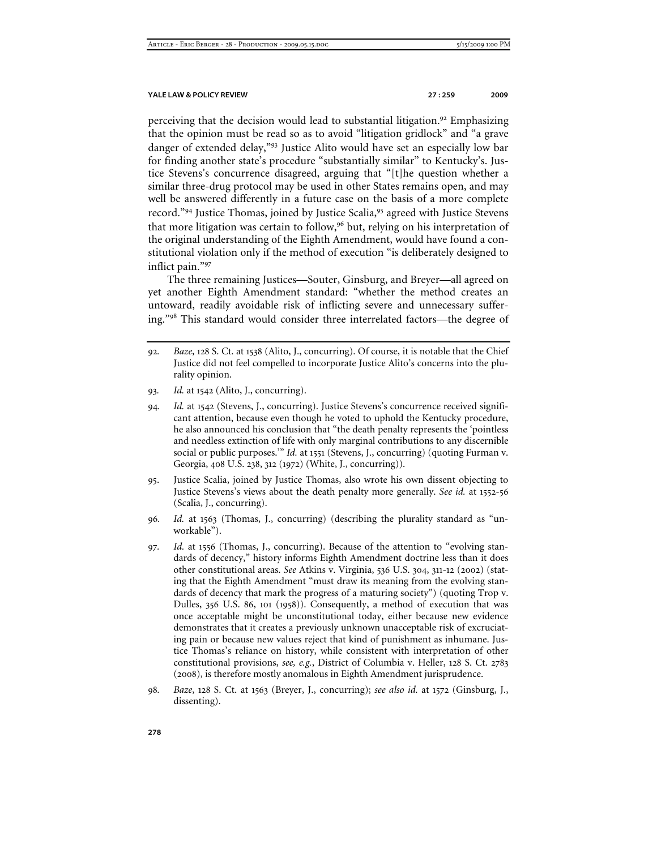perceiving that the decision would lead to substantial litigation.<sup>92</sup> Emphasizing that the opinion must be read so as to avoid "litigation gridlock" and "a grave danger of extended delay,"<sup>93</sup> Justice Alito would have set an especially low bar for finding another state's procedure "substantially similar" to Kentucky's. Justice Stevens's concurrence disagreed, arguing that "[t]he question whether a similar three-drug protocol may be used in other States remains open, and may well be answered differently in a future case on the basis of a more complete record."94 Justice Thomas, joined by Justice Scalia,<sup>95</sup> agreed with Justice Stevens that more litigation was certain to follow,<sup>96</sup> but, relying on his interpretation of the original understanding of the Eighth Amendment, would have found a constitutional violation only if the method of execution "is deliberately designed to inflict pain."<sup>97</sup>

The three remaining Justices—Souter, Ginsburg, and Breyer—all agreed on yet another Eighth Amendment standard: "whether the method creates an untoward, readily avoidable risk of inflicting severe and unnecessary suffering."<sup>98</sup> This standard would consider three interrelated factors—the degree of

- 92*. Baze*, 128 S. Ct. at 1538 (Alito, J., concurring). Of course, it is notable that the Chief Justice did not feel compelled to incorporate Justice Alito's concerns into the plurality opinion.
- 93*. Id.* at 1542 (Alito, J., concurring).
- 94*. Id.* at 1542 (Stevens, J., concurring). Justice Stevens's concurrence received significant attention, because even though he voted to uphold the Kentucky procedure, he also announced his conclusion that "the death penalty represents the 'pointless and needless extinction of life with only marginal contributions to any discernible social or public purposes.'" *Id.* at 1551 (Stevens, J., concurring) (quoting Furman v. Georgia, 408 U.S. 238, 312 (1972) (White, J., concurring)).
- 95. Justice Scalia, joined by Justice Thomas, also wrote his own dissent objecting to Justice Stevens's views about the death penalty more generally. *See id.* at 1552-56 (Scalia, J., concurring).
- 96*. Id.* at 1563 (Thomas, J., concurring) (describing the plurality standard as "unworkable").
- 97*. Id.* at 1556 (Thomas, J., concurring). Because of the attention to "evolving standards of decency," history informs Eighth Amendment doctrine less than it does other constitutional areas. *See* Atkins v. Virginia, 536 U.S. 304, 311-12 (2002) (stating that the Eighth Amendment "must draw its meaning from the evolving standards of decency that mark the progress of a maturing society") (quoting Trop v. Dulles, 356 U.S. 86, 101 (1958)). Consequently, a method of execution that was once acceptable might be unconstitutional today, either because new evidence demonstrates that it creates a previously unknown unacceptable risk of excruciating pain or because new values reject that kind of punishment as inhumane. Justice Thomas's reliance on history, while consistent with interpretation of other constitutional provisions, *see, e.g.*, District of Columbia v. Heller, 128 S. Ct. 2783 (2008), is therefore mostly anomalous in Eighth Amendment jurisprudence.
- 98*. Baze*, 128 S. Ct. at 1563 (Breyer, J., concurring); *see also id.* at 1572 (Ginsburg, J., dissenting).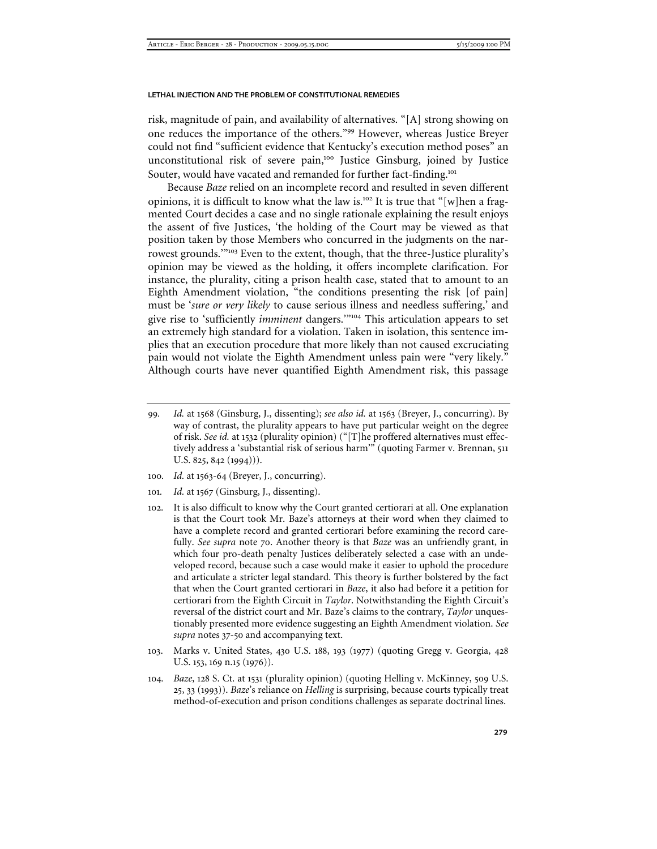risk, magnitude of pain, and availability of alternatives. "[A] strong showing on one reduces the importance of the others."<sup>99</sup> However, whereas Justice Breyer could not find "sufficient evidence that Kentucky's execution method poses" an unconstitutional risk of severe pain,<sup>100</sup> Justice Ginsburg, joined by Justice Souter, would have vacated and remanded for further fact-finding.<sup>101</sup>

Because *Baze* relied on an incomplete record and resulted in seven different opinions, it is difficult to know what the law is.<sup>102</sup> It is true that "[w]hen a fragmented Court decides a case and no single rationale explaining the result enjoys the assent of five Justices, 'the holding of the Court may be viewed as that position taken by those Members who concurred in the judgments on the narrowest grounds.'"<sup>103</sup> Even to the extent, though, that the three-Justice plurality's opinion may be viewed as the holding, it offers incomplete clarification. For instance, the plurality, citing a prison health case, stated that to amount to an Eighth Amendment violation, "the conditions presenting the risk [of pain] must be '*sure or very likely* to cause serious illness and needless suffering,' and give rise to 'sufficiently *imminent* dangers.'"<sup>104</sup> This articulation appears to set an extremely high standard for a violation. Taken in isolation, this sentence implies that an execution procedure that more likely than not caused excruciating pain would not violate the Eighth Amendment unless pain were "very likely." Although courts have never quantified Eighth Amendment risk, this passage

- 100*. Id.* at 1563-64 (Breyer, J., concurring).
- 101*. Id.* at 1567 (Ginsburg, J., dissenting).
- 102. It is also difficult to know why the Court granted certiorari at all. One explanation is that the Court took Mr. Baze's attorneys at their word when they claimed to have a complete record and granted certiorari before examining the record carefully. *See supra* note 70. Another theory is that *Baze* was an unfriendly grant, in which four pro-death penalty Justices deliberately selected a case with an undeveloped record, because such a case would make it easier to uphold the procedure and articulate a stricter legal standard. This theory is further bolstered by the fact that when the Court granted certiorari in *Baze*, it also had before it a petition for certiorari from the Eighth Circuit in *Taylor*. Notwithstanding the Eighth Circuit's reversal of the district court and Mr. Baze's claims to the contrary, *Taylor* unquestionably presented more evidence suggesting an Eighth Amendment violation. *See supra* notes 37-50 and accompanying text.
- 103. Marks v. United States, 430 U.S. 188, 193 (1977) (quoting Gregg v. Georgia, 428 U.S. 153, 169 n.15 (1976)).
- 104*. Baze*, 128 S. Ct. at 1531 (plurality opinion) (quoting Helling v. McKinney, 509 U.S. 25, 33 (1993)). *Baze*'s reliance on *Helling* is surprising, because courts typically treat method-of-execution and prison conditions challenges as separate doctrinal lines.

<sup>99</sup>*. Id.* at 1568 (Ginsburg, J., dissenting); *see also id.* at 1563 (Breyer, J., concurring). By way of contrast, the plurality appears to have put particular weight on the degree of risk. *See id.* at 1532 (plurality opinion) ("[T]he proffered alternatives must effectively address a 'substantial risk of serious harm'" (quoting Farmer v. Brennan, 511 U.S. 825, 842 (1994))).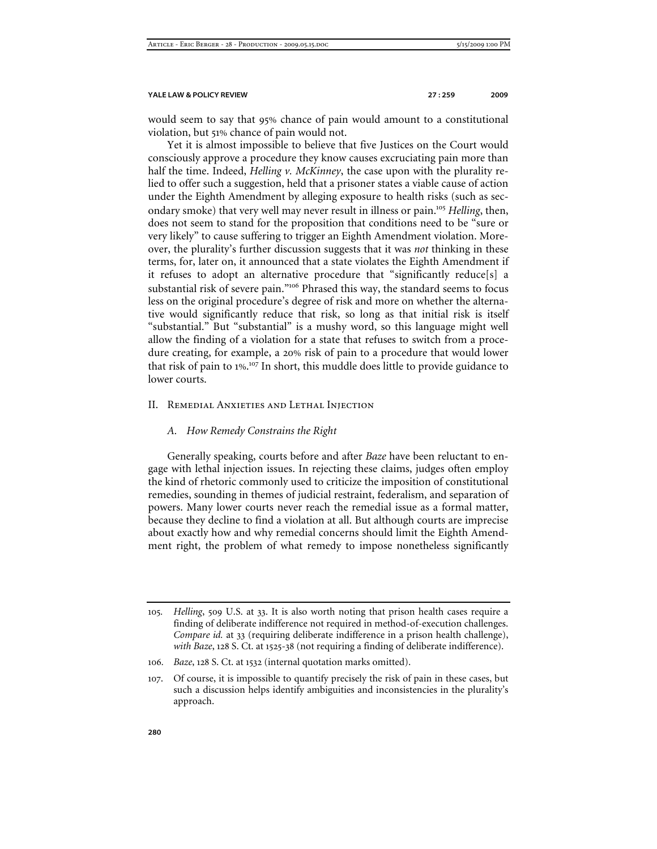would seem to say that 95% chance of pain would amount to a constitutional violation, but 51% chance of pain would not.

Yet it is almost impossible to believe that five Justices on the Court would consciously approve a procedure they know causes excruciating pain more than half the time. Indeed, *Helling v. McKinney*, the case upon with the plurality relied to offer such a suggestion, held that a prisoner states a viable cause of action under the Eighth Amendment by alleging exposure to health risks (such as secondary smoke) that very well may never result in illness or pain.<sup>105</sup> *Helling*, then, does not seem to stand for the proposition that conditions need to be "sure or very likely" to cause suffering to trigger an Eighth Amendment violation. Moreover, the plurality's further discussion suggests that it was *not* thinking in these terms, for, later on, it announced that a state violates the Eighth Amendment if it refuses to adopt an alternative procedure that "significantly reduce[s] a substantial risk of severe pain."<sup>106</sup> Phrased this way, the standard seems to focus less on the original procedure's degree of risk and more on whether the alternative would significantly reduce that risk, so long as that initial risk is itself "substantial." But "substantial" is a mushy word, so this language might well allow the finding of a violation for a state that refuses to switch from a procedure creating, for example, a 20% risk of pain to a procedure that would lower that risk of pain to 1%. <sup>107</sup> In short, this muddle does little to provide guidance to lower courts.

#### II. Remedial Anxieties and Lethal Injection

#### *A. How Remedy Constrains the Right*

Generally speaking, courts before and after *Baze* have been reluctant to engage with lethal injection issues. In rejecting these claims, judges often employ the kind of rhetoric commonly used to criticize the imposition of constitutional remedies, sounding in themes of judicial restraint, federalism, and separation of powers. Many lower courts never reach the remedial issue as a formal matter, because they decline to find a violation at all. But although courts are imprecise about exactly how and why remedial concerns should limit the Eighth Amendment right, the problem of what remedy to impose nonetheless significantly

<sup>105</sup>*. Helling*, 509 U.S. at 33. It is also worth noting that prison health cases require a finding of deliberate indifference not required in method-of-execution challenges. *Compare id.* at 33 (requiring deliberate indifference in a prison health challenge), *with Baze*, 128 S. Ct. at 1525-38 (not requiring a finding of deliberate indifference).

<sup>106</sup>*. Baze*, 128 S. Ct. at 1532 (internal quotation marks omitted).

<sup>107</sup>. Of course, it is impossible to quantify precisely the risk of pain in these cases, but such a discussion helps identify ambiguities and inconsistencies in the plurality's approach.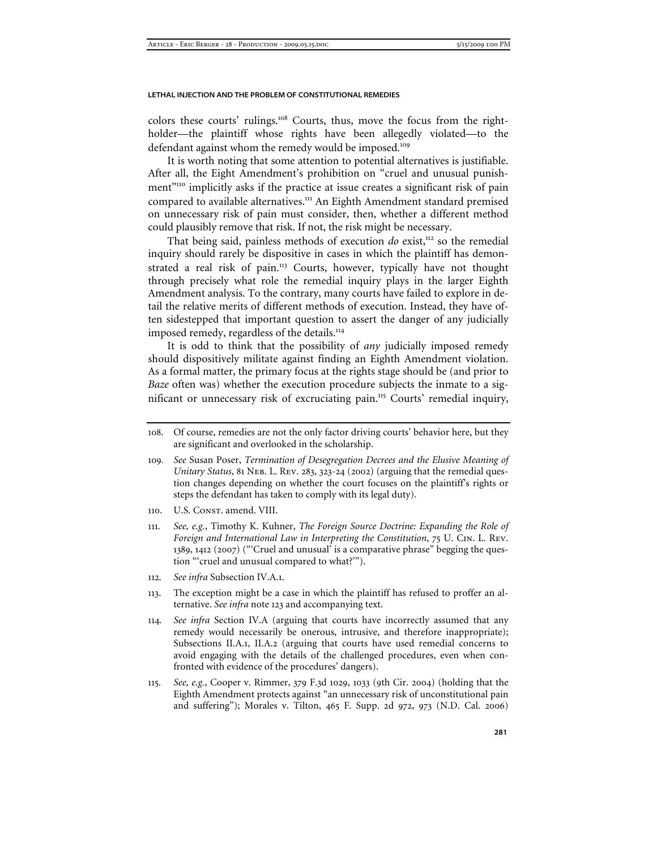colors these courts' rulings.<sup>108</sup> Courts, thus, move the focus from the rightholder—the plaintiff whose rights have been allegedly violated—to the defendant against whom the remedy would be imposed.<sup>109</sup>

It is worth noting that some attention to potential alternatives is justifiable. After all, the Eight Amendment's prohibition on "cruel and unusual punishment<sup>"110</sup> implicitly asks if the practice at issue creates a significant risk of pain compared to available alternatives.<sup>111</sup> An Eighth Amendment standard premised on unnecessary risk of pain must consider, then, whether a different method could plausibly remove that risk. If not, the risk might be necessary.

That being said, painless methods of execution  $do$  exist,<sup>112</sup> so the remedial inquiry should rarely be dispositive in cases in which the plaintiff has demonstrated a real risk of pain.<sup>113</sup> Courts, however, typically have not thought through precisely what role the remedial inquiry plays in the larger Eighth Amendment analysis. To the contrary, many courts have failed to explore in detail the relative merits of different methods of execution. Instead, they have often sidestepped that important question to assert the danger of any judicially imposed remedy, regardless of the details.<sup>114</sup>

It is odd to think that the possibility of *any* judicially imposed remedy should dispositively militate against finding an Eighth Amendment violation. As a formal matter, the primary focus at the rights stage should be (and prior to *Baze* often was) whether the execution procedure subjects the inmate to a significant or unnecessary risk of excruciating pain.<sup>115</sup> Courts' remedial inquiry,

- 109*. See* Susan Poser, *Termination of Desegregation Decrees and the Elusive Meaning of Unitary Status*, 81 Neb. L. Rev. 283, 323-24 (2002) (arguing that the remedial question changes depending on whether the court focuses on the plaintiff's rights or steps the defendant has taken to comply with its legal duty).
- 110. U.S. CONST. amend. VIII.
- 111*. See, e.g.*, Timothy K. Kuhner, *The Foreign Source Doctrine: Expanding the Role of Foreign and International Law in Interpreting the Constitution*, 75 U. Cin. L. Rev. 1389, 1412 (2007) ("'Cruel and unusual' is a comparative phrase" begging the question "'cruel and unusual compared to what?'").
- 112*. See infra* Subsection IV.A.1.
- 113. The exception might be a case in which the plaintiff has refused to proffer an alternative. *See infra* note 123 and accompanying text.
- 114*. See infra* Section IV.A (arguing that courts have incorrectly assumed that any remedy would necessarily be onerous, intrusive, and therefore inappropriate); Subsections II.A.1, II.A.2 (arguing that courts have used remedial concerns to avoid engaging with the details of the challenged procedures, even when confronted with evidence of the procedures' dangers).
- 115*. See, e.g.*, Cooper v. Rimmer, 379 F.3d 1029, 1033 (9th Cir. 2004) (holding that the Eighth Amendment protects against "an unnecessary risk of unconstitutional pain and suffering"); Morales v. Tilton, 465 F. Supp. 2d 972, 973 (N.D. Cal. 2006)

<sup>108</sup>. Of course, remedies are not the only factor driving courts' behavior here, but they are significant and overlooked in the scholarship.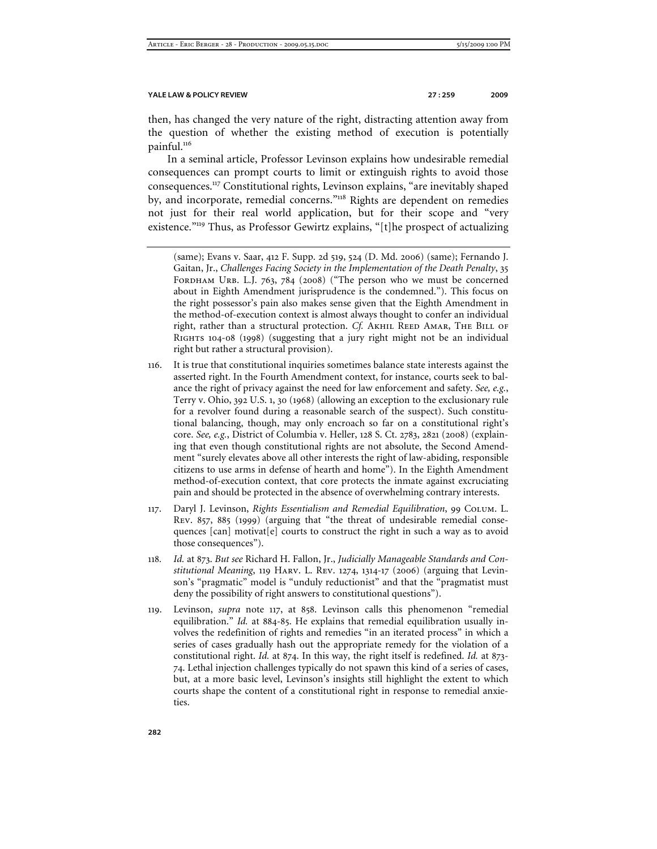then, has changed the very nature of the right, distracting attention away from the question of whether the existing method of execution is potentially painful.<sup>116</sup>

In a seminal article, Professor Levinson explains how undesirable remedial consequences can prompt courts to limit or extinguish rights to avoid those consequences.<sup>117</sup> Constitutional rights, Levinson explains, "are inevitably shaped by, and incorporate, remedial concerns."<sup>118</sup> Rights are dependent on remedies not just for their real world application, but for their scope and "very existence."<sup>119</sup> Thus, as Professor Gewirtz explains, "[t]he prospect of actualizing

(same); Evans v. Saar, 412 F. Supp. 2d 519, 524 (D. Md. 2006) (same); Fernando J. Gaitan, Jr., *Challenges Facing Society in the Implementation of the Death Penalty*, 35 FORDHAM URB. L.J. 763, 784 (2008) ("The person who we must be concerned about in Eighth Amendment jurisprudence is the condemned."). This focus on the right possessor's pain also makes sense given that the Eighth Amendment in the method-of-execution context is almost always thought to confer an individual right, rather than a structural protection. *Cf.* AKHIL REED AMAR, THE BILL OF RIGHTS 104-08 (1998) (suggesting that a jury right might not be an individual right but rather a structural provision).

- 116. It is true that constitutional inquiries sometimes balance state interests against the asserted right. In the Fourth Amendment context, for instance, courts seek to balance the right of privacy against the need for law enforcement and safety. *See, e.g.*, Terry v. Ohio, 392 U.S. 1, 30 (1968) (allowing an exception to the exclusionary rule for a revolver found during a reasonable search of the suspect). Such constitutional balancing, though, may only encroach so far on a constitutional right's core. *See, e.g.*, District of Columbia v. Heller, 128 S. Ct. 2783, 2821 (2008) (explaining that even though constitutional rights are not absolute, the Second Amendment "surely elevates above all other interests the right of law-abiding, responsible citizens to use arms in defense of hearth and home"). In the Eighth Amendment method-of-execution context, that core protects the inmate against excruciating pain and should be protected in the absence of overwhelming contrary interests.
- 117. Daryl J. Levinson, *Rights Essentialism and Remedial Equilibration*, 99 Colum. L. Rev. 857, 885 (1999) (arguing that "the threat of undesirable remedial consequences [can] motivat[e] courts to construct the right in such a way as to avoid those consequences").
- 118*. Id.* at 873. *But see* Richard H. Fallon, Jr., *Judicially Manageable Standards and Constitutional Meaning*, 119 Harv. L. Rev. 1274, 1314-17 (2006) (arguing that Levinson's "pragmatic" model is "unduly reductionist" and that the "pragmatist must deny the possibility of right answers to constitutional questions").
- 119. Levinson, *supra* note 117, at 858. Levinson calls this phenomenon "remedial equilibration." *Id.* at 884-85. He explains that remedial equilibration usually involves the redefinition of rights and remedies "in an iterated process" in which a series of cases gradually hash out the appropriate remedy for the violation of a constitutional right. *Id.* at 874. In this way, the right itself is redefined. *Id.* at 873- 74. Lethal injection challenges typically do not spawn this kind of a series of cases, but, at a more basic level, Levinson's insights still highlight the extent to which courts shape the content of a constitutional right in response to remedial anxieties.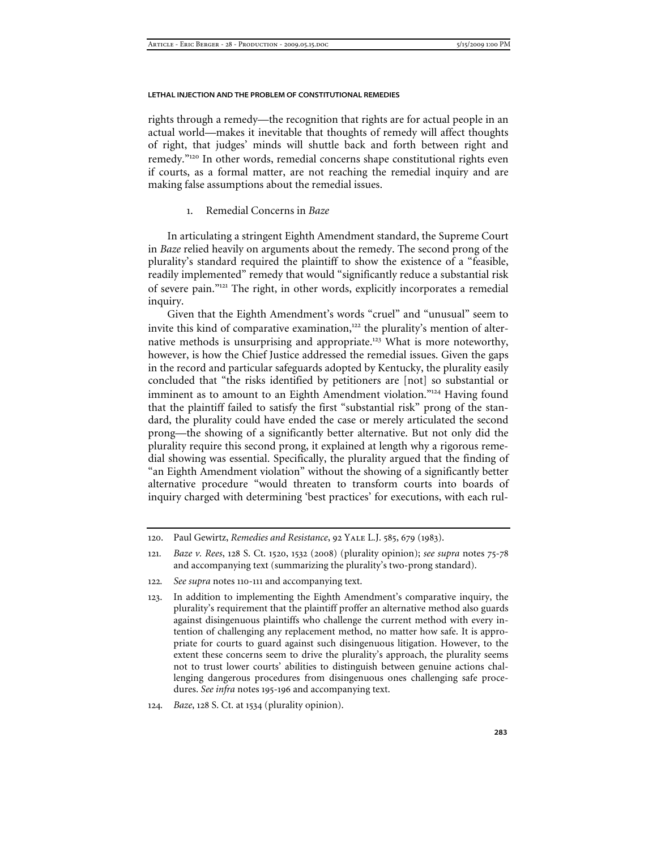rights through a remedy—the recognition that rights are for actual people in an actual world—makes it inevitable that thoughts of remedy will affect thoughts of right, that judges' minds will shuttle back and forth between right and remedy."<sup>120</sup> In other words, remedial concerns shape constitutional rights even if courts, as a formal matter, are not reaching the remedial inquiry and are making false assumptions about the remedial issues.

### 1. Remedial Concerns in *Baze*

In articulating a stringent Eighth Amendment standard, the Supreme Court in *Baze* relied heavily on arguments about the remedy. The second prong of the plurality's standard required the plaintiff to show the existence of a "feasible, readily implemented" remedy that would "significantly reduce a substantial risk of severe pain."<sup>121</sup> The right, in other words, explicitly incorporates a remedial inquiry.

Given that the Eighth Amendment's words "cruel" and "unusual" seem to invite this kind of comparative examination,<sup>122</sup> the plurality's mention of alternative methods is unsurprising and appropriate.<sup>123</sup> What is more noteworthy, however, is how the Chief Justice addressed the remedial issues. Given the gaps in the record and particular safeguards adopted by Kentucky, the plurality easily concluded that "the risks identified by petitioners are [not] so substantial or imminent as to amount to an Eighth Amendment violation."<sup>124</sup> Having found that the plaintiff failed to satisfy the first "substantial risk" prong of the standard, the plurality could have ended the case or merely articulated the second prong—the showing of a significantly better alternative. But not only did the plurality require this second prong, it explained at length why a rigorous remedial showing was essential. Specifically, the plurality argued that the finding of "an Eighth Amendment violation" without the showing of a significantly better alternative procedure "would threaten to transform courts into boards of inquiry charged with determining 'best practices' for executions, with each rul-

- 122*. See supra* notes 110-111 and accompanying text.
- 123. In addition to implementing the Eighth Amendment's comparative inquiry, the plurality's requirement that the plaintiff proffer an alternative method also guards against disingenuous plaintiffs who challenge the current method with every intention of challenging any replacement method, no matter how safe. It is appropriate for courts to guard against such disingenuous litigation. However, to the extent these concerns seem to drive the plurality's approach, the plurality seems not to trust lower courts' abilities to distinguish between genuine actions challenging dangerous procedures from disingenuous ones challenging safe procedures. *See infra* notes 195-196 and accompanying text.
- 124*. Baze*, 128 S. Ct. at 1534 (plurality opinion).

<sup>120</sup>. Paul Gewirtz, *Remedies and Resistance*, 92 Yale L.J. 585, 679 (1983).

<sup>121</sup>*. Baze v. Rees*, 128 S. Ct. 1520, 1532 (2008) (plurality opinion); *see supra* notes 75-78 and accompanying text (summarizing the plurality's two-prong standard).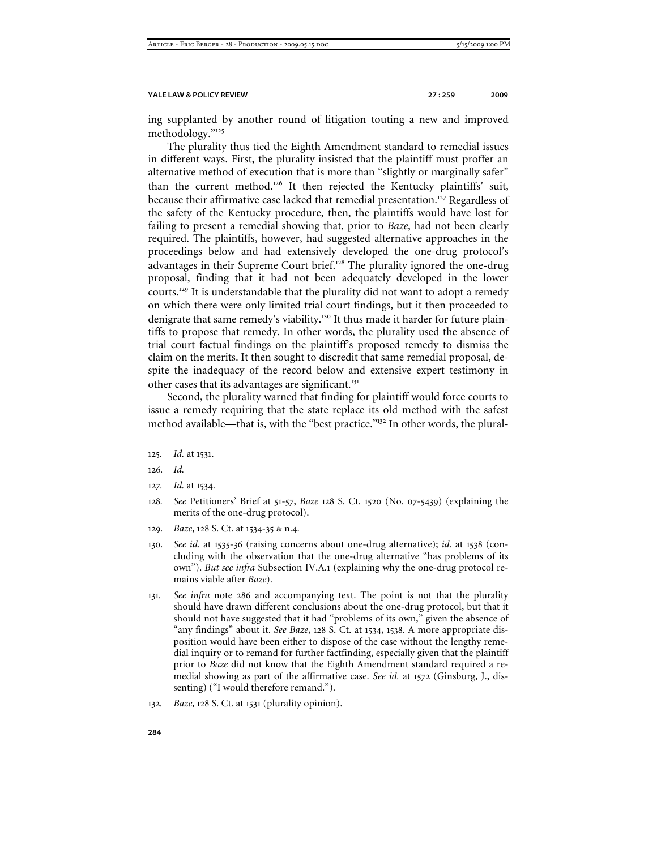ing supplanted by another round of litigation touting a new and improved methodology."<sup>125</sup>

The plurality thus tied the Eighth Amendment standard to remedial issues in different ways. First, the plurality insisted that the plaintiff must proffer an alternative method of execution that is more than "slightly or marginally safer" than the current method.<sup>126</sup> It then rejected the Kentucky plaintiffs' suit, because their affirmative case lacked that remedial presentation.<sup>127</sup> Regardless of the safety of the Kentucky procedure, then, the plaintiffs would have lost for failing to present a remedial showing that, prior to *Baze*, had not been clearly required. The plaintiffs, however, had suggested alternative approaches in the proceedings below and had extensively developed the one-drug protocol's advantages in their Supreme Court brief.<sup>128</sup> The plurality ignored the one-drug proposal, finding that it had not been adequately developed in the lower courts.<sup>129</sup> It is understandable that the plurality did not want to adopt a remedy on which there were only limited trial court findings, but it then proceeded to denigrate that same remedy's viability.<sup>130</sup> It thus made it harder for future plaintiffs to propose that remedy. In other words, the plurality used the absence of trial court factual findings on the plaintiff's proposed remedy to dismiss the claim on the merits. It then sought to discredit that same remedial proposal, despite the inadequacy of the record below and extensive expert testimony in other cases that its advantages are significant.<sup>131</sup>

Second, the plurality warned that finding for plaintiff would force courts to issue a remedy requiring that the state replace its old method with the safest method available—that is, with the "best practice."<sup>132</sup> In other words, the plural-

126*. Id.*

<sup>125</sup>*. Id.* at 1531.

<sup>127</sup>*. Id.* at 1534.

<sup>128</sup>*. See* Petitioners' Brief at 51-57, *Baze* 128 S. Ct. 1520 (No. 07-5439) (explaining the merits of the one-drug protocol).

<sup>129</sup>*. Baze*, 128 S. Ct. at 1534-35 & n.4.

<sup>130</sup>*. See id.* at 1535-36 (raising concerns about one-drug alternative); *id.* at 1538 (concluding with the observation that the one-drug alternative "has problems of its own"). *But see infra* Subsection IV.A.1 (explaining why the one-drug protocol remains viable after *Baze*).

<sup>131</sup>*. See infra* note 286 and accompanying text. The point is not that the plurality should have drawn different conclusions about the one-drug protocol, but that it should not have suggested that it had "problems of its own," given the absence of "any findings" about it. *See Baze*, 128 S. Ct. at 1534, 1538. A more appropriate disposition would have been either to dispose of the case without the lengthy remedial inquiry or to remand for further factfinding, especially given that the plaintiff prior to *Baze* did not know that the Eighth Amendment standard required a remedial showing as part of the affirmative case. *See id.* at 1572 (Ginsburg, J., dissenting) ("I would therefore remand.").

<sup>132</sup>*. Baze*, 128 S. Ct. at 1531 (plurality opinion).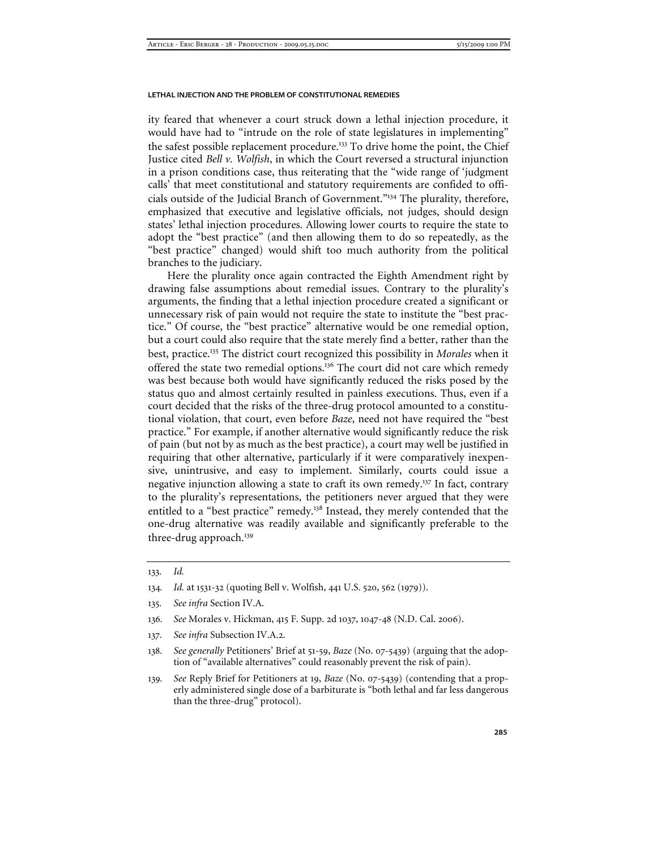ity feared that whenever a court struck down a lethal injection procedure, it would have had to "intrude on the role of state legislatures in implementing" the safest possible replacement procedure.<sup>133</sup> To drive home the point, the Chief Justice cited *Bell v. Wolfish*, in which the Court reversed a structural injunction in a prison conditions case, thus reiterating that the "wide range of 'judgment calls' that meet constitutional and statutory requirements are confided to officials outside of the Judicial Branch of Government."<sup>134</sup> The plurality, therefore, emphasized that executive and legislative officials, not judges, should design states' lethal injection procedures. Allowing lower courts to require the state to adopt the "best practice" (and then allowing them to do so repeatedly, as the "best practice" changed) would shift too much authority from the political branches to the judiciary.

Here the plurality once again contracted the Eighth Amendment right by drawing false assumptions about remedial issues. Contrary to the plurality's arguments, the finding that a lethal injection procedure created a significant or unnecessary risk of pain would not require the state to institute the "best practice." Of course, the "best practice" alternative would be one remedial option, but a court could also require that the state merely find a better, rather than the best, practice.<sup>135</sup> The district court recognized this possibility in *Morales* when it offered the state two remedial options.<sup>136</sup> The court did not care which remedy was best because both would have significantly reduced the risks posed by the status quo and almost certainly resulted in painless executions. Thus, even if a court decided that the risks of the three-drug protocol amounted to a constitutional violation, that court, even before *Baze*, need not have required the "best practice." For example, if another alternative would significantly reduce the risk of pain (but not by as much as the best practice), a court may well be justified in requiring that other alternative, particularly if it were comparatively inexpensive, unintrusive, and easy to implement. Similarly, courts could issue a negative injunction allowing a state to craft its own remedy.<sup>137</sup> In fact, contrary to the plurality's representations, the petitioners never argued that they were entitled to a "best practice" remedy.<sup>138</sup> Instead, they merely contended that the one-drug alternative was readily available and significantly preferable to the three-drug approach.<sup>139</sup>

- 135*. See infra* Section IV.A.
- 136*. See* Morales v. Hickman, 415 F. Supp. 2d 1037, 1047-48 (N.D. Cal. 2006).
- 137*. See infra* Subsection IV.A.2.
- 138*. See generally* Petitioners' Brief at 51-59, *Baze* (No. 07-5439) (arguing that the adoption of "available alternatives" could reasonably prevent the risk of pain).
- 139*. See* Reply Brief for Petitioners at 19, *Baze* (No. 07-5439) (contending that a properly administered single dose of a barbiturate is "both lethal and far less dangerous than the three-drug" protocol).

<sup>133</sup>*. Id.*

<sup>134</sup>*. Id.* at 1531-32 (quoting Bell v. Wolfish, 441 U.S. 520, 562 (1979)).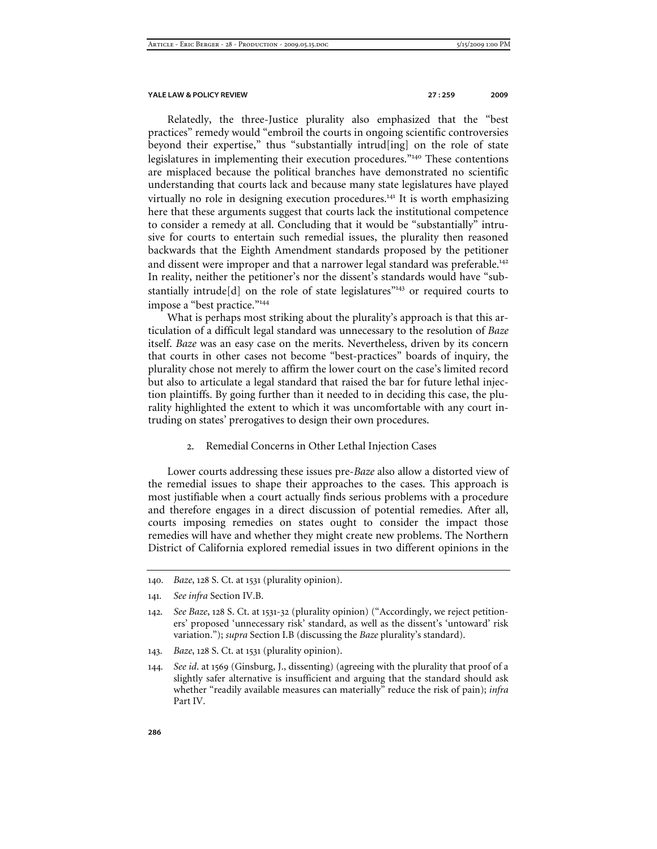Relatedly, the three-Justice plurality also emphasized that the "best practices" remedy would "embroil the courts in ongoing scientific controversies beyond their expertise," thus "substantially intrud[ing] on the role of state legislatures in implementing their execution procedures."<sup>140</sup> These contentions are misplaced because the political branches have demonstrated no scientific understanding that courts lack and because many state legislatures have played virtually no role in designing execution procedures.<sup>141</sup> It is worth emphasizing here that these arguments suggest that courts lack the institutional competence to consider a remedy at all. Concluding that it would be "substantially" intrusive for courts to entertain such remedial issues, the plurality then reasoned backwards that the Eighth Amendment standards proposed by the petitioner and dissent were improper and that a narrower legal standard was preferable.<sup>142</sup> In reality, neither the petitioner's nor the dissent's standards would have "substantially intrude $[d]$  on the role of state legislatures"<sup>143</sup> or required courts to impose a "best practice."<sup>144</sup>

What is perhaps most striking about the plurality's approach is that this articulation of a difficult legal standard was unnecessary to the resolution of *Baze*  itself. *Baze* was an easy case on the merits. Nevertheless, driven by its concern that courts in other cases not become "best-practices" boards of inquiry, the plurality chose not merely to affirm the lower court on the case's limited record but also to articulate a legal standard that raised the bar for future lethal injection plaintiffs. By going further than it needed to in deciding this case, the plurality highlighted the extent to which it was uncomfortable with any court intruding on states' prerogatives to design their own procedures.

Remedial Concerns in Other Lethal Injection Cases

Lower courts addressing these issues pre-*Baze* also allow a distorted view of the remedial issues to shape their approaches to the cases. This approach is most justifiable when a court actually finds serious problems with a procedure and therefore engages in a direct discussion of potential remedies. After all, courts imposing remedies on states ought to consider the impact those remedies will have and whether they might create new problems. The Northern District of California explored remedial issues in two different opinions in the

- 143*. Baze*, 128 S. Ct. at 1531 (plurality opinion).
- 144*. See id*. at 1569 (Ginsburg, J., dissenting) (agreeing with the plurality that proof of a slightly safer alternative is insufficient and arguing that the standard should ask whether "readily available measures can materially" reduce the risk of pain); *infra*  Part IV.

<sup>140</sup>*. Baze*, 128 S. Ct. at 1531 (plurality opinion).

<sup>141</sup>*. See infra* Section IV.B.

<sup>142</sup>*. See Baze*, 128 S. Ct. at 1531-32 (plurality opinion) ("Accordingly, we reject petitioners' proposed 'unnecessary risk' standard, as well as the dissent's 'untoward' risk variation."); *supra* Section I.B (discussing the *Baze* plurality's standard).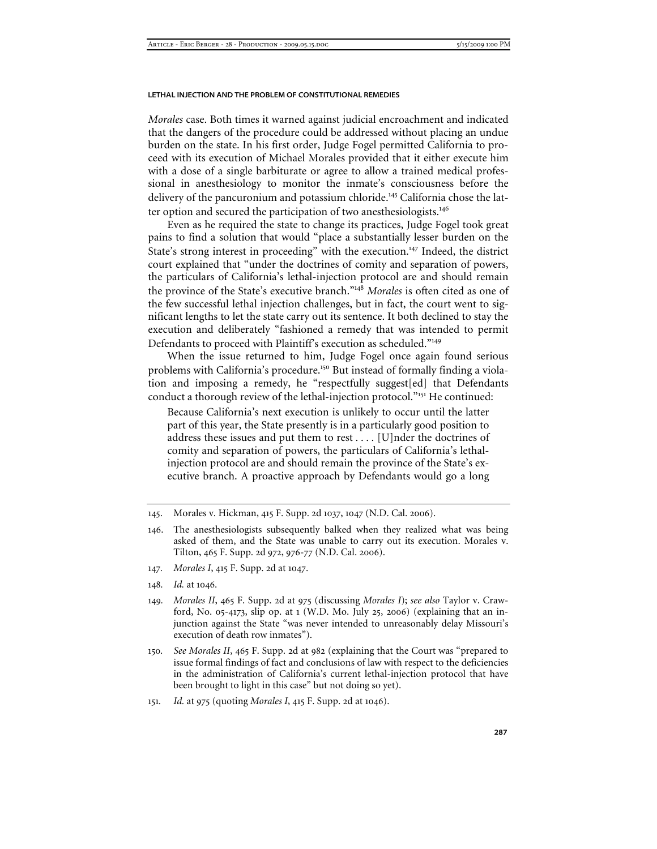#### **LETHAL INJECTION AND THE PROBLEM OF CONSTITUTIONAL REMEDIES**

*Morales* case. Both times it warned against judicial encroachment and indicated that the dangers of the procedure could be addressed without placing an undue burden on the state. In his first order, Judge Fogel permitted California to proceed with its execution of Michael Morales provided that it either execute him with a dose of a single barbiturate or agree to allow a trained medical professional in anesthesiology to monitor the inmate's consciousness before the delivery of the pancuronium and potassium chloride.<sup>145</sup> California chose the latter option and secured the participation of two anesthesiologists.<sup>146</sup>

Even as he required the state to change its practices, Judge Fogel took great pains to find a solution that would "place a substantially lesser burden on the State's strong interest in proceeding" with the execution.<sup>147</sup> Indeed, the district court explained that "under the doctrines of comity and separation of powers, the particulars of California's lethal-injection protocol are and should remain the province of the State's executive branch."<sup>148</sup> *Morales* is often cited as one of the few successful lethal injection challenges, but in fact, the court went to significant lengths to let the state carry out its sentence. It both declined to stay the execution and deliberately "fashioned a remedy that was intended to permit Defendants to proceed with Plaintiff's execution as scheduled."<sup>149</sup>

When the issue returned to him, Judge Fogel once again found serious problems with California's procedure.<sup>150</sup> But instead of formally finding a violation and imposing a remedy, he "respectfully suggest[ed] that Defendants conduct a thorough review of the lethal-injection protocol."<sup>151</sup> He continued:

Because California's next execution is unlikely to occur until the latter part of this year, the State presently is in a particularly good position to address these issues and put them to rest . . . . [U]nder the doctrines of comity and separation of powers, the particulars of California's lethalinjection protocol are and should remain the province of the State's executive branch. A proactive approach by Defendants would go a long

- 145. Morales v. Hickman, 415 F. Supp. 2d 1037, 1047 (N.D. Cal. 2006).
- 146. The anesthesiologists subsequently balked when they realized what was being asked of them, and the State was unable to carry out its execution. Morales v. Tilton, 465 F. Supp. 2d 972, 976-77 (N.D. Cal. 2006).
- 147*. Morales I*, 415 F. Supp. 2d at 1047.
- 148*. Id.* at 1046.
- 149*. Morales II*, 465 F. Supp. 2d at 975 (discussing *Morales I*); *see also* Taylor v. Crawford, No. 05-4173, slip op. at 1 (W.D. Mo. July 25, 2006) (explaining that an injunction against the State "was never intended to unreasonably delay Missouri's execution of death row inmates").
- 150*. See Morales II*, 465 F. Supp. 2d at 982 (explaining that the Court was "prepared to issue formal findings of fact and conclusions of law with respect to the deficiencies in the administration of California's current lethal-injection protocol that have been brought to light in this case" but not doing so yet).
- 151*. Id.* at 975 (quoting *Morales I*, 415 F. Supp. 2d at 1046).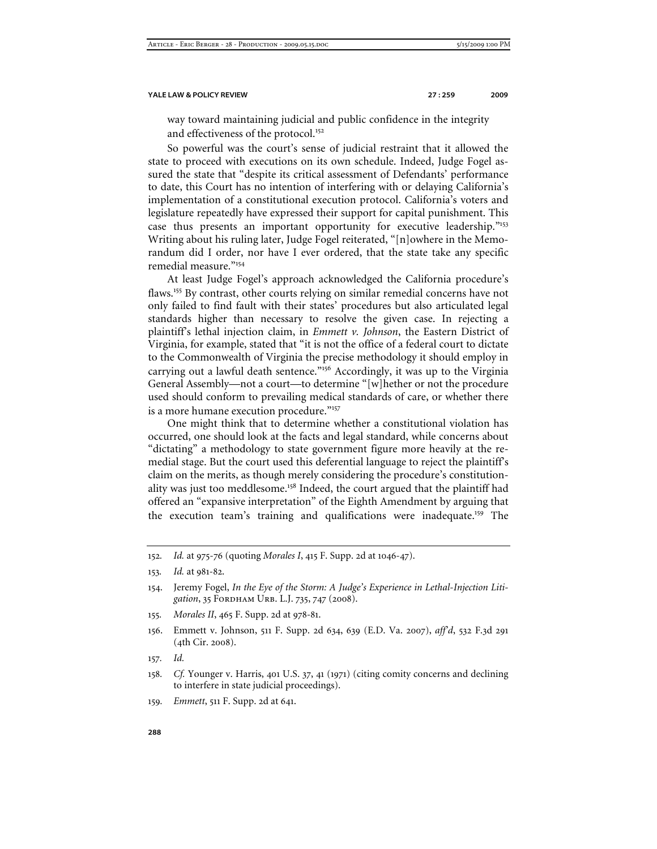way toward maintaining judicial and public confidence in the integrity and effectiveness of the protocol.<sup>152</sup>

So powerful was the court's sense of judicial restraint that it allowed the state to proceed with executions on its own schedule. Indeed, Judge Fogel assured the state that "despite its critical assessment of Defendants' performance to date, this Court has no intention of interfering with or delaying California's implementation of a constitutional execution protocol. California's voters and legislature repeatedly have expressed their support for capital punishment. This case thus presents an important opportunity for executive leadership."<sup>153</sup> Writing about his ruling later, Judge Fogel reiterated, "[n]owhere in the Memorandum did I order, nor have I ever ordered, that the state take any specific remedial measure."<sup>154</sup>

At least Judge Fogel's approach acknowledged the California procedure's flaws.<sup>155</sup> By contrast, other courts relying on similar remedial concerns have not only failed to find fault with their states' procedures but also articulated legal standards higher than necessary to resolve the given case. In rejecting a plaintiff's lethal injection claim, in *Emmett v. Johnson*, the Eastern District of Virginia, for example, stated that "it is not the office of a federal court to dictate to the Commonwealth of Virginia the precise methodology it should employ in carrying out a lawful death sentence."<sup>156</sup> Accordingly, it was up to the Virginia General Assembly—not a court—to determine "[w]hether or not the procedure used should conform to prevailing medical standards of care, or whether there is a more humane execution procedure."<sup>157</sup>

One might think that to determine whether a constitutional violation has occurred, one should look at the facts and legal standard, while concerns about "dictating" a methodology to state government figure more heavily at the remedial stage. But the court used this deferential language to reject the plaintiff's claim on the merits, as though merely considering the procedure's constitutionality was just too meddlesome.<sup>158</sup> Indeed, the court argued that the plaintiff had offered an "expansive interpretation" of the Eighth Amendment by arguing that the execution team's training and qualifications were inadequate.<sup>159</sup> The

- 155*. Morales II*, 465 F. Supp. 2d at 978-81.
- 156. Emmett v. Johnson, 511 F. Supp. 2d 634, 639 (E.D. Va. 2007), *aff'd*, 532 F.3d 291 (4th Cir. 2008).
- 157*. Id.*
- 158*. Cf.* Younger v. Harris, 401 U.S. 37, 41 (1971) (citing comity concerns and declining to interfere in state judicial proceedings).
- 159*. Emmett*, 511 F. Supp. 2d at 641.

<sup>152</sup>*. Id.* at 975-76 (quoting *Morales I*, 415 F. Supp. 2d at 1046-47).

<sup>153</sup>*. Id.* at 981-82.

<sup>154</sup>. Jeremy Fogel, *In the Eye of the Storm: A Judge's Experience in Lethal-Injection Litigation*, 35 Fordham Urb. L.J. 735, 747 (2008).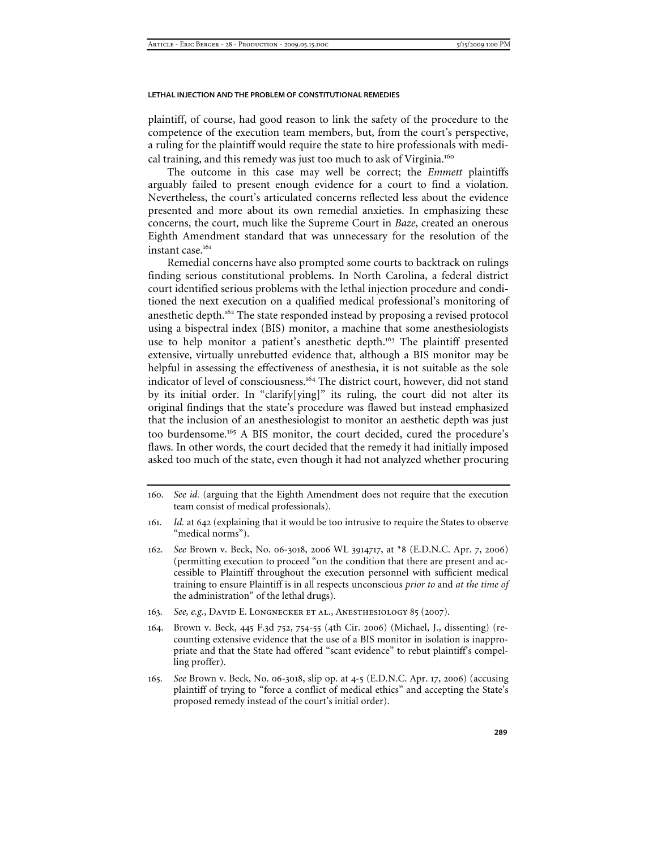plaintiff, of course, had good reason to link the safety of the procedure to the competence of the execution team members, but, from the court's perspective, a ruling for the plaintiff would require the state to hire professionals with medical training, and this remedy was just too much to ask of Virginia.<sup>160</sup>

The outcome in this case may well be correct; the *Emmett* plaintiffs arguably failed to present enough evidence for a court to find a violation. Nevertheless, the court's articulated concerns reflected less about the evidence presented and more about its own remedial anxieties. In emphasizing these concerns, the court, much like the Supreme Court in *Baze*, created an onerous Eighth Amendment standard that was unnecessary for the resolution of the instant case  $161$ 

Remedial concerns have also prompted some courts to backtrack on rulings finding serious constitutional problems. In North Carolina, a federal district court identified serious problems with the lethal injection procedure and conditioned the next execution on a qualified medical professional's monitoring of anesthetic depth.<sup>162</sup> The state responded instead by proposing a revised protocol using a bispectral index (BIS) monitor, a machine that some anesthesiologists use to help monitor a patient's anesthetic depth.<sup>163</sup> The plaintiff presented extensive, virtually unrebutted evidence that, although a BIS monitor may be helpful in assessing the effectiveness of anesthesia, it is not suitable as the sole indicator of level of consciousness.<sup>164</sup> The district court, however, did not stand by its initial order. In "clarify[ying]" its ruling, the court did not alter its original findings that the state's procedure was flawed but instead emphasized that the inclusion of an anesthesiologist to monitor an aesthetic depth was just too burdensome.<sup>165</sup> A BIS monitor, the court decided, cured the procedure's flaws. In other words, the court decided that the remedy it had initially imposed asked too much of the state, even though it had not analyzed whether procuring

- 164. Brown v. Beck, 445 F.3d 752, 754-55 (4th Cir. 2006) (Michael, J., dissenting) (recounting extensive evidence that the use of a BIS monitor in isolation is inappropriate and that the State had offered "scant evidence" to rebut plaintiff's compelling proffer).
- 165*. See* Brown v. Beck, No. 06-3018, slip op. at 4-5 (E.D.N.C. Apr. 17, 2006) (accusing plaintiff of trying to "force a conflict of medical ethics" and accepting the State's proposed remedy instead of the court's initial order).

<sup>160</sup>*. See id.* (arguing that the Eighth Amendment does not require that the execution team consist of medical professionals).

<sup>161</sup>*. Id.* at 642 (explaining that it would be too intrusive to require the States to observe "medical norms").

<sup>162</sup>*. See* Brown v. Beck, No. 06-3018, 2006 WL 3914717, at \*8 (E.D.N.C. Apr. 7, 2006) (permitting execution to proceed "on the condition that there are present and accessible to Plaintiff throughout the execution personnel with sufficient medical training to ensure Plaintiff is in all respects unconscious *prior to* and *at the time of* the administration" of the lethal drugs).

<sup>163</sup>*. See, e.g.*, David E. Longnecker et al., Anesthesiology 85 (2007).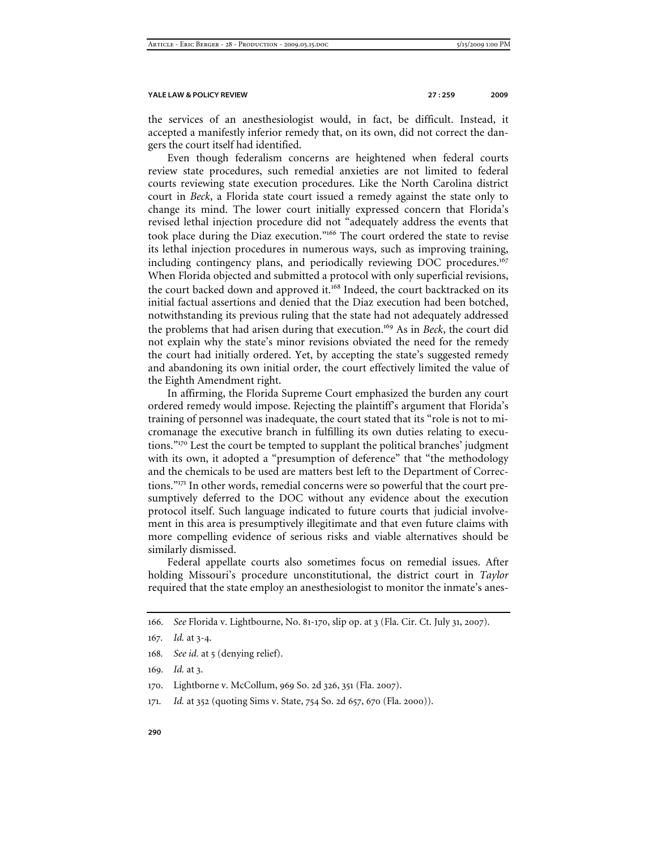the services of an anesthesiologist would, in fact, be difficult. Instead, it accepted a manifestly inferior remedy that, on its own, did not correct the dangers the court itself had identified.

Even though federalism concerns are heightened when federal courts review state procedures, such remedial anxieties are not limited to federal courts reviewing state execution procedures. Like the North Carolina district court in *Beck*, a Florida state court issued a remedy against the state only to change its mind. The lower court initially expressed concern that Florida's revised lethal injection procedure did not "adequately address the events that took place during the Diaz execution."<sup>166</sup> The court ordered the state to revise its lethal injection procedures in numerous ways, such as improving training, including contingency plans, and periodically reviewing DOC procedures.<sup>167</sup> When Florida objected and submitted a protocol with only superficial revisions, the court backed down and approved it.<sup>168</sup> Indeed, the court backtracked on its initial factual assertions and denied that the Diaz execution had been botched, notwithstanding its previous ruling that the state had not adequately addressed the problems that had arisen during that execution.<sup>169</sup> As in *Beck*, the court did not explain why the state's minor revisions obviated the need for the remedy the court had initially ordered. Yet, by accepting the state's suggested remedy and abandoning its own initial order, the court effectively limited the value of the Eighth Amendment right.

In affirming, the Florida Supreme Court emphasized the burden any court ordered remedy would impose. Rejecting the plaintiff's argument that Florida's training of personnel was inadequate, the court stated that its "role is not to micromanage the executive branch in fulfilling its own duties relating to executions."<sup>170</sup> Lest the court be tempted to supplant the political branches' judgment with its own, it adopted a "presumption of deference" that "the methodology and the chemicals to be used are matters best left to the Department of Corrections."<sup>171</sup> In other words, remedial concerns were so powerful that the court presumptively deferred to the DOC without any evidence about the execution protocol itself. Such language indicated to future courts that judicial involvement in this area is presumptively illegitimate and that even future claims with more compelling evidence of serious risks and viable alternatives should be similarly dismissed.

Federal appellate courts also sometimes focus on remedial issues. After holding Missouri's procedure unconstitutional, the district court in *Taylor*  required that the state employ an anesthesiologist to monitor the inmate's anes-

171*. Id.* at 352 (quoting Sims v. State, 754 So. 2d 657, 670 (Fla. 2000)).

<sup>166</sup>*. See* Florida v. Lightbourne, No. 81-170, slip op. at 3 (Fla. Cir. Ct. July 31, 2007).

<sup>167</sup>*. Id.* at 3-4.

<sup>168</sup>*. See id.* at 5 (denying relief).

<sup>169</sup>*. Id.* at 3.

<sup>170</sup>. Lightborne v. McCollum, 969 So. 2d 326, 351 (Fla. 2007).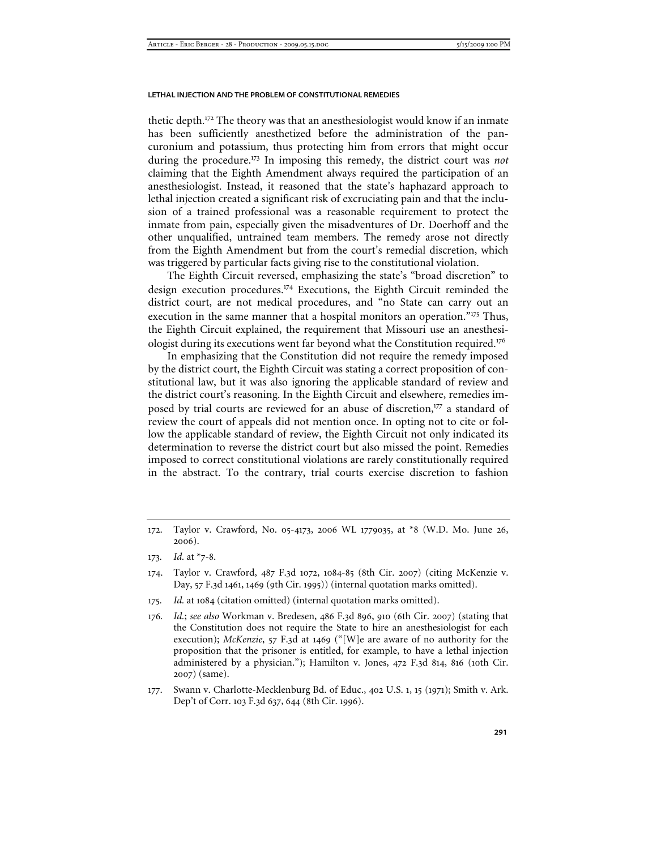thetic depth.<sup>172</sup> The theory was that an anesthesiologist would know if an inmate has been sufficiently anesthetized before the administration of the pancuronium and potassium, thus protecting him from errors that might occur during the procedure.<sup>173</sup> In imposing this remedy, the district court was *not* claiming that the Eighth Amendment always required the participation of an anesthesiologist. Instead, it reasoned that the state's haphazard approach to lethal injection created a significant risk of excruciating pain and that the inclusion of a trained professional was a reasonable requirement to protect the inmate from pain, especially given the misadventures of Dr. Doerhoff and the other unqualified, untrained team members. The remedy arose not directly from the Eighth Amendment but from the court's remedial discretion, which was triggered by particular facts giving rise to the constitutional violation.

The Eighth Circuit reversed, emphasizing the state's "broad discretion" to design execution procedures.<sup>174</sup> Executions, the Eighth Circuit reminded the district court, are not medical procedures, and "no State can carry out an execution in the same manner that a hospital monitors an operation."<sup>175</sup> Thus, the Eighth Circuit explained, the requirement that Missouri use an anesthesiologist during its executions went far beyond what the Constitution required.<sup>176</sup>

In emphasizing that the Constitution did not require the remedy imposed by the district court, the Eighth Circuit was stating a correct proposition of constitutional law, but it was also ignoring the applicable standard of review and the district court's reasoning. In the Eighth Circuit and elsewhere, remedies imposed by trial courts are reviewed for an abuse of discretion,<sup>177</sup> a standard of review the court of appeals did not mention once. In opting not to cite or follow the applicable standard of review, the Eighth Circuit not only indicated its determination to reverse the district court but also missed the point. Remedies imposed to correct constitutional violations are rarely constitutionally required in the abstract. To the contrary, trial courts exercise discretion to fashion

- 173*. Id.* at \*7-8.
- 174. Taylor v. Crawford, 487 F.3d 1072, 1084-85 (8th Cir. 2007) (citing McKenzie v. Day, 57 F.3d 1461, 1469 (9th Cir. 1995)) (internal quotation marks omitted).
- 175*. Id.* at 1084 (citation omitted) (internal quotation marks omitted).
- 176*. Id.*; *see also* Workman v. Bredesen, 486 F.3d 896, 910 (6th Cir. 2007) (stating that the Constitution does not require the State to hire an anesthesiologist for each execution); *McKenzie*, 57 F.3d at 1469 ("[W]e are aware of no authority for the proposition that the prisoner is entitled, for example, to have a lethal injection administered by a physician."); Hamilton v. Jones, 472 F.3d 814, 816 (10th Cir. 2007) (same).
- 177. Swann v. Charlotte-Mecklenburg Bd. of Educ., 402 U.S. 1, 15 (1971); Smith v. Ark. Dep't of Corr. 103 F.3d 637, 644 (8th Cir. 1996).

<sup>172</sup>. Taylor v. Crawford, No. 05-4173, 2006 WL 1779035, at \*8 (W.D. Mo. June 26, 2006).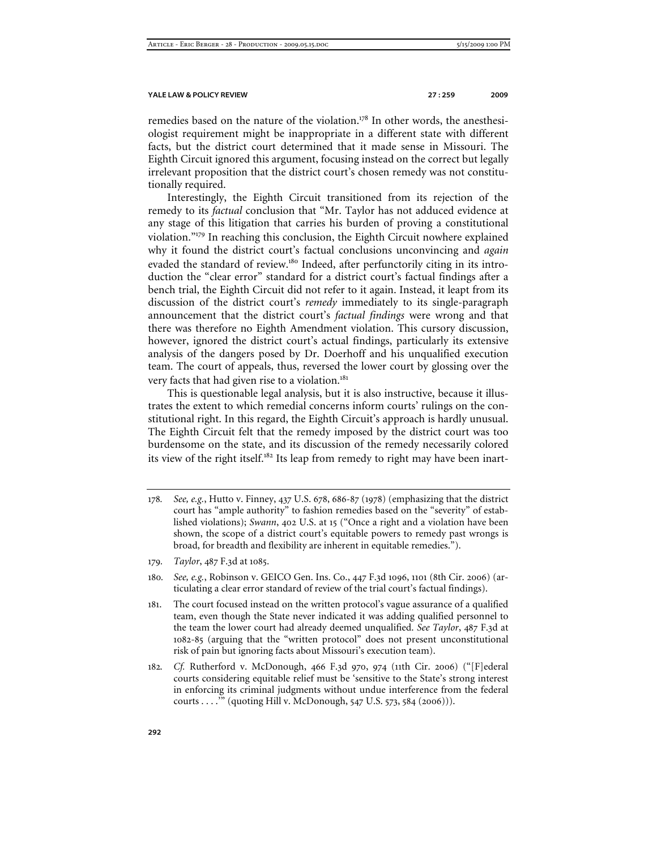#### **YALE LAW & POLICY REVIEW 27 : 259 2009**

remedies based on the nature of the violation.<sup>178</sup> In other words, the anesthesiologist requirement might be inappropriate in a different state with different facts, but the district court determined that it made sense in Missouri. The Eighth Circuit ignored this argument, focusing instead on the correct but legally irrelevant proposition that the district court's chosen remedy was not constitutionally required.

Interestingly, the Eighth Circuit transitioned from its rejection of the remedy to its *factual* conclusion that "Mr. Taylor has not adduced evidence at any stage of this litigation that carries his burden of proving a constitutional violation."<sup>179</sup> In reaching this conclusion, the Eighth Circuit nowhere explained why it found the district court's factual conclusions unconvincing and *again* evaded the standard of review.<sup>180</sup> Indeed, after perfunctorily citing in its introduction the "clear error" standard for a district court's factual findings after a bench trial, the Eighth Circuit did not refer to it again. Instead, it leapt from its discussion of the district court's *remedy* immediately to its single-paragraph announcement that the district court's *factual findings* were wrong and that there was therefore no Eighth Amendment violation. This cursory discussion, however, ignored the district court's actual findings, particularly its extensive analysis of the dangers posed by Dr. Doerhoff and his unqualified execution team. The court of appeals, thus, reversed the lower court by glossing over the very facts that had given rise to a violation.<sup>181</sup>

This is questionable legal analysis, but it is also instructive, because it illustrates the extent to which remedial concerns inform courts' rulings on the constitutional right. In this regard, the Eighth Circuit's approach is hardly unusual. The Eighth Circuit felt that the remedy imposed by the district court was too burdensome on the state, and its discussion of the remedy necessarily colored its view of the right itself.<sup>182</sup> Its leap from remedy to right may have been inart-

- 179*. Taylor*, 487 F.3d at 1085.
- 180*. See, e.g.*, Robinson v. GEICO Gen. Ins. Co., 447 F.3d 1096, 1101 (8th Cir. 2006) (articulating a clear error standard of review of the trial court's factual findings).
- 181. The court focused instead on the written protocol's vague assurance of a qualified team, even though the State never indicated it was adding qualified personnel to the team the lower court had already deemed unqualified. *See Taylor*, 487 F.3d at 1082-85 (arguing that the "written protocol" does not present unconstitutional risk of pain but ignoring facts about Missouri's execution team).
- 182*. Cf.* Rutherford v. McDonough, 466 F.3d 970, 974 (11th Cir. 2006) ("[F]ederal courts considering equitable relief must be 'sensitive to the State's strong interest in enforcing its criminal judgments without undue interference from the federal courts . . . .'" (quoting Hill v. McDonough, 547 U.S. 573, 584 (2006))).

<sup>178</sup>*. See, e.g.*, Hutto v. Finney, 437 U.S. 678, 686-87 (1978) (emphasizing that the district court has "ample authority" to fashion remedies based on the "severity" of established violations); *Swann*, 402 U.S. at 15 ("Once a right and a violation have been shown, the scope of a district court's equitable powers to remedy past wrongs is broad, for breadth and flexibility are inherent in equitable remedies.").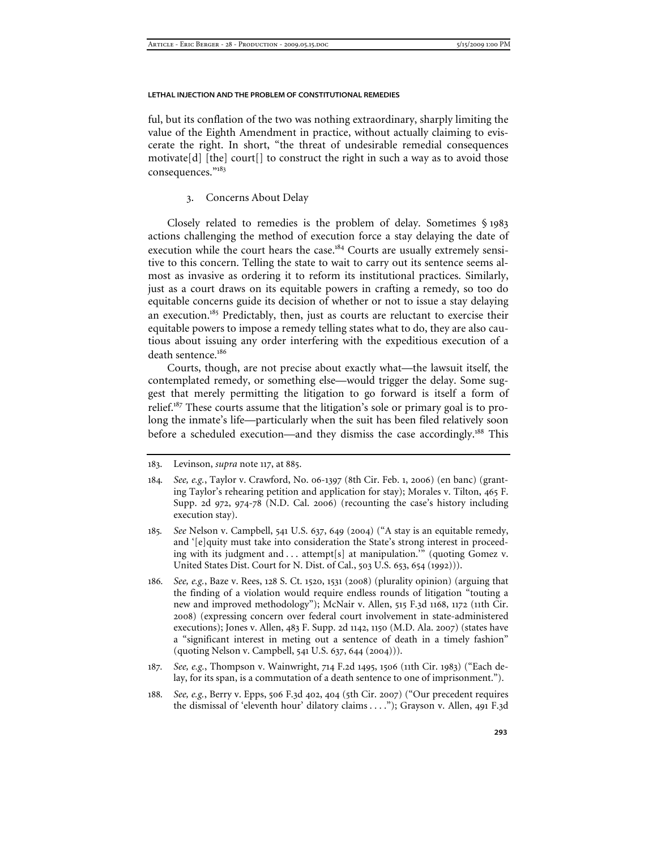#### **LETHAL INJECTION AND THE PROBLEM OF CONSTITUTIONAL REMEDIES**

ful, but its conflation of the two was nothing extraordinary, sharply limiting the value of the Eighth Amendment in practice, without actually claiming to eviscerate the right. In short, "the threat of undesirable remedial consequences motivate[d] [the] court[] to construct the right in such a way as to avoid those consequences."<sup>183</sup>

### 3. Concerns About Delay

Closely related to remedies is the problem of delay. Sometimes § 1983 actions challenging the method of execution force a stay delaying the date of execution while the court hears the case.<sup>184</sup> Courts are usually extremely sensitive to this concern. Telling the state to wait to carry out its sentence seems almost as invasive as ordering it to reform its institutional practices. Similarly, just as a court draws on its equitable powers in crafting a remedy, so too do equitable concerns guide its decision of whether or not to issue a stay delaying an execution.<sup>185</sup> Predictably, then, just as courts are reluctant to exercise their equitable powers to impose a remedy telling states what to do, they are also cautious about issuing any order interfering with the expeditious execution of a death sentence.<sup>186</sup>

Courts, though, are not precise about exactly what—the lawsuit itself, the contemplated remedy, or something else—would trigger the delay. Some suggest that merely permitting the litigation to go forward is itself a form of relief.<sup>187</sup> These courts assume that the litigation's sole or primary goal is to prolong the inmate's life—particularly when the suit has been filed relatively soon before a scheduled execution—and they dismiss the case accordingly.<sup>188</sup> This

- 187*. See, e.g.*, Thompson v. Wainwright, 714 F.2d 1495, 1506 (11th Cir. 1983) ("Each delay, for its span, is a commutation of a death sentence to one of imprisonment.").
- 188*. See, e.g.*, Berry v. Epps, 506 F.3d 402, 404 (5th Cir. 2007) ("Our precedent requires the dismissal of 'eleventh hour' dilatory claims . . . ."); Grayson v. Allen, 491 F.3d

<sup>183</sup>. Levinson, *supra* note 117, at 885.

<sup>184</sup>*. See, e.g.*, Taylor v. Crawford, No. 06-1397 (8th Cir. Feb. 1, 2006) (en banc) (granting Taylor's rehearing petition and application for stay); Morales v. Tilton, 465 F. Supp. 2d 972, 974-78 (N.D. Cal. 2006) (recounting the case's history including execution stay).

<sup>185</sup>*. See* Nelson v. Campbell, 541 U.S. 637, 649 (2004) ("A stay is an equitable remedy, and '[e]quity must take into consideration the State's strong interest in proceeding with its judgment and . . . attempt[s] at manipulation.'" (quoting Gomez v. United States Dist. Court for N. Dist. of Cal., 503 U.S. 653, 654 (1992))).

<sup>186</sup>*. See, e.g.*, Baze v. Rees, 128 S. Ct. 1520, 1531 (2008) (plurality opinion) (arguing that the finding of a violation would require endless rounds of litigation "touting a new and improved methodology"); McNair v. Allen, 515 F.3d 1168, 1172 (11th Cir. 2008) (expressing concern over federal court involvement in state-administered executions); Jones v. Allen, 483 F. Supp. 2d 1142, 1150 (M.D. Ala. 2007) (states have a "significant interest in meting out a sentence of death in a timely fashion" (quoting Nelson v. Campbell, 541 U.S. 637, 644 (2004))).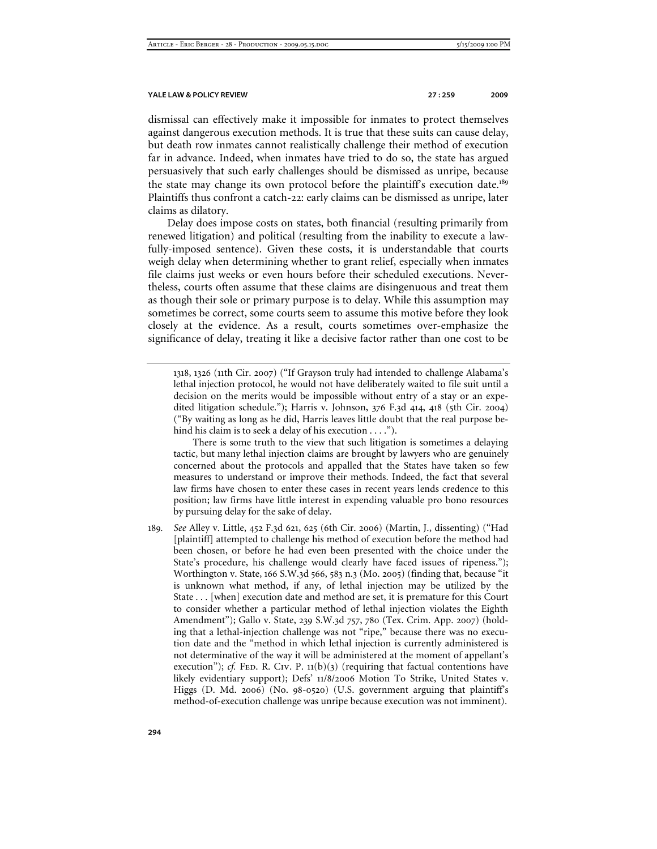dismissal can effectively make it impossible for inmates to protect themselves against dangerous execution methods. It is true that these suits can cause delay, but death row inmates cannot realistically challenge their method of execution far in advance. Indeed, when inmates have tried to do so, the state has argued persuasively that such early challenges should be dismissed as unripe, because the state may change its own protocol before the plaintiff's execution date.<sup>189</sup> Plaintiffs thus confront a catch-22: early claims can be dismissed as unripe, later claims as dilatory.

Delay does impose costs on states, both financial (resulting primarily from renewed litigation) and political (resulting from the inability to execute a lawfully-imposed sentence). Given these costs, it is understandable that courts weigh delay when determining whether to grant relief, especially when inmates file claims just weeks or even hours before their scheduled executions. Nevertheless, courts often assume that these claims are disingenuous and treat them as though their sole or primary purpose is to delay. While this assumption may sometimes be correct, some courts seem to assume this motive before they look closely at the evidence. As a result, courts sometimes over-emphasize the significance of delay, treating it like a decisive factor rather than one cost to be

1318, 1326 (11th Cir. 2007) ("If Grayson truly had intended to challenge Alabama's lethal injection protocol, he would not have deliberately waited to file suit until a decision on the merits would be impossible without entry of a stay or an expedited litigation schedule."); Harris v. Johnson, 376 F.3d 414, 418 (5th Cir. 2004) ("By waiting as long as he did, Harris leaves little doubt that the real purpose behind his claim is to seek a delay of his execution . . . .").

 There is some truth to the view that such litigation is sometimes a delaying tactic, but many lethal injection claims are brought by lawyers who are genuinely concerned about the protocols and appalled that the States have taken so few measures to understand or improve their methods. Indeed, the fact that several law firms have chosen to enter these cases in recent years lends credence to this position; law firms have little interest in expending valuable pro bono resources by pursuing delay for the sake of delay.

189*. See* Alley v. Little, 452 F.3d 621, 625 (6th Cir. 2006) (Martin, J., dissenting) ("Had [plaintiff] attempted to challenge his method of execution before the method had been chosen, or before he had even been presented with the choice under the State's procedure, his challenge would clearly have faced issues of ripeness."); Worthington v. State, 166 S.W.3d 566, 583 n.3 (Mo. 2005) (finding that, because "it is unknown what method, if any, of lethal injection may be utilized by the State . . . [when] execution date and method are set, it is premature for this Court to consider whether a particular method of lethal injection violates the Eighth Amendment"); Gallo v. State, 239 S.W.3d 757, 780 (Tex. Crim. App. 2007) (holding that a lethal-injection challenge was not "ripe," because there was no execution date and the "method in which lethal injection is currently administered is not determinative of the way it will be administered at the moment of appellant's execution");  $cf.$  Fed. R. Civ. P.  $11(b)(3)$  (requiring that factual contentions have likely evidentiary support); Defs' 11/8/2006 Motion To Strike, United States v. Higgs (D. Md. 2006) (No. 98-0520) (U.S. government arguing that plaintiff's method-of-execution challenge was unripe because execution was not imminent).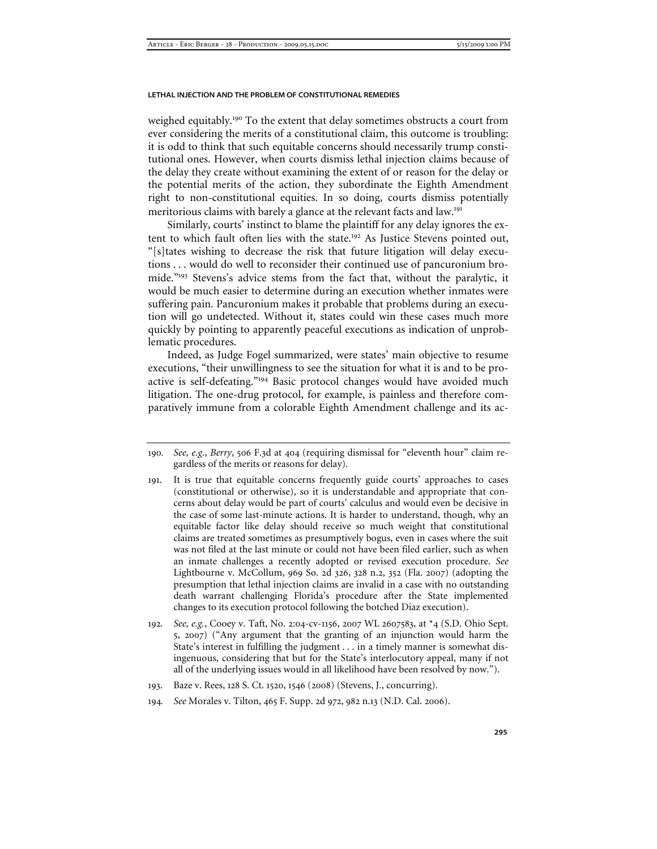weighed equitably.<sup>190</sup> To the extent that delay sometimes obstructs a court from ever considering the merits of a constitutional claim, this outcome is troubling: it is odd to think that such equitable concerns should necessarily trump constitutional ones. However, when courts dismiss lethal injection claims because of the delay they create without examining the extent of or reason for the delay or the potential merits of the action, they subordinate the Eighth Amendment right to non-constitutional equities. In so doing, courts dismiss potentially meritorious claims with barely a glance at the relevant facts and law.<sup>191</sup>

Similarly, courts' instinct to blame the plaintiff for any delay ignores the extent to which fault often lies with the state.<sup>192</sup> As Justice Stevens pointed out, "[s]tates wishing to decrease the risk that future litigation will delay executions . . . would do well to reconsider their continued use of pancuronium bromide."<sup>193</sup> Stevens's advice stems from the fact that, without the paralytic, it would be much easier to determine during an execution whether inmates were suffering pain. Pancuronium makes it probable that problems during an execution will go undetected. Without it, states could win these cases much more quickly by pointing to apparently peaceful executions as indication of unproblematic procedures.

Indeed, as Judge Fogel summarized, were states' main objective to resume executions, "their unwillingness to see the situation for what it is and to be proactive is self-defeating."<sup>194</sup> Basic protocol changes would have avoided much litigation. The one-drug protocol, for example, is painless and therefore comparatively immune from a colorable Eighth Amendment challenge and its ac-

- 191. It is true that equitable concerns frequently guide courts' approaches to cases (constitutional or otherwise), so it is understandable and appropriate that concerns about delay would be part of courts' calculus and would even be decisive in the case of some last-minute actions. It is harder to understand, though, why an equitable factor like delay should receive so much weight that constitutional claims are treated sometimes as presumptively bogus, even in cases where the suit was not filed at the last minute or could not have been filed earlier, such as when an inmate challenges a recently adopted or revised execution procedure. *See*  Lightbourne v. McCollum, 969 So. 2d 326, 328 n.2, 352 (Fla. 2007) (adopting the presumption that lethal injection claims are invalid in a case with no outstanding death warrant challenging Florida's procedure after the State implemented changes to its execution protocol following the botched Diaz execution).
- 192*. See, e.g.*, Cooey v. Taft, No. 2:04-cv-1156, 2007 WL 2607583, at \*4 (S.D. Ohio Sept. 5, 2007) ("Any argument that the granting of an injunction would harm the State's interest in fulfilling the judgment . . . in a timely manner is somewhat disingenuous, considering that but for the State's interlocutory appeal, many if not all of the underlying issues would in all likelihood have been resolved by now.").
- 193. Baze v. Rees, 128 S. Ct. 1520, 1546 (2008) (Stevens, J., concurring).
- 194*. See* Morales v. Tilton, 465 F. Supp. 2d 972, 982 n.13 (N.D. Cal. 2006).

<sup>190</sup>*. See, e.g.*, *Berry*, 506 F.3d at 404 (requiring dismissal for "eleventh hour" claim regardless of the merits or reasons for delay).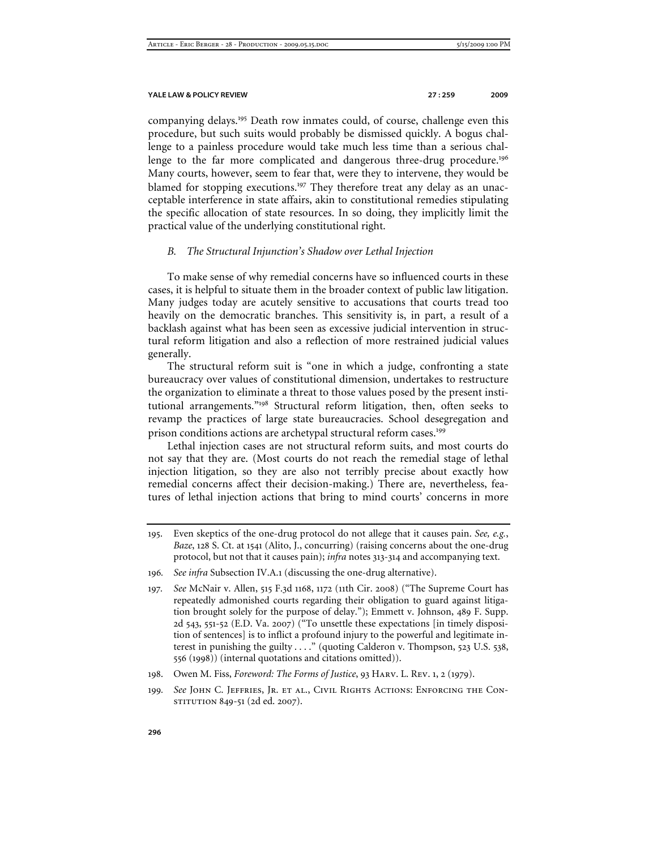companying delays.<sup>195</sup> Death row inmates could, of course, challenge even this procedure, but such suits would probably be dismissed quickly. A bogus challenge to a painless procedure would take much less time than a serious challenge to the far more complicated and dangerous three-drug procedure.<sup>196</sup> Many courts, however, seem to fear that, were they to intervene, they would be blamed for stopping executions.<sup>197</sup> They therefore treat any delay as an unacceptable interference in state affairs, akin to constitutional remedies stipulating the specific allocation of state resources. In so doing, they implicitly limit the practical value of the underlying constitutional right.

## *B. The Structural Injunction's Shadow over Lethal Injection*

To make sense of why remedial concerns have so influenced courts in these cases, it is helpful to situate them in the broader context of public law litigation. Many judges today are acutely sensitive to accusations that courts tread too heavily on the democratic branches. This sensitivity is, in part, a result of a backlash against what has been seen as excessive judicial intervention in structural reform litigation and also a reflection of more restrained judicial values generally.

The structural reform suit is "one in which a judge, confronting a state bureaucracy over values of constitutional dimension, undertakes to restructure the organization to eliminate a threat to those values posed by the present institutional arrangements."<sup>198</sup> Structural reform litigation, then, often seeks to revamp the practices of large state bureaucracies. School desegregation and prison conditions actions are archetypal structural reform cases.<sup>199</sup>

Lethal injection cases are not structural reform suits, and most courts do not say that they are. (Most courts do not reach the remedial stage of lethal injection litigation, so they are also not terribly precise about exactly how remedial concerns affect their decision-making.) There are, nevertheless, features of lethal injection actions that bring to mind courts' concerns in more

<sup>195</sup>. Even skeptics of the one-drug protocol do not allege that it causes pain. *See, e.g.*, *Baze*, 128 S. Ct. at 1541 (Alito, J., concurring) (raising concerns about the one-drug protocol, but not that it causes pain); *infra* notes 313-314 and accompanying text.

<sup>196</sup>*. See infra* Subsection IV.A.1 (discussing the one-drug alternative).

<sup>197</sup>*. See* McNair v. Allen, 515 F.3d 1168, 1172 (11th Cir. 2008) ("The Supreme Court has repeatedly admonished courts regarding their obligation to guard against litigation brought solely for the purpose of delay."); Emmett v. Johnson, 489 F. Supp. 2d 543, 551-52 (E.D. Va. 2007) ("To unsettle these expectations [in timely disposition of sentences] is to inflict a profound injury to the powerful and legitimate interest in punishing the guilty . . . . " (quoting Calderon v. Thompson, 523 U.S. 538, 556 (1998)) (internal quotations and citations omitted)).

<sup>198</sup>. Owen M. Fiss, *Foreword: The Forms of Justice*, 93 Harv. L. Rev. 1, 2 (1979).

<sup>199</sup>*. See* John C. Jeffries, Jr. et al., Civil Rights Actions: Enforcing the Constitution 849-51 (2d ed. 2007).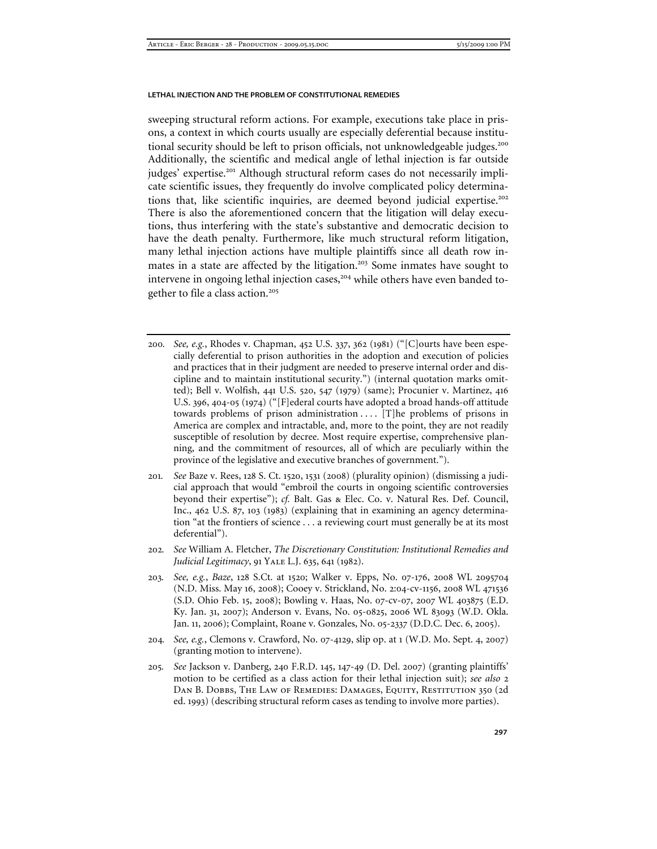### **LETHAL INJECTION AND THE PROBLEM OF CONSTITUTIONAL REMEDIES**

sweeping structural reform actions. For example, executions take place in prisons, a context in which courts usually are especially deferential because institutional security should be left to prison officials, not unknowledgeable judges.<sup>200</sup> Additionally, the scientific and medical angle of lethal injection is far outside judges' expertise.<sup>201</sup> Although structural reform cases do not necessarily implicate scientific issues, they frequently do involve complicated policy determinations that, like scientific inquiries, are deemed beyond judicial expertise.<sup>202</sup> There is also the aforementioned concern that the litigation will delay executions, thus interfering with the state's substantive and democratic decision to have the death penalty. Furthermore, like much structural reform litigation, many lethal injection actions have multiple plaintiffs since all death row inmates in a state are affected by the litigation.<sup>203</sup> Some inmates have sought to intervene in ongoing lethal injection cases, $204$  while others have even banded together to file a class action.<sup>205</sup>

- 200*. See, e.g.*, Rhodes v. Chapman, 452 U.S. 337, 362 (1981) ("[C]ourts have been especially deferential to prison authorities in the adoption and execution of policies and practices that in their judgment are needed to preserve internal order and discipline and to maintain institutional security.") (internal quotation marks omitted); Bell v. Wolfish, 441 U.S. 520, 547 (1979) (same); Procunier v. Martinez, 416 U.S. 396, 404-05 (1974) ("[F]ederal courts have adopted a broad hands-off attitude towards problems of prison administration .... [T]he problems of prisons in America are complex and intractable, and, more to the point, they are not readily susceptible of resolution by decree. Most require expertise, comprehensive planning, and the commitment of resources, all of which are peculiarly within the province of the legislative and executive branches of government.").
- 201*. See* Baze v. Rees, 128 S. Ct. 1520, 1531 (2008) (plurality opinion) (dismissing a judicial approach that would "embroil the courts in ongoing scientific controversies beyond their expertise"); *cf.* Balt. Gas & Elec. Co. v. Natural Res. Def. Council, Inc., 462 U.S. 87, 103 (1983) (explaining that in examining an agency determination "at the frontiers of science . . . a reviewing court must generally be at its most deferential").
- 202*. See* William A. Fletcher, *The Discretionary Constitution: Institutional Remedies and Judicial Legitimacy*, 91 Yale L.J. 635, 641 (1982).
- 203*. See, e.g.*, *Baze*, 128 S.Ct. at 1520; Walker v. Epps, No. 07-176, 2008 WL 2095704 (N.D. Miss. May 16, 2008); Cooey v. Strickland, No. 2:04-cv-1156, 2008 WL 471536 (S.D. Ohio Feb. 15, 2008); Bowling v. Haas, No. 07-cv-07, 2007 WL 403875 (E.D. Ky. Jan. 31, 2007); Anderson v. Evans, No. 05-0825, 2006 WL 83093 (W.D. Okla. Jan. 11, 2006); Complaint, Roane v. Gonzales, No. 05-2337 (D.D.C. Dec. 6, 2005).
- 204*. See, e.g.*, Clemons v. Crawford, No. 07-4129, slip op. at 1 (W.D. Mo. Sept. 4, 2007) (granting motion to intervene).
- 205*. See* Jackson v. Danberg, 240 F.R.D. 145, 147-49 (D. Del. 2007) (granting plaintiffs' motion to be certified as a class action for their lethal injection suit); *see also* 2 Dan B. Dobbs, The Law of Remedies: Damages, Equity, Restitution 350 (2d ed. 1993) (describing structural reform cases as tending to involve more parties).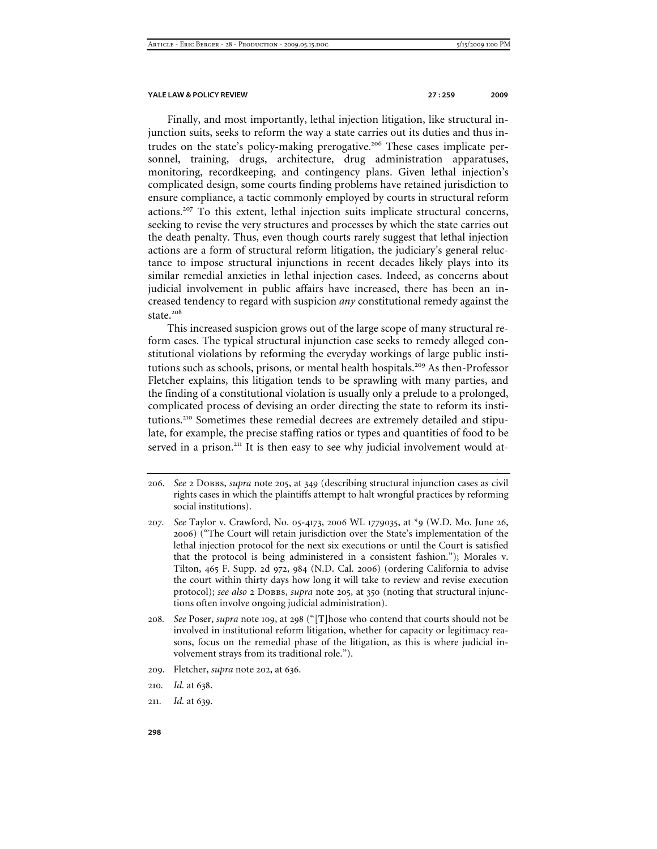Finally, and most importantly, lethal injection litigation, like structural injunction suits, seeks to reform the way a state carries out its duties and thus intrudes on the state's policy-making prerogative.<sup>206</sup> These cases implicate personnel, training, drugs, architecture, drug administration apparatuses, monitoring, recordkeeping, and contingency plans. Given lethal injection's complicated design, some courts finding problems have retained jurisdiction to ensure compliance, a tactic commonly employed by courts in structural reform actions.<sup>207</sup> To this extent, lethal injection suits implicate structural concerns, seeking to revise the very structures and processes by which the state carries out the death penalty. Thus, even though courts rarely suggest that lethal injection actions are a form of structural reform litigation, the judiciary's general reluctance to impose structural injunctions in recent decades likely plays into its similar remedial anxieties in lethal injection cases. Indeed, as concerns about judicial involvement in public affairs have increased, there has been an increased tendency to regard with suspicion *any* constitutional remedy against the state.<sup>208</sup>

This increased suspicion grows out of the large scope of many structural reform cases. The typical structural injunction case seeks to remedy alleged constitutional violations by reforming the everyday workings of large public institutions such as schools, prisons, or mental health hospitals.<sup>209</sup> As then-Professor Fletcher explains, this litigation tends to be sprawling with many parties, and the finding of a constitutional violation is usually only a prelude to a prolonged, complicated process of devising an order directing the state to reform its institutions.<sup>210</sup> Sometimes these remedial decrees are extremely detailed and stipulate, for example, the precise staffing ratios or types and quantities of food to be served in a prison.<sup>211</sup> It is then easy to see why judicial involvement would at-

<sup>206</sup>*. See* 2 Dobbs, *supra* note 205, at 349 (describing structural injunction cases as civil rights cases in which the plaintiffs attempt to halt wrongful practices by reforming social institutions).

<sup>207</sup>*. See* Taylor v. Crawford, No. 05-4173, 2006 WL 1779035, at \*9 (W.D. Mo. June 26, 2006) ("The Court will retain jurisdiction over the State's implementation of the lethal injection protocol for the next six executions or until the Court is satisfied that the protocol is being administered in a consistent fashion."); Morales v. Tilton, 465 F. Supp. 2d 972, 984 (N.D. Cal. 2006) (ordering California to advise the court within thirty days how long it will take to review and revise execution protocol); *see also* 2 DOBBS, *supra* note 205, at 350 (noting that structural injunctions often involve ongoing judicial administration).

<sup>208</sup>*. See* Poser, *supra* note 109, at 298 ("[T]hose who contend that courts should not be involved in institutional reform litigation, whether for capacity or legitimacy reasons, focus on the remedial phase of the litigation, as this is where judicial involvement strays from its traditional role.").

<sup>209</sup>. Fletcher, *supra* note 202, at 636.

<sup>210</sup>*. Id.* at 638.

<sup>211</sup>*. Id.* at 639.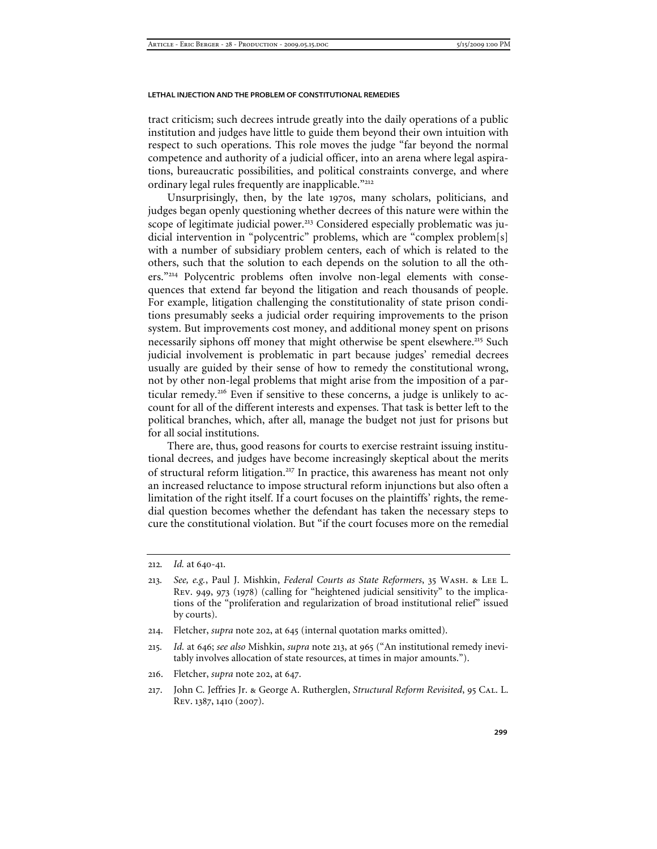tract criticism; such decrees intrude greatly into the daily operations of a public institution and judges have little to guide them beyond their own intuition with respect to such operations. This role moves the judge "far beyond the normal competence and authority of a judicial officer, into an arena where legal aspirations, bureaucratic possibilities, and political constraints converge, and where ordinary legal rules frequently are inapplicable."<sup>212</sup>

Unsurprisingly, then, by the late 1970s, many scholars, politicians, and judges began openly questioning whether decrees of this nature were within the scope of legitimate judicial power.<sup>213</sup> Considered especially problematic was judicial intervention in "polycentric" problems, which are "complex problem[s] with a number of subsidiary problem centers, each of which is related to the others, such that the solution to each depends on the solution to all the others."<sup>214</sup> Polycentric problems often involve non-legal elements with consequences that extend far beyond the litigation and reach thousands of people. For example, litigation challenging the constitutionality of state prison conditions presumably seeks a judicial order requiring improvements to the prison system. But improvements cost money, and additional money spent on prisons necessarily siphons off money that might otherwise be spent elsewhere.<sup>215</sup> Such judicial involvement is problematic in part because judges' remedial decrees usually are guided by their sense of how to remedy the constitutional wrong, not by other non-legal problems that might arise from the imposition of a particular remedy.<sup>216</sup> Even if sensitive to these concerns, a judge is unlikely to account for all of the different interests and expenses. That task is better left to the political branches, which, after all, manage the budget not just for prisons but for all social institutions.

There are, thus, good reasons for courts to exercise restraint issuing institutional decrees, and judges have become increasingly skeptical about the merits of structural reform litigation.<sup>217</sup> In practice, this awareness has meant not only an increased reluctance to impose structural reform injunctions but also often a limitation of the right itself. If a court focuses on the plaintiffs' rights, the remedial question becomes whether the defendant has taken the necessary steps to cure the constitutional violation. But "if the court focuses more on the remedial

- 214. Fletcher, *supra* note 202, at 645 (internal quotation marks omitted).
- 215*. Id.* at 646; *see also* Mishkin, *supra* note 213, at 965 ("An institutional remedy inevitably involves allocation of state resources, at times in major amounts.").
- 216. Fletcher, *supra* note 202, at 647.
- 217. John C. Jeffries Jr. & George A. Rutherglen, *Structural Reform Revisited*, 95 Cal. L. Rev. 1387, 1410 (2007).

<sup>212</sup>*. Id.* at 640-41.

<sup>213</sup>*. See, e.g.*, Paul J. Mishkin, *Federal Courts as State Reformers*, 35 Wash. & Lee L. Rev. 949, 973 (1978) (calling for "heightened judicial sensitivity" to the implications of the "proliferation and regularization of broad institutional relief" issued by courts).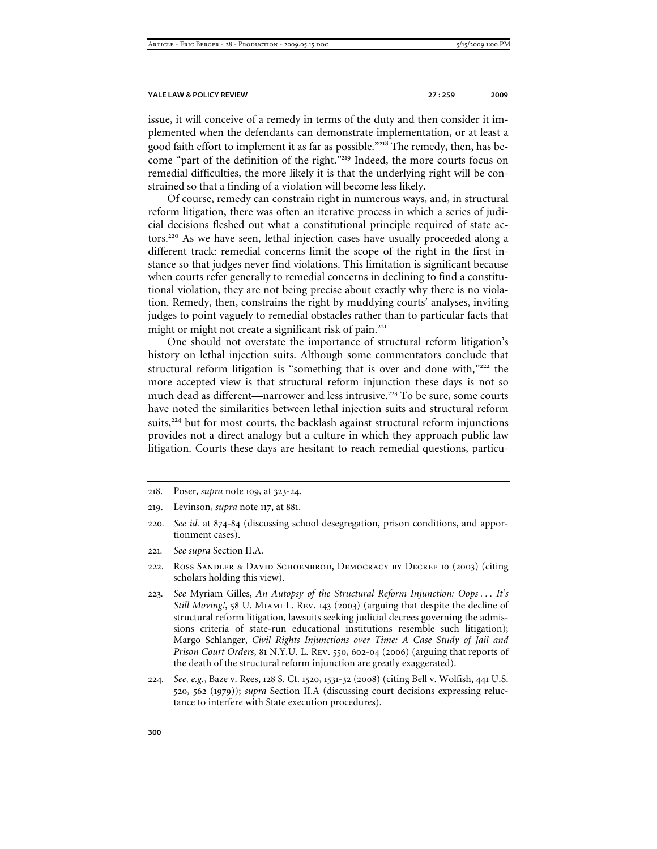issue, it will conceive of a remedy in terms of the duty and then consider it implemented when the defendants can demonstrate implementation, or at least a good faith effort to implement it as far as possible."<sup>218</sup> The remedy, then, has become "part of the definition of the right."<sup>219</sup> Indeed, the more courts focus on remedial difficulties, the more likely it is that the underlying right will be constrained so that a finding of a violation will become less likely.

Of course, remedy can constrain right in numerous ways, and, in structural reform litigation, there was often an iterative process in which a series of judicial decisions fleshed out what a constitutional principle required of state actors.<sup>220</sup> As we have seen, lethal injection cases have usually proceeded along a different track: remedial concerns limit the scope of the right in the first instance so that judges never find violations. This limitation is significant because when courts refer generally to remedial concerns in declining to find a constitutional violation, they are not being precise about exactly why there is no violation. Remedy, then, constrains the right by muddying courts' analyses, inviting judges to point vaguely to remedial obstacles rather than to particular facts that might or might not create a significant risk of pain.<sup>221</sup>

One should not overstate the importance of structural reform litigation's history on lethal injection suits. Although some commentators conclude that structural reform litigation is "something that is over and done with,"222 the more accepted view is that structural reform injunction these days is not so much dead as different—narrower and less intrusive.<sup>223</sup> To be sure, some courts have noted the similarities between lethal injection suits and structural reform suits,<sup>224</sup> but for most courts, the backlash against structural reform injunctions provides not a direct analogy but a culture in which they approach public law litigation. Courts these days are hesitant to reach remedial questions, particu-

- 221*. See supra* Section II.A.
- 222. Ross Sandler & David Schoenbrod, Democracy by Decree 10 (2003) (citing scholars holding this view).
- 223*. See* Myriam Gilles, *An Autopsy of the Structural Reform Injunction: Oops . . . It's Still Moving!*, 58 U. Miami L. Rev. 143 (2003) (arguing that despite the decline of structural reform litigation, lawsuits seeking judicial decrees governing the admissions criteria of state-run educational institutions resemble such litigation); Margo Schlanger, *Civil Rights Injunctions over Time: A Case Study of Jail and Prison Court Orders*, 81 N.Y.U. L. Rev. 550, 602-04 (2006) (arguing that reports of the death of the structural reform injunction are greatly exaggerated).
- 224*. See, e.g.*, Baze v. Rees, 128 S. Ct. 1520, 1531-32 (2008) (citing Bell v. Wolfish, 441 U.S. 520, 562 (1979)); *supra* Section II.A (discussing court decisions expressing reluctance to interfere with State execution procedures).

<sup>218</sup>. Poser, *supra* note 109, at 323-24.

<sup>219</sup>. Levinson, *supra* note 117, at 881.

<sup>220</sup>*. See id.* at 874-84 (discussing school desegregation, prison conditions, and apportionment cases).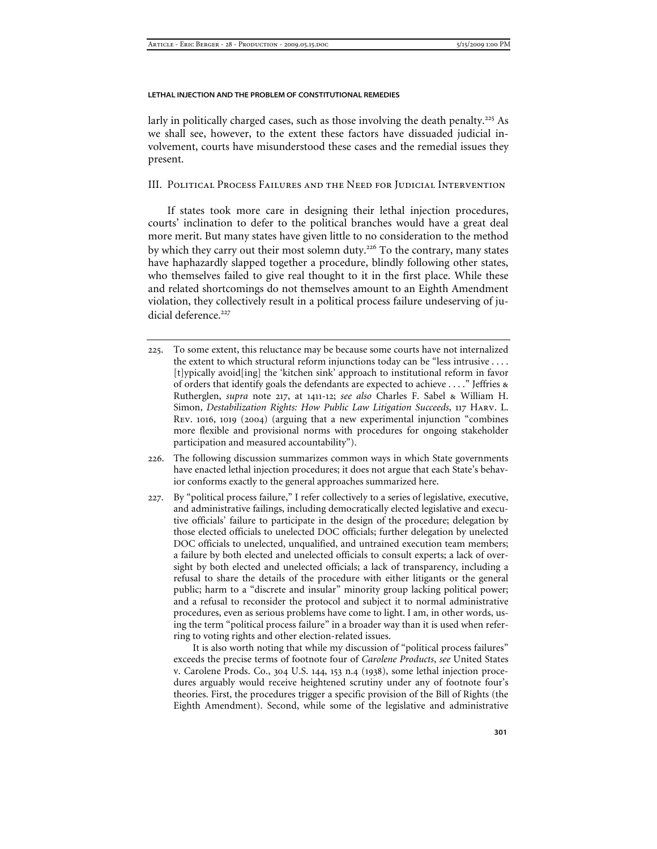## **LETHAL INJECTION AND THE PROBLEM OF CONSTITUTIONAL REMEDIES**

larly in politically charged cases, such as those involving the death penalty.<sup>225</sup> As we shall see, however, to the extent these factors have dissuaded judicial involvement, courts have misunderstood these cases and the remedial issues they present.

# III. Political Process Failures and the Need for Judicial Intervention

If states took more care in designing their lethal injection procedures, courts' inclination to defer to the political branches would have a great deal more merit. But many states have given little to no consideration to the method by which they carry out their most solemn duty.<sup>226</sup> To the contrary, many states have haphazardly slapped together a procedure, blindly following other states, who themselves failed to give real thought to it in the first place. While these and related shortcomings do not themselves amount to an Eighth Amendment violation, they collectively result in a political process failure undeserving of judicial deference.<sup>227</sup>

- 225. To some extent, this reluctance may be because some courts have not internalized the extent to which structural reform injunctions today can be "less intrusive . . . . [t]ypically avoid[ing] the 'kitchen sink' approach to institutional reform in favor of orders that identify goals the defendants are expected to achieve . . . ." Jeffries & Rutherglen, *supra* note 217, at 1411-12; *see also* Charles F. Sabel & William H. Simon, *Destabilization Rights: How Public Law Litigation Succeeds*, 117 Harv. L. Rev. 1016, 1019 (2004) (arguing that a new experimental injunction "combines more flexible and provisional norms with procedures for ongoing stakeholder participation and measured accountability").
- 226. The following discussion summarizes common ways in which State governments have enacted lethal injection procedures; it does not argue that each State's behavior conforms exactly to the general approaches summarized here.
- 227. By "political process failure," I refer collectively to a series of legislative, executive, and administrative failings, including democratically elected legislative and executive officials' failure to participate in the design of the procedure; delegation by those elected officials to unelected DOC officials; further delegation by unelected DOC officials to unelected, unqualified, and untrained execution team members; a failure by both elected and unelected officials to consult experts; a lack of oversight by both elected and unelected officials; a lack of transparency, including a refusal to share the details of the procedure with either litigants or the general public; harm to a "discrete and insular" minority group lacking political power; and a refusal to reconsider the protocol and subject it to normal administrative procedures, even as serious problems have come to light. I am, in other words, using the term "political process failure" in a broader way than it is used when referring to voting rights and other election-related issues.

 It is also worth noting that while my discussion of "political process failures" exceeds the precise terms of footnote four of *Carolene Products*, *see* United States v. Carolene Prods. Co., 304 U.S. 144, 153 n.4 (1938), some lethal injection procedures arguably would receive heightened scrutiny under any of footnote four's theories. First, the procedures trigger a specific provision of the Bill of Rights (the Eighth Amendment). Second, while some of the legislative and administrative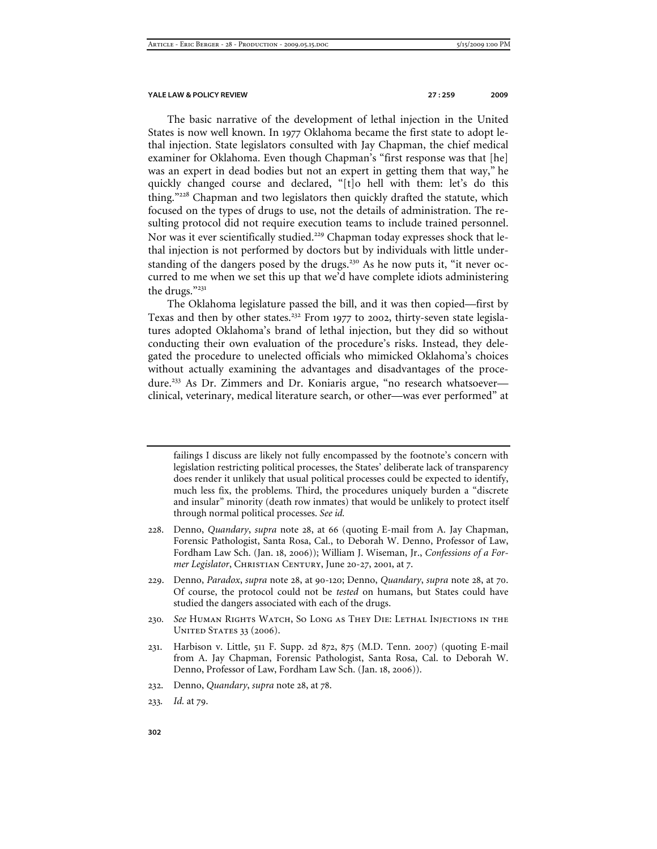The basic narrative of the development of lethal injection in the United States is now well known. In 1977 Oklahoma became the first state to adopt lethal injection. State legislators consulted with Jay Chapman, the chief medical examiner for Oklahoma. Even though Chapman's "first response was that [he] was an expert in dead bodies but not an expert in getting them that way," he quickly changed course and declared, "[t]o hell with them: let's do this thing."<sup>228</sup> Chapman and two legislators then quickly drafted the statute, which focused on the types of drugs to use, not the details of administration. The resulting protocol did not require execution teams to include trained personnel. Nor was it ever scientifically studied.<sup>229</sup> Chapman today expresses shock that lethal injection is not performed by doctors but by individuals with little understanding of the dangers posed by the drugs.<sup>230</sup> As he now puts it, "it never occurred to me when we set this up that we'd have complete idiots administering the drugs."<sup>231</sup>

The Oklahoma legislature passed the bill, and it was then copied—first by Texas and then by other states.<sup>232</sup> From 1977 to 2002, thirty-seven state legislatures adopted Oklahoma's brand of lethal injection, but they did so without conducting their own evaluation of the procedure's risks. Instead, they delegated the procedure to unelected officials who mimicked Oklahoma's choices without actually examining the advantages and disadvantages of the procedure.<sup>233</sup> As Dr. Zimmers and Dr. Koniaris argue, "no research whatsoeverclinical, veterinary, medical literature search, or other—was ever performed" at

failings I discuss are likely not fully encompassed by the footnote's concern with legislation restricting political processes, the States' deliberate lack of transparency does render it unlikely that usual political processes could be expected to identify, much less fix, the problems. Third, the procedures uniquely burden a "discrete and insular" minority (death row inmates) that would be unlikely to protect itself through normal political processes. *See id.*

- 228. Denno, *Quandary*, *supra* note 28, at 66 (quoting E-mail from A. Jay Chapman, Forensic Pathologist, Santa Rosa, Cal., to Deborah W. Denno, Professor of Law, Fordham Law Sch. (Jan. 18, 2006)); William J. Wiseman, Jr., *Confessions of a Former Legislator*, CHRISTIAN CENTURY, June 20-27, 2001, at 7.
- 229. Denno, *Paradox*, *supra* note 28, at 90-120; Denno, *Quandary*, *supra* note 28, at 70. Of course, the protocol could not be *tested* on humans, but States could have studied the dangers associated with each of the drugs.
- 230*. See* Human Rights Watch, So Long as They Die: Lethal Injections in the UNITED STATES 33 (2006).
- 231. Harbison v. Little, 511 F. Supp. 2d 872, 875 (M.D. Tenn. 2007) (quoting E-mail from A. Jay Chapman, Forensic Pathologist, Santa Rosa, Cal. to Deborah W. Denno, Professor of Law, Fordham Law Sch. (Jan. 18, 2006)).
- 232. Denno, *Quandary*, *supra* note 28, at 78.

<sup>233</sup>*. Id.* at 79.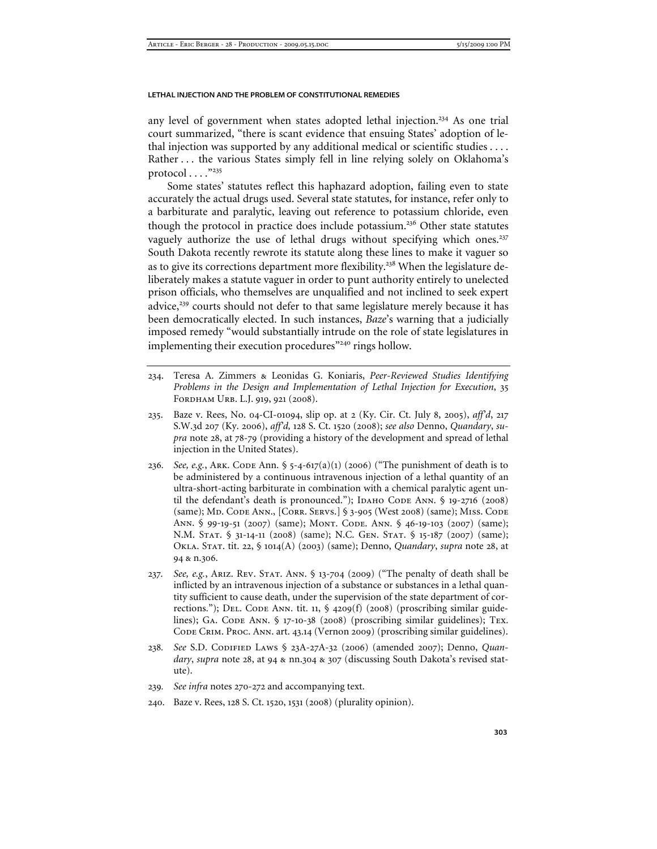### **LETHAL INJECTION AND THE PROBLEM OF CONSTITUTIONAL REMEDIES**

any level of government when states adopted lethal injection.<sup>234</sup> As one trial court summarized, "there is scant evidence that ensuing States' adoption of lethal injection was supported by any additional medical or scientific studies . . . . Rather ... the various States simply fell in line relying solely on Oklahoma's protocol . . . . "235

Some states' statutes reflect this haphazard adoption, failing even to state accurately the actual drugs used. Several state statutes, for instance, refer only to a barbiturate and paralytic, leaving out reference to potassium chloride, even though the protocol in practice does include potassium.<sup>236</sup> Other state statutes vaguely authorize the use of lethal drugs without specifying which ones.<sup>237</sup> South Dakota recently rewrote its statute along these lines to make it vaguer so as to give its corrections department more flexibility.<sup>238</sup> When the legislature deliberately makes a statute vaguer in order to punt authority entirely to unelected prison officials, who themselves are unqualified and not inclined to seek expert advice,<sup>239</sup> courts should not defer to that same legislature merely because it has been democratically elected. In such instances, *Baze*'s warning that a judicially imposed remedy "would substantially intrude on the role of state legislatures in implementing their execution procedures"<sup>240</sup> rings hollow.

- 234. Teresa A. Zimmers & Leonidas G. Koniaris, *Peer-Reviewed Studies Identifying Problems in the Design and Implementation of Lethal Injection for Execution*, 35 FORDHAM URB. L.J. 919, 921 (2008).
- 235. Baze v. Rees, No. 04-CI-01094, slip op. at 2 (Ky. Cir. Ct. July 8, 2005), *aff'd*, 217 S.W.3d 207 (Ky. 2006), *aff'd,* 128 S. Ct. 1520 (2008); *see also* Denno, *Quandary*, *supra* note 28, at 78-79 (providing a history of the development and spread of lethal injection in the United States).
- 236. See, e.g., ARK. CODE Ann.  $\S$  5-4-617(a)(1) (2006) ("The punishment of death is to be administered by a continuous intravenous injection of a lethal quantity of an ultra-short-acting barbiturate in combination with a chemical paralytic agent until the defendant's death is pronounced."); IDAHO CODE ANN.  $\S$  19-2716 (2008) (same); MD. CODE ANN., [CORR. SERVS.] § 3-905 (West 2008) (same); MISS. CODE ANN. § 99-19-51 (2007) (same); MONT. CODE. ANN. § 46-19-103 (2007) (same); N.M. Stat. § 31-14-11 (2008) (same); N.C. Gen. Stat. § 15-187 (2007) (same); Okla. Stat. tit. 22, § 1014(A) (2003) (same); Denno, *Quandary*, *supra* note 28, at 94 & n.306.
- 237*. See, e.g.*, Ariz. Rev. Stat. Ann. § 13-704 (2009) ("The penalty of death shall be inflicted by an intravenous injection of a substance or substances in a lethal quantity sufficient to cause death, under the supervision of the state department of corrections."); DEL. CODE ANN. tit. 11,  $\frac{6}{9}$  4209(f) (2008) (proscribing similar guidelines); GA. CODE ANN. § 17-10-38 (2008) (proscribing similar guidelines); TEX. CODE CRIM. PROC. ANN. art. 43.14 (Vernon 2009) (proscribing similar guidelines).
- 238*. See* S.D. Codified Laws § 23A-27A-32 (2006) (amended 2007); Denno, *Quandary*, *supra* note 28, at 94 & nn.304 & 307 (discussing South Dakota's revised statute).
- 239*. See infra* notes 270-272 and accompanying text.
- 240. Baze v. Rees, 128 S. Ct. 1520, 1531 (2008) (plurality opinion).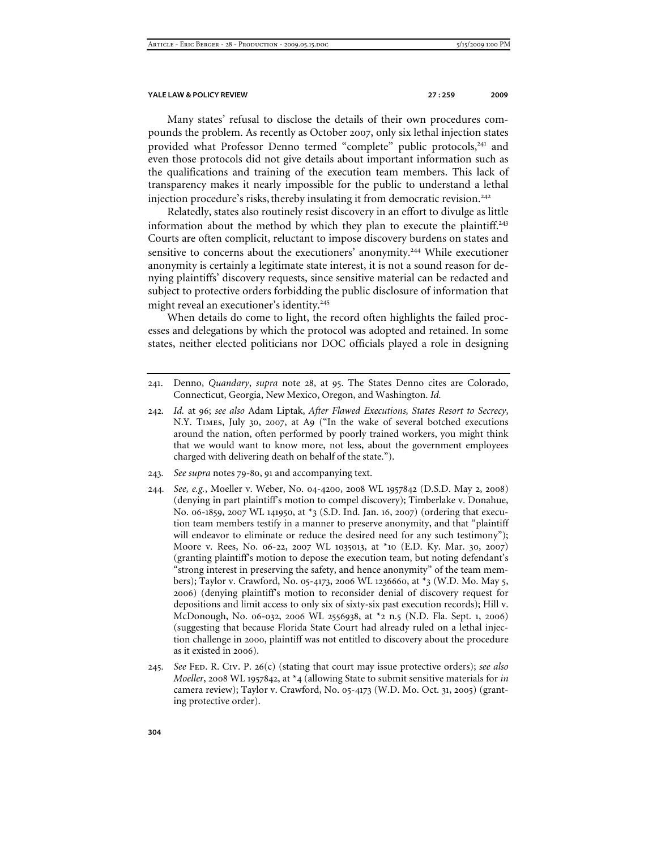Many states' refusal to disclose the details of their own procedures compounds the problem. As recently as October 2007, only six lethal injection states provided what Professor Denno termed "complete" public protocols,<sup>241</sup> and even those protocols did not give details about important information such as the qualifications and training of the execution team members. This lack of transparency makes it nearly impossible for the public to understand a lethal injection procedure's risks, thereby insulating it from democratic revision.<sup>242</sup>

Relatedly, states also routinely resist discovery in an effort to divulge as little information about the method by which they plan to execute the plaintiff.<sup>243</sup> Courts are often complicit, reluctant to impose discovery burdens on states and sensitive to concerns about the executioners' anonymity.<sup>244</sup> While executioner anonymity is certainly a legitimate state interest, it is not a sound reason for denying plaintiffs' discovery requests, since sensitive material can be redacted and subject to protective orders forbidding the public disclosure of information that might reveal an executioner's identity.<sup>245</sup>

When details do come to light, the record often highlights the failed processes and delegations by which the protocol was adopted and retained. In some states, neither elected politicians nor DOC officials played a role in designing

- 241. Denno, *Quandary*, *supra* note 28, at 95. The States Denno cites are Colorado, Connecticut, Georgia, New Mexico, Oregon, and Washington. *Id.*
- 242*. Id.* at 96; *see also* Adam Liptak, *After Flawed Executions, States Resort to Secrecy*, N.Y. Times, July 30, 2007, at A9 ("In the wake of several botched executions around the nation, often performed by poorly trained workers, you might think that we would want to know more, not less, about the government employees charged with delivering death on behalf of the state.").
- 243*. See supra* notes 79-80, 91 and accompanying text.
- 244*. See, e.g.*, Moeller v. Weber, No. 04-4200, 2008 WL 1957842 (D.S.D. May 2, 2008) (denying in part plaintiff's motion to compel discovery); Timberlake v. Donahue, No. 06-1859, 2007 WL 141950, at \*3 (S.D. Ind. Jan. 16, 2007) (ordering that execution team members testify in a manner to preserve anonymity, and that "plaintiff will endeavor to eliminate or reduce the desired need for any such testimony"); Moore v. Rees, No. 06-22, 2007 WL 1035013, at \*10 (E.D. Ky. Mar. 30, 2007) (granting plaintiff's motion to depose the execution team, but noting defendant's "strong interest in preserving the safety, and hence anonymity" of the team members); Taylor v. Crawford, No. 05-4173, 2006 WL 1236660, at \*3 (W.D. Mo. May 5, 2006) (denying plaintiff's motion to reconsider denial of discovery request for depositions and limit access to only six of sixty-six past execution records); Hill v. McDonough, No. 06-032, 2006 WL 2556938, at \*2 n.5 (N.D. Fla. Sept. 1, 2006) (suggesting that because Florida State Court had already ruled on a lethal injection challenge in 2000, plaintiff was not entitled to discovery about the procedure as it existed in 2006).
- 245*. See* Fed. R. Civ. P. 26(c) (stating that court may issue protective orders); *see also Moeller*, 2008 WL 1957842, at \*4 (allowing State to submit sensitive materials for *in*  camera review); Taylor v. Crawford, No. 05-4173 (W.D. Mo. Oct. 31, 2005) (granting protective order).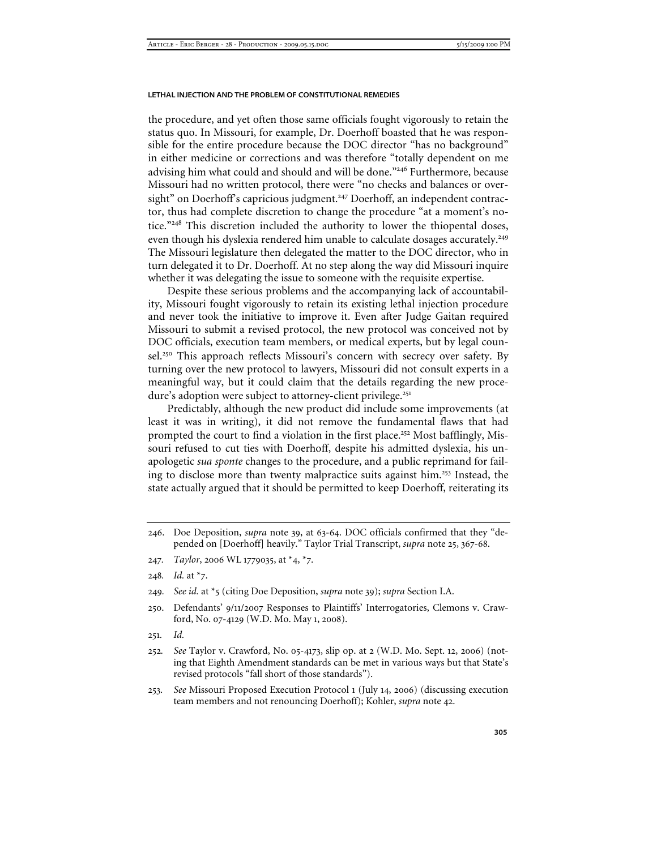the procedure, and yet often those same officials fought vigorously to retain the status quo. In Missouri, for example, Dr. Doerhoff boasted that he was responsible for the entire procedure because the DOC director "has no background" in either medicine or corrections and was therefore "totally dependent on me advising him what could and should and will be done."<sup>246</sup> Furthermore, because Missouri had no written protocol, there were "no checks and balances or oversight" on Doerhoff's capricious judgment.<sup>247</sup> Doerhoff, an independent contractor, thus had complete discretion to change the procedure "at a moment's notice."<sup>248</sup> This discretion included the authority to lower the thiopental doses, even though his dyslexia rendered him unable to calculate dosages accurately.<sup>249</sup> The Missouri legislature then delegated the matter to the DOC director, who in turn delegated it to Dr. Doerhoff. At no step along the way did Missouri inquire whether it was delegating the issue to someone with the requisite expertise.

Despite these serious problems and the accompanying lack of accountability, Missouri fought vigorously to retain its existing lethal injection procedure and never took the initiative to improve it. Even after Judge Gaitan required Missouri to submit a revised protocol, the new protocol was conceived not by DOC officials, execution team members, or medical experts, but by legal counsel.<sup>250</sup> This approach reflects Missouri's concern with secrecy over safety. By turning over the new protocol to lawyers, Missouri did not consult experts in a meaningful way, but it could claim that the details regarding the new procedure's adoption were subject to attorney-client privilege.<sup>251</sup>

Predictably, although the new product did include some improvements (at least it was in writing), it did not remove the fundamental flaws that had prompted the court to find a violation in the first place.<sup>252</sup> Most bafflingly, Missouri refused to cut ties with Doerhoff, despite his admitted dyslexia, his unapologetic *sua sponte* changes to the procedure, and a public reprimand for failing to disclose more than twenty malpractice suits against him.<sup>253</sup> Instead, the state actually argued that it should be permitted to keep Doerhoff, reiterating its

247*. Taylor*, 2006 WL 1779035, at \*4, \*7.

- 249*. See id.* at \*5 (citing Doe Deposition, *supra* note 39); *supra* Section I.A.
- 250. Defendants' 9/11/2007 Responses to Plaintiffs' Interrogatories, Clemons v. Crawford, No. 07-4129 (W.D. Mo. May 1, 2008).
- 251*. Id.*
- 252*. See* Taylor v. Crawford, No. 05-4173, slip op. at 2 (W.D. Mo. Sept. 12, 2006) (noting that Eighth Amendment standards can be met in various ways but that State's revised protocols "fall short of those standards").
- 253*. See* Missouri Proposed Execution Protocol 1 (July 14, 2006) (discussing execution team members and not renouncing Doerhoff); Kohler, *supra* note 42.

<sup>246</sup>. Doe Deposition, *supra* note 39, at 63-64. DOC officials confirmed that they "depended on [Doerhoff] heavily." Taylor Trial Transcript, *supra* note 25, 367-68.

<sup>248</sup>*. Id.* at \*7.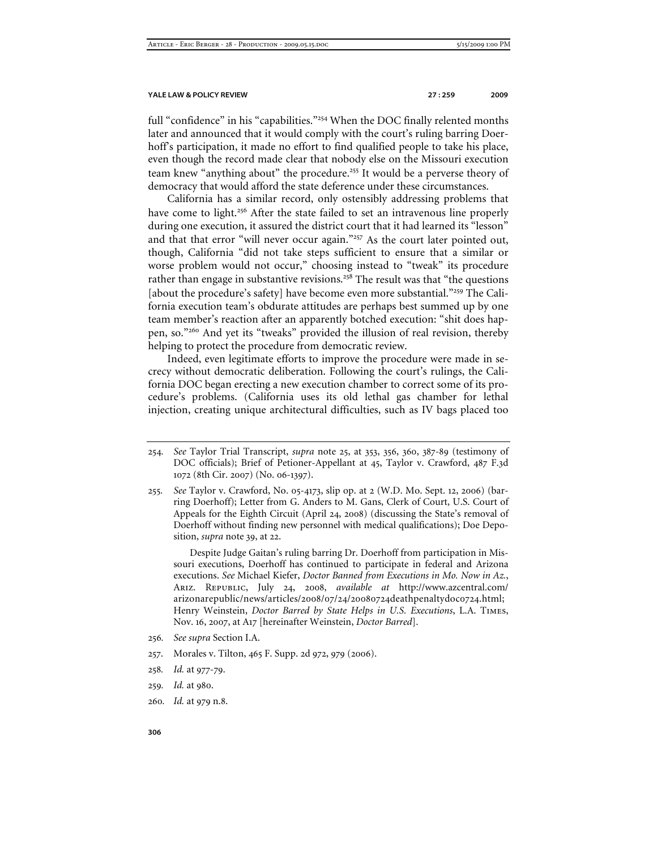full "confidence" in his "capabilities."<sup>254</sup> When the DOC finally relented months later and announced that it would comply with the court's ruling barring Doerhoff's participation, it made no effort to find qualified people to take his place, even though the record made clear that nobody else on the Missouri execution team knew "anything about" the procedure.<sup>255</sup> It would be a perverse theory of democracy that would afford the state deference under these circumstances.

California has a similar record, only ostensibly addressing problems that have come to light.<sup>256</sup> After the state failed to set an intravenous line properly during one execution, it assured the district court that it had learned its "lesson" and that that error "will never occur again."<sup>257</sup> As the court later pointed out, though, California "did not take steps sufficient to ensure that a similar or worse problem would not occur," choosing instead to "tweak" its procedure rather than engage in substantive revisions.<sup>258</sup> The result was that "the questions" [about the procedure's safety] have become even more substantial."<sup>259</sup> The California execution team's obdurate attitudes are perhaps best summed up by one team member's reaction after an apparently botched execution: "shit does happen, so."<sup>260</sup> And yet its "tweaks" provided the illusion of real revision, thereby helping to protect the procedure from democratic review.

Indeed, even legitimate efforts to improve the procedure were made in secrecy without democratic deliberation. Following the court's rulings, the California DOC began erecting a new execution chamber to correct some of its procedure's problems. (California uses its old lethal gas chamber for lethal injection, creating unique architectural difficulties, such as IV bags placed too

255*. See* Taylor v. Crawford, No. 05-4173, slip op. at 2 (W.D. Mo. Sept. 12, 2006) (barring Doerhoff); Letter from G. Anders to M. Gans, Clerk of Court, U.S. Court of Appeals for the Eighth Circuit (April 24, 2008) (discussing the State's removal of Doerhoff without finding new personnel with medical qualifications); Doe Deposition, *supra* note 39, at 22.

 Despite Judge Gaitan's ruling barring Dr. Doerhoff from participation in Missouri executions, Doerhoff has continued to participate in federal and Arizona executions. *See* Michael Kiefer, *Doctor Banned from Executions in Mo. Now in Az.*, Ariz. Republic, July 24, 2008, *available at* http://www.azcentral.com/ arizonarepublic/news/articles/2008/07/24/20080724deathpenaltydoc0724.html; Henry Weinstein, *Doctor Barred by State Helps in U.S. Executions*, L.A. Times, Nov. 16, 2007, at A17 [hereinafter Weinstein, *Doctor Barred*].

- 256*. See supra* Section I.A.
- 257. Morales v. Tilton, 465 F. Supp. 2d 972, 979 (2006).
- 258*. Id.* at 977-79.
- 259*. Id.* at 980.
- 260*. Id.* at 979 n.8.

<sup>254</sup>*. See* Taylor Trial Transcript, *supra* note 25, at 353, 356, 360, 387-89 (testimony of DOC officials); Brief of Petioner-Appellant at 45, Taylor v. Crawford, 487 F.3d 1072 (8th Cir. 2007) (No. 06-1397).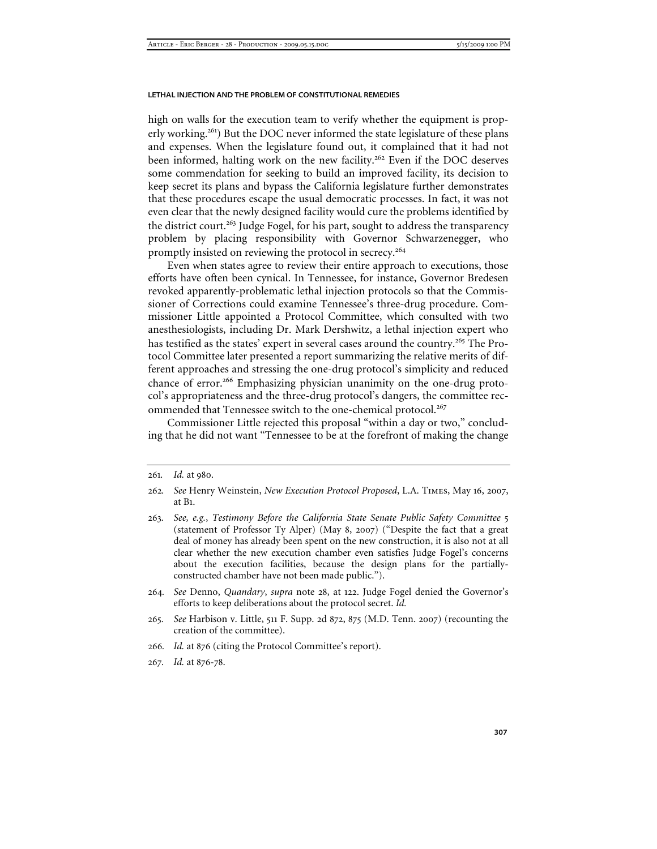high on walls for the execution team to verify whether the equipment is properly working.<sup>261</sup>) But the DOC never informed the state legislature of these plans and expenses. When the legislature found out, it complained that it had not been informed, halting work on the new facility.<sup>262</sup> Even if the DOC deserves some commendation for seeking to build an improved facility, its decision to keep secret its plans and bypass the California legislature further demonstrates that these procedures escape the usual democratic processes. In fact, it was not even clear that the newly designed facility would cure the problems identified by the district court.<sup>263</sup> Judge Fogel, for his part, sought to address the transparency problem by placing responsibility with Governor Schwarzenegger, who promptly insisted on reviewing the protocol in secrecy.<sup>264</sup>

Even when states agree to review their entire approach to executions, those efforts have often been cynical. In Tennessee, for instance, Governor Bredesen revoked apparently-problematic lethal injection protocols so that the Commissioner of Corrections could examine Tennessee's three-drug procedure. Commissioner Little appointed a Protocol Committee, which consulted with two anesthesiologists, including Dr. Mark Dershwitz, a lethal injection expert who has testified as the states' expert in several cases around the country.<sup>265</sup> The Protocol Committee later presented a report summarizing the relative merits of different approaches and stressing the one-drug protocol's simplicity and reduced chance of error.<sup>266</sup> Emphasizing physician unanimity on the one-drug protocol's appropriateness and the three-drug protocol's dangers, the committee recommended that Tennessee switch to the one-chemical protocol.<sup>267</sup>

Commissioner Little rejected this proposal "within a day or two," concluding that he did not want "Tennessee to be at the forefront of making the change

- 264*. See* Denno, *Quandary*, *supra* note 28, at 122. Judge Fogel denied the Governor's efforts to keep deliberations about the protocol secret. *Id.*
- 265*. See* Harbison v. Little, 511 F. Supp. 2d 872, 875 (M.D. Tenn. 2007) (recounting the creation of the committee).
- 266*. Id.* at 876 (citing the Protocol Committee's report).
- 267*. Id.* at 876-78.

<sup>261</sup>*. Id.* at 980.

<sup>262</sup>*. See* Henry Weinstein, *New Execution Protocol Proposed*, L.A. Times, May 16, 2007, at B1.

<sup>263</sup>*. See, e.g.*, *Testimony Before the California State Senate Public Safety Committee* 5 (statement of Professor Ty Alper) (May 8, 2007) ("Despite the fact that a great deal of money has already been spent on the new construction, it is also not at all clear whether the new execution chamber even satisfies Judge Fogel's concerns about the execution facilities, because the design plans for the partiallyconstructed chamber have not been made public.").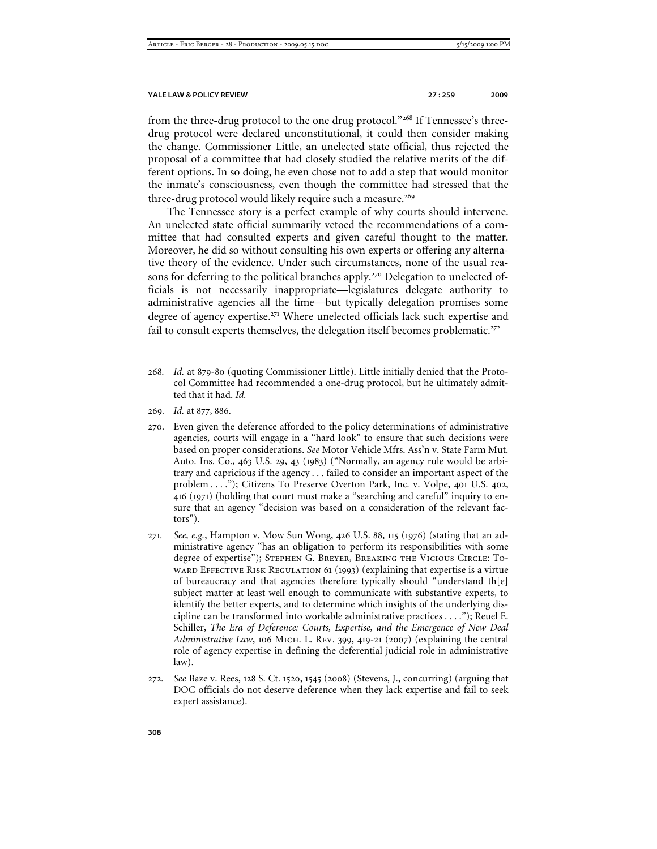from the three-drug protocol to the one drug protocol."<sup>268</sup> If Tennessee's threedrug protocol were declared unconstitutional, it could then consider making the change. Commissioner Little, an unelected state official, thus rejected the proposal of a committee that had closely studied the relative merits of the different options. In so doing, he even chose not to add a step that would monitor the inmate's consciousness, even though the committee had stressed that the three-drug protocol would likely require such a measure.<sup>269</sup>

The Tennessee story is a perfect example of why courts should intervene. An unelected state official summarily vetoed the recommendations of a committee that had consulted experts and given careful thought to the matter. Moreover, he did so without consulting his own experts or offering any alternative theory of the evidence. Under such circumstances, none of the usual reasons for deferring to the political branches apply.<sup>270</sup> Delegation to unelected officials is not necessarily inappropriate—legislatures delegate authority to administrative agencies all the time—but typically delegation promises some degree of agency expertise.<sup>271</sup> Where unelected officials lack such expertise and fail to consult experts themselves, the delegation itself becomes problematic.<sup>272</sup>

269*. Id.* at 877, 886.

270. Even given the deference afforded to the policy determinations of administrative agencies, courts will engage in a "hard look" to ensure that such decisions were based on proper considerations. *See* Motor Vehicle Mfrs. Ass'n v. State Farm Mut. Auto. Ins. Co., 463 U.S. 29, 43 (1983) ("Normally, an agency rule would be arbitrary and capricious if the agency . . . failed to consider an important aspect of the problem . . . ."); Citizens To Preserve Overton Park, Inc. v. Volpe, 401 U.S. 402, 416 (1971) (holding that court must make a "searching and careful" inquiry to ensure that an agency "decision was based on a consideration of the relevant factors").

- 271*. See, e.g.*, Hampton v. Mow Sun Wong, 426 U.S. 88, 115 (1976) (stating that an administrative agency "has an obligation to perform its responsibilities with some degree of expertise"); Stephen G. Breyer, Breaking the Vicious Circle: Toward EFFECTIVE RISK REGULATION 61 (1993) (explaining that expertise is a virtue of bureaucracy and that agencies therefore typically should "understand th[e] subject matter at least well enough to communicate with substantive experts, to identify the better experts, and to determine which insights of the underlying discipline can be transformed into workable administrative practices . . . ."); Reuel E. Schiller, *The Era of Deference: Courts, Expertise, and the Emergence of New Deal Administrative Law*, 106 Mich. L. Rev. 399, 419-21 (2007) (explaining the central role of agency expertise in defining the deferential judicial role in administrative law).
- 272*. See* Baze v. Rees, 128 S. Ct. 1520, 1545 (2008) (Stevens, J., concurring) (arguing that DOC officials do not deserve deference when they lack expertise and fail to seek expert assistance).

<sup>268</sup>*. Id.* at 879-80 (quoting Commissioner Little). Little initially denied that the Protocol Committee had recommended a one-drug protocol, but he ultimately admitted that it had. *Id.*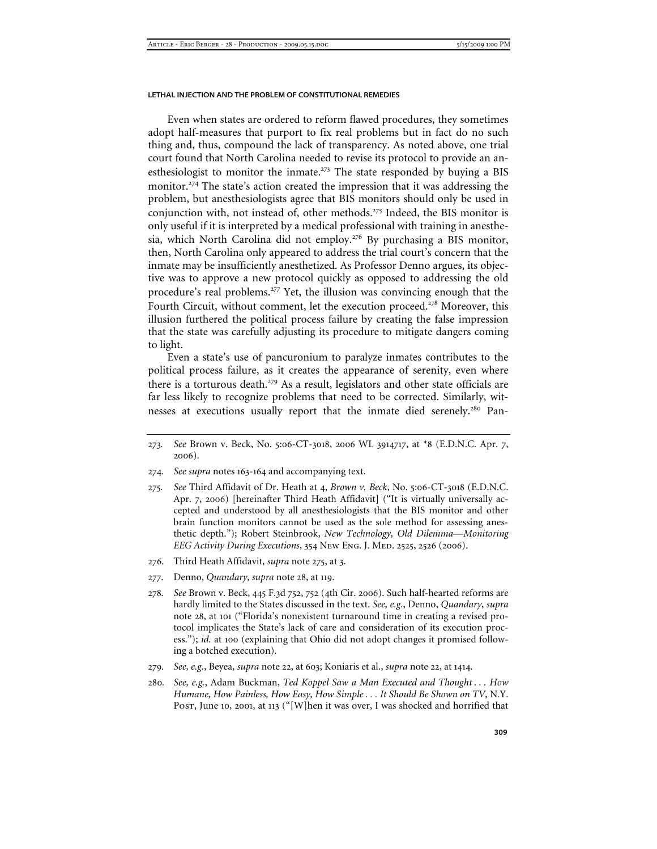Even when states are ordered to reform flawed procedures, they sometimes adopt half-measures that purport to fix real problems but in fact do no such thing and, thus, compound the lack of transparency. As noted above, one trial court found that North Carolina needed to revise its protocol to provide an anesthesiologist to monitor the inmate.<sup>273</sup> The state responded by buying a BIS monitor.<sup>274</sup> The state's action created the impression that it was addressing the problem, but anesthesiologists agree that BIS monitors should only be used in conjunction with, not instead of, other methods.<sup>275</sup> Indeed, the BIS monitor is only useful if it is interpreted by a medical professional with training in anesthesia, which North Carolina did not employ.<sup>276</sup> By purchasing a BIS monitor, then, North Carolina only appeared to address the trial court's concern that the inmate may be insufficiently anesthetized. As Professor Denno argues, its objective was to approve a new protocol quickly as opposed to addressing the old procedure's real problems.<sup>277</sup> Yet, the illusion was convincing enough that the Fourth Circuit, without comment, let the execution proceed.<sup>278</sup> Moreover, this illusion furthered the political process failure by creating the false impression that the state was carefully adjusting its procedure to mitigate dangers coming to light.

Even a state's use of pancuronium to paralyze inmates contributes to the political process failure, as it creates the appearance of serenity, even where there is a torturous death.<sup>279</sup> As a result, legislators and other state officials are far less likely to recognize problems that need to be corrected. Similarly, witnesses at executions usually report that the inmate died serenely.<sup>280</sup> Pan-

- 274*. See supra* notes 163-164 and accompanying text.
- 275*. See* Third Affidavit of Dr. Heath at 4, *Brown v. Beck*, No. 5:06-CT-3018 (E.D.N.C. Apr. 7, 2006) [hereinafter Third Heath Affidavit] ("It is virtually universally accepted and understood by all anesthesiologists that the BIS monitor and other brain function monitors cannot be used as the sole method for assessing anesthetic depth."); Robert Steinbrook, *New Technology, Old Dilemma—Monitoring EEG Activity During Executions*, 354 New Eng. J. Med. 2525, 2526 (2006).
- 276. Third Heath Affidavit, *supra* note 275, at 3.
- 277. Denno, *Quandary*, *supra* note 28, at 119.
- 278*. See* Brown v. Beck, 445 F.3d 752, 752 (4th Cir. 2006). Such half-hearted reforms are hardly limited to the States discussed in the text. *See, e.g.*, Denno, *Quandary*, *supra*  note 28, at 101 ("Florida's nonexistent turnaround time in creating a revised protocol implicates the State's lack of care and consideration of its execution process."); *id.* at 100 (explaining that Ohio did not adopt changes it promised following a botched execution).
- 279*. See, e.g.*, Beyea, *supra* note 22, at 603; Koniaris et al., *supra* note 22, at 1414.
- 280*. See, e.g.*, Adam Buckman, *Ted Koppel Saw a Man Executed and Thought . . . How Humane, How Painless, How Easy, How Simple . . . It Should Be Shown on TV*, N.Y. Post, June 10, 2001, at 113 ("[W]hen it was over, I was shocked and horrified that

<sup>273</sup>*. See* Brown v. Beck, No. 5:06-CT-3018, 2006 WL 3914717, at \*8 (E.D.N.C. Apr. 7, 2006).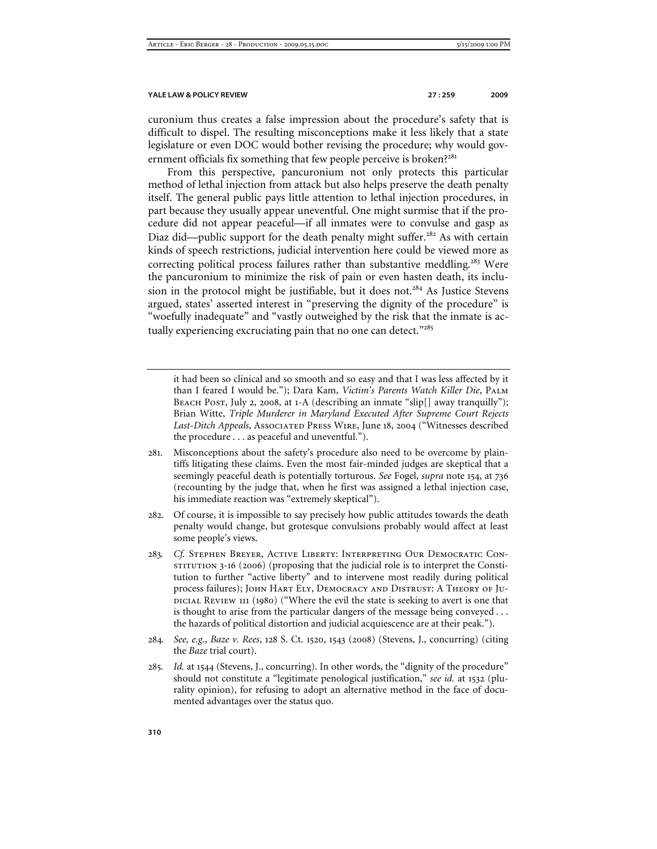curonium thus creates a false impression about the procedure's safety that is difficult to dispel. The resulting misconceptions make it less likely that a state legislature or even DOC would bother revising the procedure; why would government officials fix something that few people perceive is broken?<sup>281</sup>

From this perspective, pancuronium not only protects this particular method of lethal injection from attack but also helps preserve the death penalty itself. The general public pays little attention to lethal injection procedures, in part because they usually appear uneventful. One might surmise that if the procedure did not appear peaceful—if all inmates were to convulse and gasp as Diaz did—public support for the death penalty might suffer.<sup>282</sup> As with certain kinds of speech restrictions, judicial intervention here could be viewed more as correcting political process failures rather than substantive meddling.<sup>283</sup> Were the pancuronium to minimize the risk of pain or even hasten death, its inclusion in the protocol might be justifiable, but it does not.<sup>284</sup> As Justice Stevens argued, states' asserted interest in "preserving the dignity of the procedure" is "woefully inadequate" and "vastly outweighed by the risk that the inmate is actually experiencing excruciating pain that no one can detect."285

it had been so clinical and so smooth and so easy and that I was less affected by it than I feared I would be."); Dara Kam, *Victim's Parents Watch Killer Die*, PALM BEACH POST, July 2, 2008, at 1-A (describing an inmate "slip[] away tranquilly"); Brian Witte, *Triple Murderer in Maryland Executed After Supreme Court Rejects Last-Ditch Appeals*, Associated Press Wire, June 18, 2004 ("Witnesses described the procedure . . . as peaceful and uneventful.").

- 281. Misconceptions about the safety's procedure also need to be overcome by plaintiffs litigating these claims. Even the most fair-minded judges are skeptical that a seemingly peaceful death is potentially torturous. *See* Fogel, *supra* note 154, at 736 (recounting by the judge that, when he first was assigned a lethal injection case, his immediate reaction was "extremely skeptical").
- 282. Of course, it is impossible to say precisely how public attitudes towards the death penalty would change, but grotesque convulsions probably would affect at least some people's views.
- 283*. Cf.* Stephen Breyer, Active Liberty: Interpreting Our Democratic ConsTITUTION 3-16 (2006) (proposing that the judicial role is to interpret the Constitution to further "active liberty" and to intervene most readily during political process failures); John Hart Ely, Democracy and Distrust: A Theory of Ju-DICIAL REVIEW 111 (1980) ("Where the evil the state is seeking to avert is one that is thought to arise from the particular dangers of the message being conveyed . . . the hazards of political distortion and judicial acquiescence are at their peak.").
- 284*. See, e.g.*, *Baze v. Rees*, 128 S. Ct. 1520, 1543 (2008) (Stevens, J., concurring) (citing the *Baze* trial court).
- 285*. Id.* at 1544 (Stevens, J., concurring). In other words, the "dignity of the procedure" should not constitute a "legitimate penological justification," *see id.* at 1532 (plurality opinion), for refusing to adopt an alternative method in the face of documented advantages over the status quo.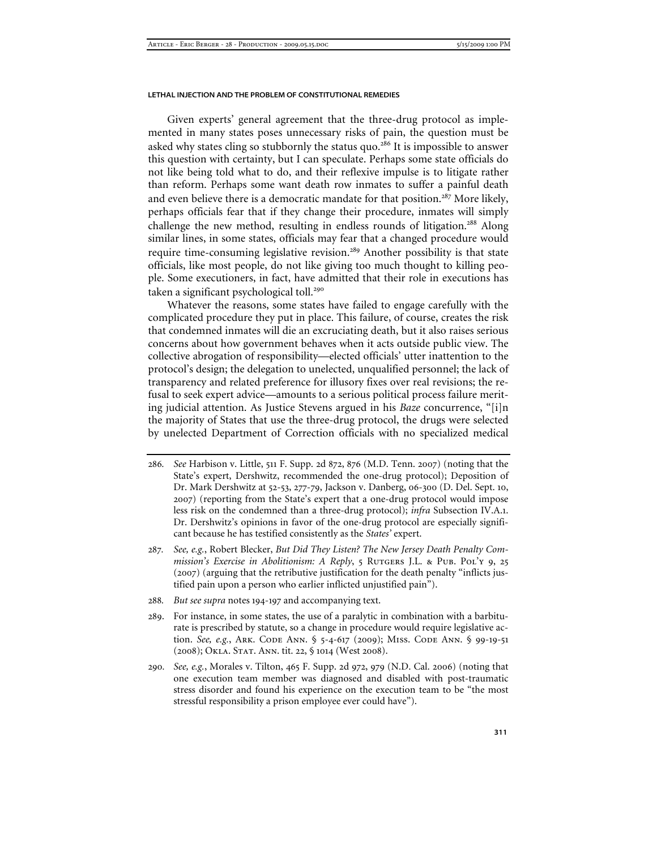Given experts' general agreement that the three-drug protocol as implemented in many states poses unnecessary risks of pain, the question must be asked why states cling so stubbornly the status quo.<sup>286</sup> It is impossible to answer this question with certainty, but I can speculate. Perhaps some state officials do not like being told what to do, and their reflexive impulse is to litigate rather than reform. Perhaps some want death row inmates to suffer a painful death and even believe there is a democratic mandate for that position.<sup>287</sup> More likely, perhaps officials fear that if they change their procedure, inmates will simply challenge the new method, resulting in endless rounds of litigation.<sup>288</sup> Along similar lines, in some states, officials may fear that a changed procedure would require time-consuming legislative revision.<sup>289</sup> Another possibility is that state officials, like most people, do not like giving too much thought to killing people. Some executioners, in fact, have admitted that their role in executions has taken a significant psychological toll.<sup>290</sup>

Whatever the reasons, some states have failed to engage carefully with the complicated procedure they put in place. This failure, of course, creates the risk that condemned inmates will die an excruciating death, but it also raises serious concerns about how government behaves when it acts outside public view. The collective abrogation of responsibility—elected officials' utter inattention to the protocol's design; the delegation to unelected, unqualified personnel; the lack of transparency and related preference for illusory fixes over real revisions; the refusal to seek expert advice—amounts to a serious political process failure meriting judicial attention. As Justice Stevens argued in his *Baze* concurrence, "[i]n the majority of States that use the three-drug protocol, the drugs were selected by unelected Department of Correction officials with no specialized medical

- 286*. See* Harbison v. Little, 511 F. Supp. 2d 872, 876 (M.D. Tenn. 2007) (noting that the State's expert, Dershwitz, recommended the one-drug protocol); Deposition of Dr. Mark Dershwitz at 52-53, 277-79, Jackson v. Danberg, 06-300 (D. Del. Sept. 10, 2007) (reporting from the State's expert that a one-drug protocol would impose less risk on the condemned than a three-drug protocol); *infra* Subsection IV.A.1. Dr. Dershwitz's opinions in favor of the one-drug protocol are especially significant because he has testified consistently as the *States'* expert.
- 287*. See, e.g.*, Robert Blecker, *But Did They Listen? The New Jersey Death Penalty Com*mission's Exercise in Abolitionism: A Reply, 5 RUTGERS J.L. & PUB. POL'Y 9, 25 (2007) (arguing that the retributive justification for the death penalty "inflicts justified pain upon a person who earlier inflicted unjustified pain").
- 288*. But see supra* notes 194-197 and accompanying text.
- 289. For instance, in some states, the use of a paralytic in combination with a barbiturate is prescribed by statute, so a change in procedure would require legislative action. *See, e.g.*, ARK. CODE ANN. § 5-4-617 (2009); MISS. CODE ANN. § 99-19-51 (2008); OKLA. STAT. ANN. tit. 22, § 1014 (West 2008).
- 290*. See, e.g.*, Morales v. Tilton, 465 F. Supp. 2d 972, 979 (N.D. Cal. 2006) (noting that one execution team member was diagnosed and disabled with post-traumatic stress disorder and found his experience on the execution team to be "the most stressful responsibility a prison employee ever could have").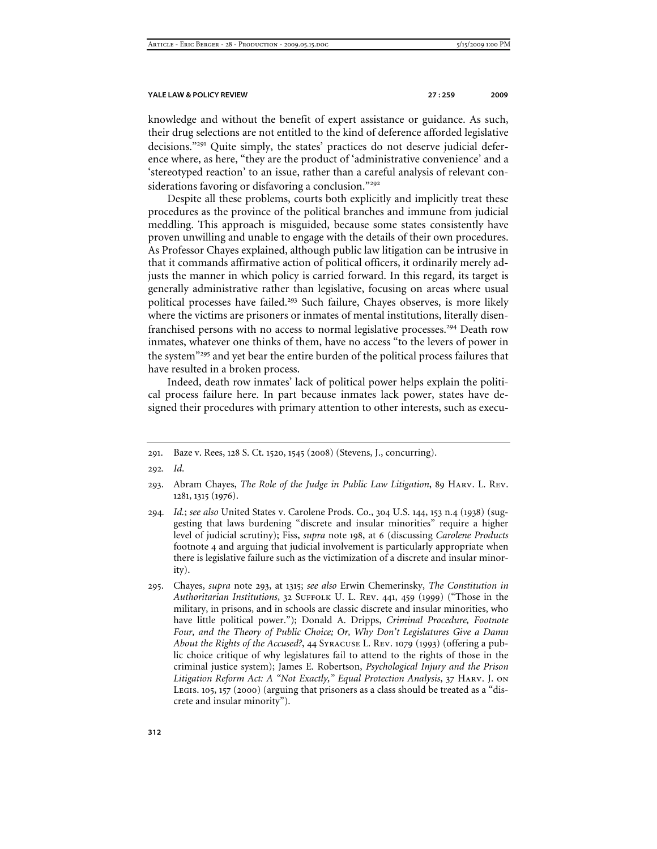knowledge and without the benefit of expert assistance or guidance. As such, their drug selections are not entitled to the kind of deference afforded legislative decisions."<sup>291</sup> Quite simply, the states' practices do not deserve judicial deference where, as here, "they are the product of 'administrative convenience' and a 'stereotyped reaction' to an issue, rather than a careful analysis of relevant considerations favoring or disfavoring a conclusion."<sup>292</sup>

Despite all these problems, courts both explicitly and implicitly treat these procedures as the province of the political branches and immune from judicial meddling. This approach is misguided, because some states consistently have proven unwilling and unable to engage with the details of their own procedures. As Professor Chayes explained, although public law litigation can be intrusive in that it commands affirmative action of political officers, it ordinarily merely adjusts the manner in which policy is carried forward. In this regard, its target is generally administrative rather than legislative, focusing on areas where usual political processes have failed.<sup>293</sup> Such failure, Chayes observes, is more likely where the victims are prisoners or inmates of mental institutions, literally disenfranchised persons with no access to normal legislative processes.<sup>294</sup> Death row inmates, whatever one thinks of them, have no access "to the levers of power in the system"<sup>295</sup> and yet bear the entire burden of the political process failures that have resulted in a broken process.

Indeed, death row inmates' lack of political power helps explain the political process failure here. In part because inmates lack power, states have designed their procedures with primary attention to other interests, such as execu-

<sup>291</sup>. Baze v. Rees, 128 S. Ct. 1520, 1545 (2008) (Stevens, J., concurring).

<sup>292</sup>*. Id*.

<sup>293</sup>. Abram Chayes, *The Role of the Judge in Public Law Litigation*, 89 Harv. L. Rev. 1281, 1315 (1976).

<sup>294</sup>*. Id.*; *see also* United States v. Carolene Prods. Co., 304 U.S. 144, 153 n.4 (1938) (suggesting that laws burdening "discrete and insular minorities" require a higher level of judicial scrutiny); Fiss, *supra* note 198, at 6 (discussing *Carolene Products*  footnote 4 and arguing that judicial involvement is particularly appropriate when there is legislative failure such as the victimization of a discrete and insular minority).

<sup>295</sup>. Chayes, *supra* note 293, at 1315; *see also* Erwin Chemerinsky, *The Constitution in Authoritarian Institutions*, 32 Suffolk U. L. Rev. 441, 459 (1999) ("Those in the military, in prisons, and in schools are classic discrete and insular minorities, who have little political power."); Donald A. Dripps, *Criminal Procedure, Footnote Four, and the Theory of Public Choice; Or, Why Don't Legislatures Give a Damn About the Rights of the Accused?*, 44 Syracuse L. Rev. 1079 (1993) (offering a public choice critique of why legislatures fail to attend to the rights of those in the criminal justice system); James E. Robertson, *Psychological Injury and the Prison Litigation Reform Act: A "Not Exactly," Equal Protection Analysis*, 37 Harv. J. on Legis. 105, 157 (2000) (arguing that prisoners as a class should be treated as a "discrete and insular minority").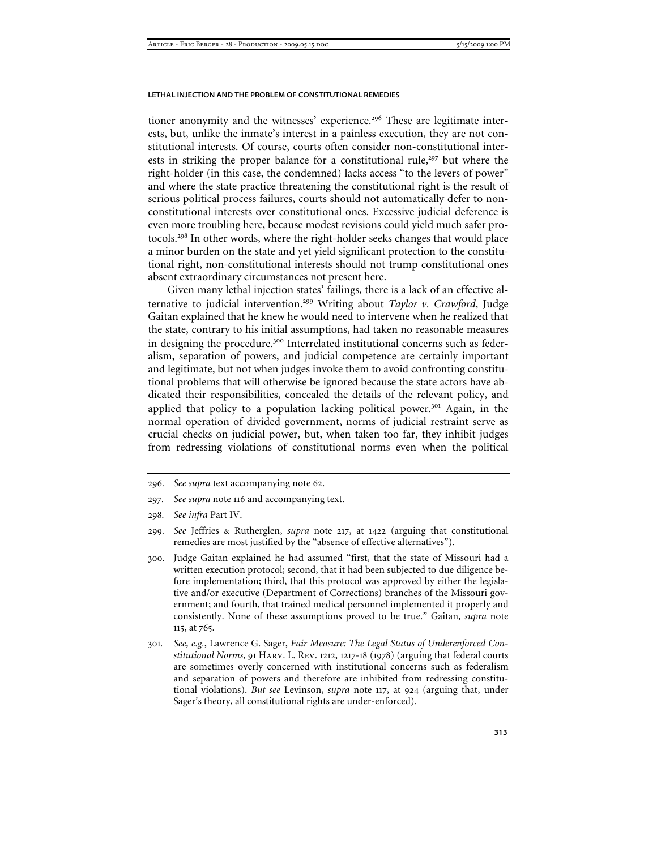tioner anonymity and the witnesses' experience.<sup>296</sup> These are legitimate interests, but, unlike the inmate's interest in a painless execution, they are not constitutional interests. Of course, courts often consider non-constitutional interests in striking the proper balance for a constitutional rule,<sup>297</sup> but where the right-holder (in this case, the condemned) lacks access "to the levers of power" and where the state practice threatening the constitutional right is the result of serious political process failures, courts should not automatically defer to nonconstitutional interests over constitutional ones. Excessive judicial deference is even more troubling here, because modest revisions could yield much safer protocols.<sup>298</sup> In other words, where the right-holder seeks changes that would place a minor burden on the state and yet yield significant protection to the constitutional right, non-constitutional interests should not trump constitutional ones absent extraordinary circumstances not present here.

Given many lethal injection states' failings, there is a lack of an effective alternative to judicial intervention.<sup>299</sup> Writing about *Taylor v. Crawford*, Judge Gaitan explained that he knew he would need to intervene when he realized that the state, contrary to his initial assumptions, had taken no reasonable measures in designing the procedure.<sup>300</sup> Interrelated institutional concerns such as federalism, separation of powers, and judicial competence are certainly important and legitimate, but not when judges invoke them to avoid confronting constitutional problems that will otherwise be ignored because the state actors have abdicated their responsibilities, concealed the details of the relevant policy, and applied that policy to a population lacking political power.<sup>301</sup> Again, in the normal operation of divided government, norms of judicial restraint serve as crucial checks on judicial power, but, when taken too far, they inhibit judges from redressing violations of constitutional norms even when the political

- 297*. See supra* note 116 and accompanying text.
- 298*. See infra* Part IV.
- 299*. See* Jeffries & Rutherglen, *supra* note 217, at 1422 (arguing that constitutional remedies are most justified by the "absence of effective alternatives").
- 300. Judge Gaitan explained he had assumed "first, that the state of Missouri had a written execution protocol; second, that it had been subjected to due diligence before implementation; third, that this protocol was approved by either the legislative and/or executive (Department of Corrections) branches of the Missouri government; and fourth, that trained medical personnel implemented it properly and consistently. None of these assumptions proved to be true." Gaitan, *supra* note 115, at 765.
- 301*. See, e.g.*, Lawrence G. Sager, *Fair Measure: The Legal Status of Underenforced Constitutional Norms*, 91 Harv. L. Rev. 1212, 1217-18 (1978) (arguing that federal courts are sometimes overly concerned with institutional concerns such as federalism and separation of powers and therefore are inhibited from redressing constitutional violations). *But see* Levinson, *supra* note 117, at 924 (arguing that, under Sager's theory, all constitutional rights are under-enforced).

<sup>296</sup>*. See supra* text accompanying note 62.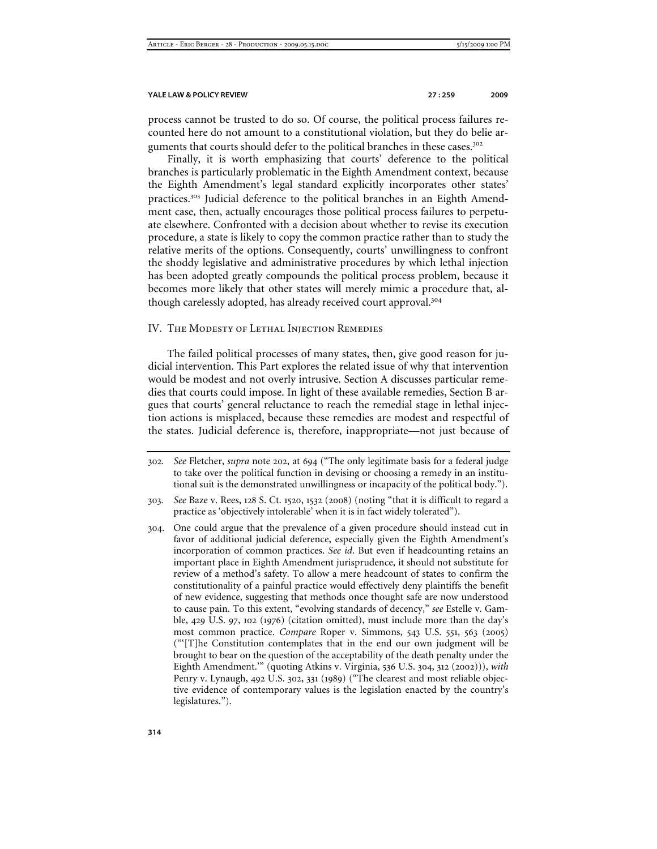process cannot be trusted to do so. Of course, the political process failures recounted here do not amount to a constitutional violation, but they do belie arguments that courts should defer to the political branches in these cases.<sup>302</sup>

Finally, it is worth emphasizing that courts' deference to the political branches is particularly problematic in the Eighth Amendment context, because the Eighth Amendment's legal standard explicitly incorporates other states' practices.<sup>303</sup> Judicial deference to the political branches in an Eighth Amendment case, then, actually encourages those political process failures to perpetuate elsewhere. Confronted with a decision about whether to revise its execution procedure, a state is likely to copy the common practice rather than to study the relative merits of the options. Consequently, courts' unwillingness to confront the shoddy legislative and administrative procedures by which lethal injection has been adopted greatly compounds the political process problem, because it becomes more likely that other states will merely mimic a procedure that, although carelessly adopted, has already received court approval.<sup>304</sup>

IV. The Modesty of Lethal Injection Remedies

The failed political processes of many states, then, give good reason for judicial intervention. This Part explores the related issue of why that intervention would be modest and not overly intrusive. Section A discusses particular remedies that courts could impose. In light of these available remedies, Section B argues that courts' general reluctance to reach the remedial stage in lethal injection actions is misplaced, because these remedies are modest and respectful of the states. Judicial deference is, therefore, inappropriate—not just because of

- 302*. See* Fletcher, *supra* note 202, at 694 ("The only legitimate basis for a federal judge to take over the political function in devising or choosing a remedy in an institutional suit is the demonstrated unwillingness or incapacity of the political body.").
- 303*. See* Baze v. Rees, 128 S. Ct. 1520, 1532 (2008) (noting "that it is difficult to regard a practice as 'objectively intolerable' when it is in fact widely tolerated").
- 304. One could argue that the prevalence of a given procedure should instead cut in favor of additional judicial deference, especially given the Eighth Amendment's incorporation of common practices. *See id*. But even if headcounting retains an important place in Eighth Amendment jurisprudence, it should not substitute for review of a method's safety. To allow a mere headcount of states to confirm the constitutionality of a painful practice would effectively deny plaintiffs the benefit of new evidence, suggesting that methods once thought safe are now understood to cause pain. To this extent, "evolving standards of decency," *see* Estelle v. Gamble, 429 U.S. 97, 102 (1976) (citation omitted), must include more than the day's most common practice. *Compare* Roper v. Simmons, 543 U.S. 551, 563 (2005) ("'[T]he Constitution contemplates that in the end our own judgment will be brought to bear on the question of the acceptability of the death penalty under the Eighth Amendment.'" (quoting Atkins v. Virginia, 536 U.S. 304, 312 (2002))), *with*  Penry v. Lynaugh, 492 U.S. 302, 331 (1989) ("The clearest and most reliable objective evidence of contemporary values is the legislation enacted by the country's legislatures.").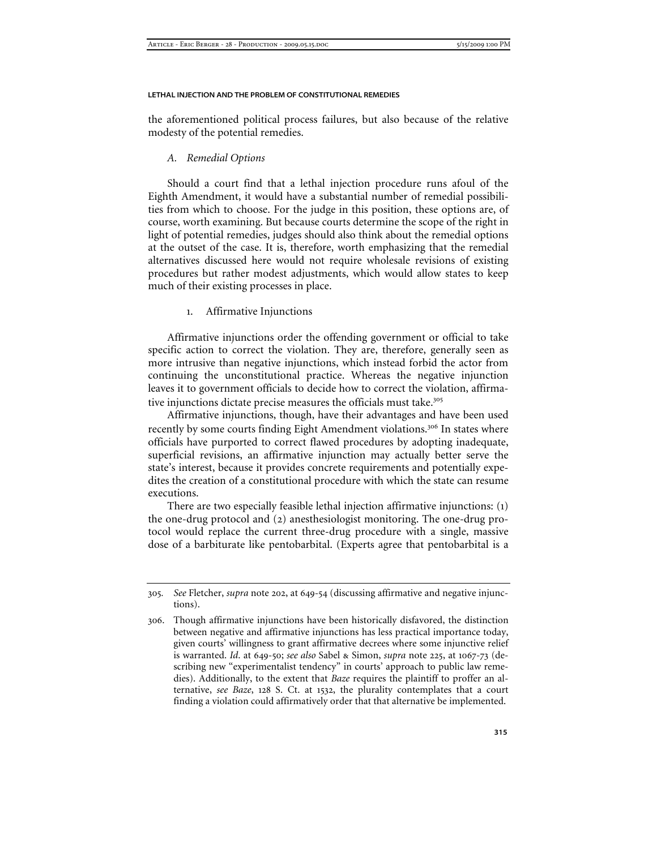the aforementioned political process failures, but also because of the relative modesty of the potential remedies.

## *A. Remedial Options*

Should a court find that a lethal injection procedure runs afoul of the Eighth Amendment, it would have a substantial number of remedial possibilities from which to choose. For the judge in this position, these options are, of course, worth examining. But because courts determine the scope of the right in light of potential remedies, judges should also think about the remedial options at the outset of the case. It is, therefore, worth emphasizing that the remedial alternatives discussed here would not require wholesale revisions of existing procedures but rather modest adjustments, which would allow states to keep much of their existing processes in place.

# 1. Affirmative Injunctions

Affirmative injunctions order the offending government or official to take specific action to correct the violation. They are, therefore, generally seen as more intrusive than negative injunctions, which instead forbid the actor from continuing the unconstitutional practice. Whereas the negative injunction leaves it to government officials to decide how to correct the violation, affirmative injunctions dictate precise measures the officials must take.<sup>305</sup>

Affirmative injunctions, though, have their advantages and have been used recently by some courts finding Eight Amendment violations.<sup>306</sup> In states where officials have purported to correct flawed procedures by adopting inadequate, superficial revisions, an affirmative injunction may actually better serve the state's interest, because it provides concrete requirements and potentially expedites the creation of a constitutional procedure with which the state can resume executions.

There are two especially feasible lethal injection affirmative injunctions: (1) the one-drug protocol and (2) anesthesiologist monitoring. The one-drug protocol would replace the current three-drug procedure with a single, massive dose of a barbiturate like pentobarbital. (Experts agree that pentobarbital is a

<sup>305</sup>*. See* Fletcher, *supra* note 202, at 649-54 (discussing affirmative and negative injunctions).

<sup>306</sup>. Though affirmative injunctions have been historically disfavored, the distinction between negative and affirmative injunctions has less practical importance today, given courts' willingness to grant affirmative decrees where some injunctive relief is warranted. *Id*. at 649-50; *see also* Sabel & Simon, *supra* note 225, at 1067-73 (describing new "experimentalist tendency" in courts' approach to public law remedies). Additionally, to the extent that *Baze* requires the plaintiff to proffer an alternative, *see Baze*, 128 S. Ct. at 1532, the plurality contemplates that a court finding a violation could affirmatively order that that alternative be implemented.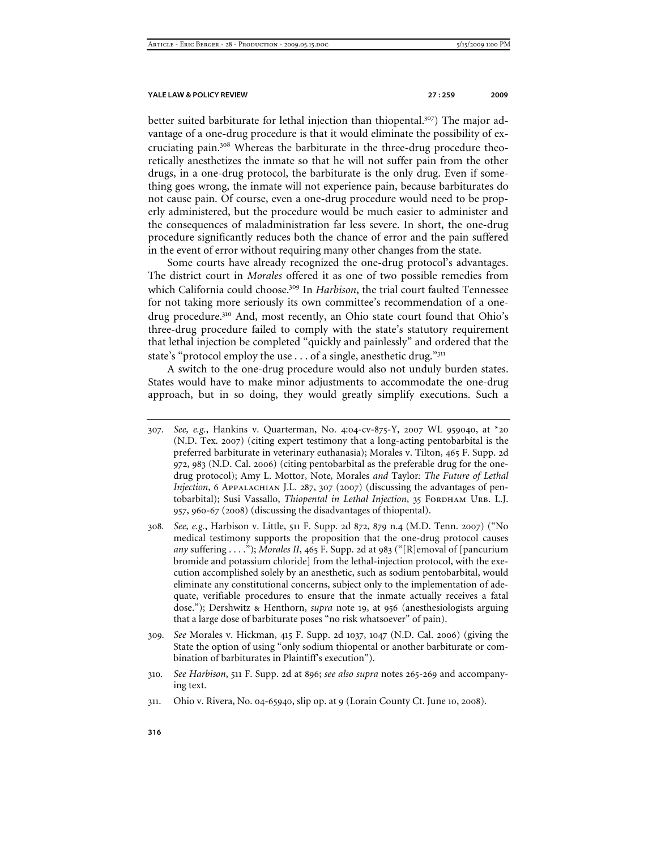better suited barbiturate for lethal injection than thiopental.<sup>307</sup>) The major advantage of a one-drug procedure is that it would eliminate the possibility of excruciating pain.<sup>308</sup> Whereas the barbiturate in the three-drug procedure theoretically anesthetizes the inmate so that he will not suffer pain from the other drugs, in a one-drug protocol, the barbiturate is the only drug. Even if something goes wrong, the inmate will not experience pain, because barbiturates do not cause pain. Of course, even a one-drug procedure would need to be properly administered, but the procedure would be much easier to administer and the consequences of maladministration far less severe. In short, the one-drug procedure significantly reduces both the chance of error and the pain suffered in the event of error without requiring many other changes from the state.

Some courts have already recognized the one-drug protocol's advantages. The district court in *Morales* offered it as one of two possible remedies from which California could choose.<sup>309</sup> In *Harbison*, the trial court faulted Tennessee for not taking more seriously its own committee's recommendation of a onedrug procedure.<sup>310</sup> And, most recently, an Ohio state court found that Ohio's three-drug procedure failed to comply with the state's statutory requirement that lethal injection be completed "quickly and painlessly" and ordered that the state's "protocol employ the use . . . of a single, anesthetic drug."<sup>311</sup>

A switch to the one-drug procedure would also not unduly burden states. States would have to make minor adjustments to accommodate the one-drug approach, but in so doing, they would greatly simplify executions. Such a

- 307*. See, e.g.*, Hankins v. Quarterman, No. 4:04-cv-875-Y, 2007 WL 959040, at \*20 (N.D. Tex. 2007) (citing expert testimony that a long-acting pentobarbital is the preferred barbiturate in veterinary euthanasia); Morales v. Tilton, 465 F. Supp. 2d 972, 983 (N.D. Cal. 2006) (citing pentobarbital as the preferable drug for the onedrug protocol); Amy L. Mottor, Note*,* Morales *and* Taylor*: The Future of Lethal Injection*, 6 APPALACHIAN J.L. 287, 307 (2007) (discussing the advantages of pentobarbital); Susi Vassallo, *Thiopental in Lethal Injection*, 35 FORDHAM URB. L.J. 957, 960-67 (2008) (discussing the disadvantages of thiopental).
- 308*. See, e.g.*, Harbison v. Little, 511 F. Supp. 2d 872, 879 n.4 (M.D. Tenn. 2007) ("No medical testimony supports the proposition that the one-drug protocol causes *any* suffering . . . ."); *Morales II*, 465 F. Supp. 2d at 983 ("[R]emoval of [pancurium bromide and potassium chloride] from the lethal-injection protocol, with the execution accomplished solely by an anesthetic, such as sodium pentobarbital, would eliminate any constitutional concerns, subject only to the implementation of adequate, verifiable procedures to ensure that the inmate actually receives a fatal dose."); Dershwitz & Henthorn, *supra* note 19, at 956 (anesthesiologists arguing that a large dose of barbiturate poses "no risk whatsoever" of pain).
- 309*. See* Morales v. Hickman, 415 F. Supp. 2d 1037, 1047 (N.D. Cal. 2006) (giving the State the option of using "only sodium thiopental or another barbiturate or combination of barbiturates in Plaintiff's execution").
- 310*. See Harbison*, 511 F. Supp. 2d at 896; *see also supra* notes 265-269 and accompanying text.
- 311. Ohio v. Rivera, No. 04-65940, slip op. at 9 (Lorain County Ct. June 10, 2008).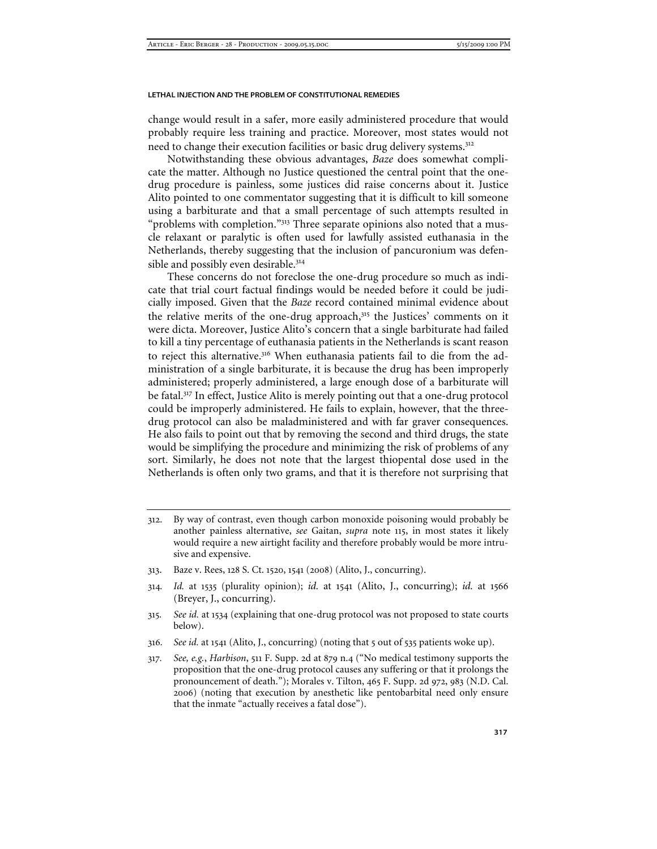change would result in a safer, more easily administered procedure that would probably require less training and practice. Moreover, most states would not need to change their execution facilities or basic drug delivery systems.<sup>312</sup>

Notwithstanding these obvious advantages, *Baze* does somewhat complicate the matter. Although no Justice questioned the central point that the onedrug procedure is painless, some justices did raise concerns about it. Justice Alito pointed to one commentator suggesting that it is difficult to kill someone using a barbiturate and that a small percentage of such attempts resulted in "problems with completion."<sup>313</sup> Three separate opinions also noted that a muscle relaxant or paralytic is often used for lawfully assisted euthanasia in the Netherlands, thereby suggesting that the inclusion of pancuronium was defensible and possibly even desirable.<sup>314</sup>

These concerns do not foreclose the one-drug procedure so much as indicate that trial court factual findings would be needed before it could be judicially imposed. Given that the *Baze* record contained minimal evidence about the relative merits of the one-drug approach,<sup>315</sup> the Justices' comments on it were dicta. Moreover, Justice Alito's concern that a single barbiturate had failed to kill a tiny percentage of euthanasia patients in the Netherlands is scant reason to reject this alternative.<sup>316</sup> When euthanasia patients fail to die from the administration of a single barbiturate, it is because the drug has been improperly administered; properly administered, a large enough dose of a barbiturate will be fatal.<sup>317</sup> In effect, Justice Alito is merely pointing out that a one-drug protocol could be improperly administered. He fails to explain, however, that the threedrug protocol can also be maladministered and with far graver consequences. He also fails to point out that by removing the second and third drugs, the state would be simplifying the procedure and minimizing the risk of problems of any sort. Similarly, he does not note that the largest thiopental dose used in the Netherlands is often only two grams, and that it is therefore not surprising that

- 313. Baze v. Rees, 128 S. Ct. 1520, 1541 (2008) (Alito, J., concurring).
- 314*. Id.* at 1535 (plurality opinion); *id.* at 1541 (Alito, J., concurring); *id.* at 1566 (Breyer, J., concurring).
- 315*. See id.* at 1534 (explaining that one-drug protocol was not proposed to state courts below).
- 316*. See id.* at 1541 (Alito, J., concurring) (noting that 5 out of 535 patients woke up).
- 317*. See, e.g.*, *Harbison*, 511 F. Supp. 2d at 879 n.4 ("No medical testimony supports the proposition that the one-drug protocol causes any suffering or that it prolongs the pronouncement of death."); Morales v. Tilton, 465 F. Supp. 2d 972, 983 (N.D. Cal. 2006) (noting that execution by anesthetic like pentobarbital need only ensure that the inmate "actually receives a fatal dose").

<sup>312</sup>. By way of contrast, even though carbon monoxide poisoning would probably be another painless alternative, *see* Gaitan, *supra* note 115, in most states it likely would require a new airtight facility and therefore probably would be more intrusive and expensive.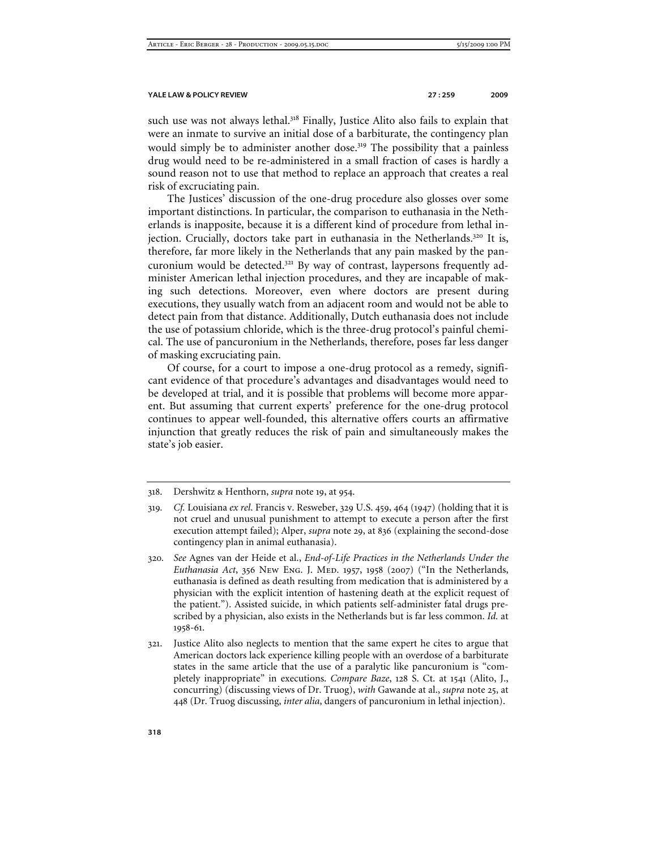#### **YALE LAW & POLICY REVIEW 27 : 259 2009**

such use was not always lethal.<sup>318</sup> Finally, Justice Alito also fails to explain that were an inmate to survive an initial dose of a barbiturate, the contingency plan would simply be to administer another dose.<sup>319</sup> The possibility that a painless drug would need to be re-administered in a small fraction of cases is hardly a sound reason not to use that method to replace an approach that creates a real risk of excruciating pain.

The Justices' discussion of the one-drug procedure also glosses over some important distinctions. In particular, the comparison to euthanasia in the Netherlands is inapposite, because it is a different kind of procedure from lethal injection. Crucially, doctors take part in euthanasia in the Netherlands.<sup>320</sup> It is, therefore, far more likely in the Netherlands that any pain masked by the pancuronium would be detected.<sup>321</sup> By way of contrast, laypersons frequently administer American lethal injection procedures, and they are incapable of making such detections. Moreover, even where doctors are present during executions, they usually watch from an adjacent room and would not be able to detect pain from that distance. Additionally, Dutch euthanasia does not include the use of potassium chloride, which is the three-drug protocol's painful chemical. The use of pancuronium in the Netherlands, therefore, poses far less danger of masking excruciating pain.

Of course, for a court to impose a one-drug protocol as a remedy, significant evidence of that procedure's advantages and disadvantages would need to be developed at trial, and it is possible that problems will become more apparent. But assuming that current experts' preference for the one-drug protocol continues to appear well-founded, this alternative offers courts an affirmative injunction that greatly reduces the risk of pain and simultaneously makes the state's job easier.

<sup>318</sup>. Dershwitz & Henthorn, *supra* note 19, at 954.

<sup>319</sup>*. Cf.* Louisiana *ex rel*. Francis v. Resweber, 329 U.S. 459, 464 (1947) (holding that it is not cruel and unusual punishment to attempt to execute a person after the first execution attempt failed); Alper, *supra* note 29, at 836 (explaining the second-dose contingency plan in animal euthanasia).

<sup>320</sup>*. See* Agnes van der Heide et al., *End-of-Life Practices in the Netherlands Under the Euthanasia Act*, 356 New Eng. J. Med. 1957, 1958 (2007) ("In the Netherlands, euthanasia is defined as death resulting from medication that is administered by a physician with the explicit intention of hastening death at the explicit request of the patient."). Assisted suicide, in which patients self-administer fatal drugs prescribed by a physician, also exists in the Netherlands but is far less common. *Id.* at 1958-61.

<sup>321</sup>. Justice Alito also neglects to mention that the same expert he cites to argue that American doctors lack experience killing people with an overdose of a barbiturate states in the same article that the use of a paralytic like pancuronium is "completely inappropriate" in executions. *Compare Baze*, 128 S. Ct. at 1541 (Alito, J., concurring) (discussing views of Dr. Truog), *with* Gawande at al., *supra* note 25, at 448 (Dr. Truog discussing, *inter alia*, dangers of pancuronium in lethal injection).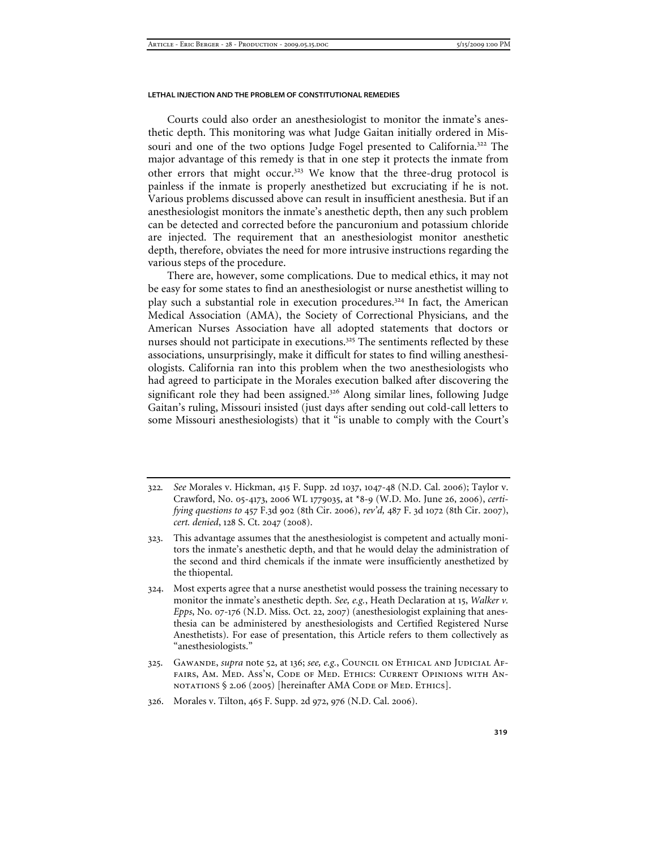#### **LETHAL INJECTION AND THE PROBLEM OF CONSTITUTIONAL REMEDIES**

Courts could also order an anesthesiologist to monitor the inmate's anesthetic depth. This monitoring was what Judge Gaitan initially ordered in Missouri and one of the two options Judge Fogel presented to California.<sup>322</sup> The major advantage of this remedy is that in one step it protects the inmate from other errors that might occur.<sup>323</sup> We know that the three-drug protocol is painless if the inmate is properly anesthetized but excruciating if he is not. Various problems discussed above can result in insufficient anesthesia. But if an anesthesiologist monitors the inmate's anesthetic depth, then any such problem can be detected and corrected before the pancuronium and potassium chloride are injected. The requirement that an anesthesiologist monitor anesthetic depth, therefore, obviates the need for more intrusive instructions regarding the various steps of the procedure.

There are, however, some complications. Due to medical ethics, it may not be easy for some states to find an anesthesiologist or nurse anesthetist willing to play such a substantial role in execution procedures.<sup>324</sup> In fact, the American Medical Association (AMA), the Society of Correctional Physicians, and the American Nurses Association have all adopted statements that doctors or nurses should not participate in executions.<sup>325</sup> The sentiments reflected by these associations, unsurprisingly, make it difficult for states to find willing anesthesiologists. California ran into this problem when the two anesthesiologists who had agreed to participate in the Morales execution balked after discovering the significant role they had been assigned.<sup>326</sup> Along similar lines, following Judge Gaitan's ruling, Missouri insisted (just days after sending out cold-call letters to some Missouri anesthesiologists) that it "is unable to comply with the Court's

<sup>322</sup>*. See* Morales v. Hickman, 415 F. Supp. 2d 1037, 1047-48 (N.D. Cal. 2006); Taylor v. Crawford, No. 05-4173, 2006 WL 1779035, at \*8-9 (W.D. Mo. June 26, 2006), *certifying questions to* 457 F.3d 902 (8th Cir. 2006), *rev'd,* 487 F. 3d 1072 (8th Cir. 2007), *cert. denied*, 128 S. Ct. 2047 (2008).

<sup>323</sup>. This advantage assumes that the anesthesiologist is competent and actually monitors the inmate's anesthetic depth, and that he would delay the administration of the second and third chemicals if the inmate were insufficiently anesthetized by the thiopental.

<sup>324</sup>. Most experts agree that a nurse anesthetist would possess the training necessary to monitor the inmate's anesthetic depth. *See, e.g.*, Heath Declaration at 15, *Walker v. Epps*, No. 07-176 (N.D. Miss. Oct. 22, 2007) (anesthesiologist explaining that anesthesia can be administered by anesthesiologists and Certified Registered Nurse Anesthetists). For ease of presentation, this Article refers to them collectively as "anesthesiologists."

<sup>325.</sup> Gawande, *supra* note 52, at 136; *see, e.g.*, Council on Ethical and Judicial Affairs, Am. Med. Ass'n, Code of Med. Ethics: Current Opinions with An-NOTATIONS § 2.06 (2005) [hereinafter AMA CODE OF MED. ETHICS].

<sup>326</sup>. Morales v. Tilton, 465 F. Supp. 2d 972, 976 (N.D. Cal. 2006).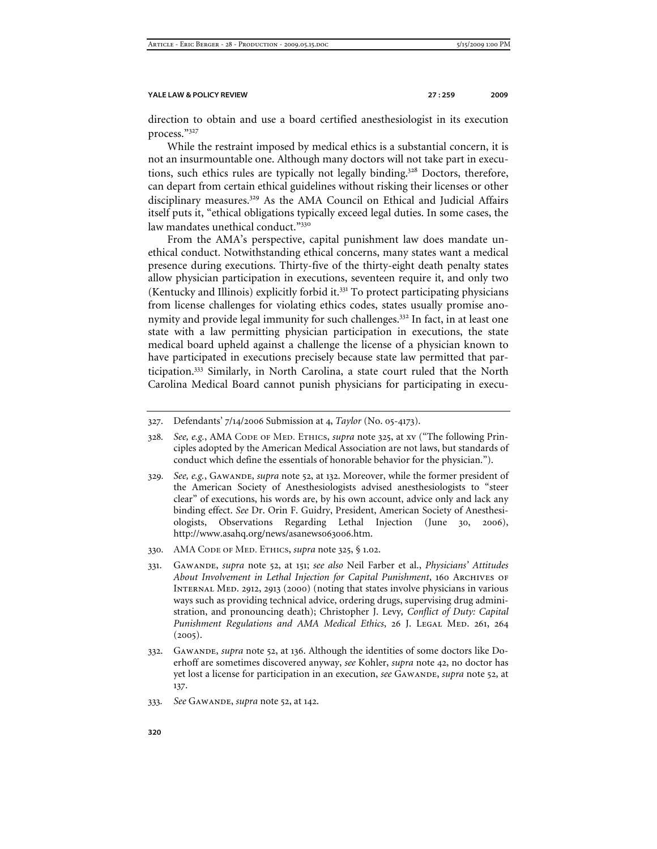direction to obtain and use a board certified anesthesiologist in its execution process."<sup>327</sup>

While the restraint imposed by medical ethics is a substantial concern, it is not an insurmountable one. Although many doctors will not take part in executions, such ethics rules are typically not legally binding.<sup>328</sup> Doctors, therefore, can depart from certain ethical guidelines without risking their licenses or other disciplinary measures.<sup>329</sup> As the AMA Council on Ethical and Judicial Affairs itself puts it, "ethical obligations typically exceed legal duties. In some cases, the law mandates unethical conduct."330

From the AMA's perspective, capital punishment law does mandate unethical conduct. Notwithstanding ethical concerns, many states want a medical presence during executions. Thirty-five of the thirty-eight death penalty states allow physician participation in executions, seventeen require it, and only two (Kentucky and Illinois) explicitly forbid it.<sup>331</sup> To protect participating physicians from license challenges for violating ethics codes, states usually promise anonymity and provide legal immunity for such challenges.<sup>332</sup> In fact, in at least one state with a law permitting physician participation in executions, the state medical board upheld against a challenge the license of a physician known to have participated in executions precisely because state law permitted that participation.<sup>333</sup> Similarly, in North Carolina, a state court ruled that the North Carolina Medical Board cannot punish physicians for participating in execu-

- 329*. See, e.g.*, Gawande, *supra* note 52, at 132. Moreover, while the former president of the American Society of Anesthesiologists advised anesthesiologists to "steer clear" of executions, his words are, by his own account, advice only and lack any binding effect. *See* Dr. Orin F. Guidry, President, American Society of Anesthesiologists, Observations Regarding Lethal Injection (June 30, 2006), http://www.asahq.org/news/asanews063006.htm.
- 330*.* AMA Code of Med. Ethics, *supra* note 325, § 1.02.
- 331. Gawande, *supra* note 52, at 151; *see also* Neil Farber et al., *Physicians' Attitudes About Involvement in Lethal Injection for Capital Punishment*, 160 Archives of Internal Med. 2912, 2913 (2000) (noting that states involve physicians in various ways such as providing technical advice, ordering drugs, supervising drug administration, and pronouncing death); Christopher J. Levy*, Conflict of Duty: Capital*  Punishment Regulations and AMA Medical Ethics, 26 J. LEGAL MED. 261, 264  $(2005).$
- 332. Gawande, *supra* note 52, at 136. Although the identities of some doctors like Doerhoff are sometimes discovered anyway, *see* Kohler, *supra* note 42, no doctor has yet lost a license for participation in an execution, *see* GAWANDE, *supra* note 52, at 137.
- 333*. See* Gawande, *supra* note 52, at 142.

<sup>327</sup>. Defendants' 7/14/2006 Submission at 4, *Taylor* (No. 05-4173).

<sup>328</sup>*. See, e.g.*, AMA Code of Med. Ethics, *supra* note 325, at xv ("The following Principles adopted by the American Medical Association are not laws, but standards of conduct which define the essentials of honorable behavior for the physician.").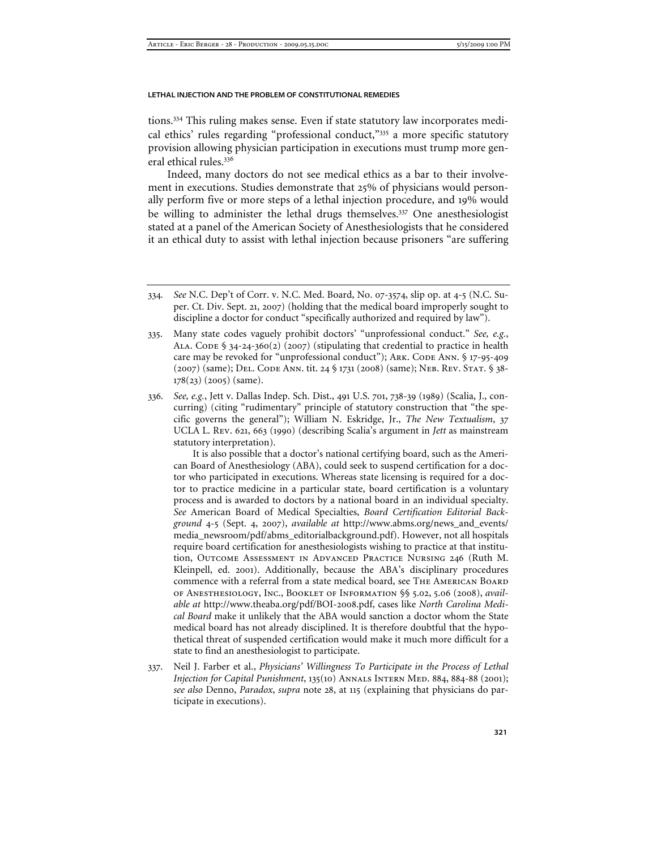#### **LETHAL INJECTION AND THE PROBLEM OF CONSTITUTIONAL REMEDIES**

tions.<sup>334</sup> This ruling makes sense. Even if state statutory law incorporates medical ethics' rules regarding "professional conduct,"<sup>335</sup> a more specific statutory provision allowing physician participation in executions must trump more general ethical rules.<sup>336</sup>

Indeed, many doctors do not see medical ethics as a bar to their involvement in executions. Studies demonstrate that 25% of physicians would personally perform five or more steps of a lethal injection procedure, and 19% would be willing to administer the lethal drugs themselves.<sup>337</sup> One anesthesiologist stated at a panel of the American Society of Anesthesiologists that he considered it an ethical duty to assist with lethal injection because prisoners "are suffering

- 334*. See* N.C. Dep't of Corr. v. N.C. Med. Board, No. 07-3574, slip op. at 4-5 (N.C. Super. Ct. Div. Sept. 21, 2007) (holding that the medical board improperly sought to discipline a doctor for conduct "specifically authorized and required by law").
- 335. Many state codes vaguely prohibit doctors' "unprofessional conduct." *See, e.g.*, ALA. CODE  $\S$  34-24-360(2) (2007) (stipulating that credential to practice in health care may be revoked for "unprofessional conduct"); ARK. CODE ANN. § 17-95-409 (2007) (same); DEL. CODE ANN. tit. 24 § 1731 (2008) (same); NEB. REV. STAT. § 38-178(23) (2005) (same).
- 336*. See, e.g.*, Jett v. Dallas Indep. Sch. Dist., 491 U.S. 701, 738-39 (1989) (Scalia, J., concurring) (citing "rudimentary" principle of statutory construction that "the specific governs the general"); William N. Eskridge, Jr., *The New Textualism*, 37 UCLA L. Rev. 621, 663 (1990) (describing Scalia's argument in *Jett* as mainstream statutory interpretation).

 It is also possible that a doctor's national certifying board, such as the American Board of Anesthesiology (ABA), could seek to suspend certification for a doctor who participated in executions. Whereas state licensing is required for a doctor to practice medicine in a particular state, board certification is a voluntary process and is awarded to doctors by a national board in an individual specialty. *See* American Board of Medical Specialties, *Board Certification Editorial Background* 4-5 (Sept. 4, 2007), *available at* http://www.abms.org/news\_and\_events/ media\_newsroom/pdf/abms\_editorialbackground.pdf). However, not all hospitals require board certification for anesthesiologists wishing to practice at that institution, Outcome Assessment in Advanced Practice Nursing 246 (Ruth M. Kleinpell, ed. 2001). Additionally, because the ABA's disciplinary procedures commence with a referral from a state medical board, see The American Board of Anesthesiology, Inc., Booklet of Information §§ 5.02, 5.06 (2008), *available at* http://www.theaba.org/pdf/BOI-2008.pdf, cases like *North Carolina Medical Board* make it unlikely that the ABA would sanction a doctor whom the State medical board has not already disciplined. It is therefore doubtful that the hypothetical threat of suspended certification would make it much more difficult for a state to find an anesthesiologist to participate.

337. Neil J. Farber et al., *Physicians' Willingness To Participate in the Process of Lethal Injection for Capital Punishment*, 135(10) ANNALS INTERN MED. 884, 884-88 (2001); *see also* Denno, *Paradox*, *supra* note 28, at 115 (explaining that physicians do participate in executions).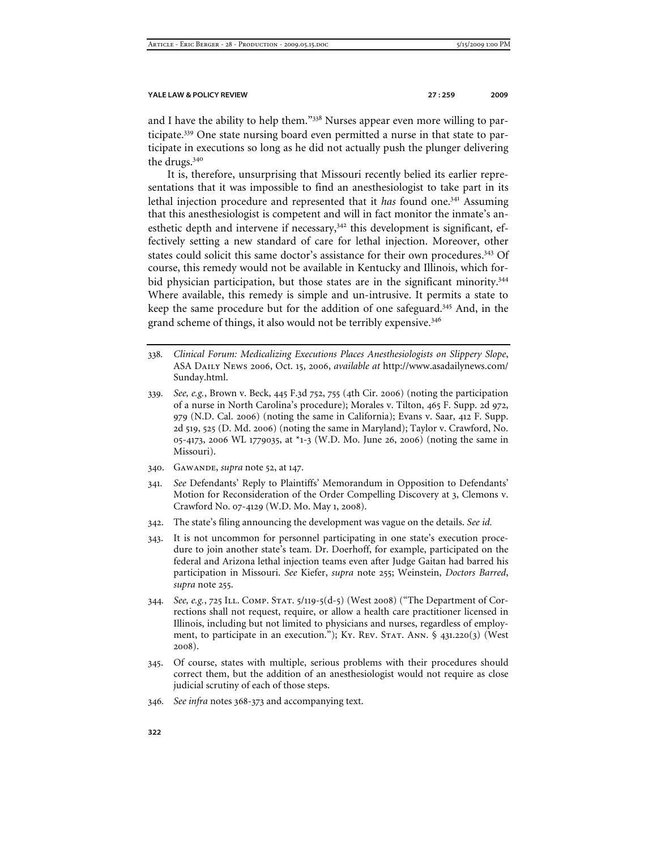#### **YALE LAW & POLICY REVIEW 27 : 259 2009**

and I have the ability to help them."<sup>338</sup> Nurses appear even more willing to participate.<sup>339</sup> One state nursing board even permitted a nurse in that state to participate in executions so long as he did not actually push the plunger delivering the drugs.<sup>340</sup>

It is, therefore, unsurprising that Missouri recently belied its earlier representations that it was impossible to find an anesthesiologist to take part in its lethal injection procedure and represented that it *has* found one.<sup>341</sup> Assuming that this anesthesiologist is competent and will in fact monitor the inmate's anesthetic depth and intervene if necessary,<sup>342</sup> this development is significant, effectively setting a new standard of care for lethal injection. Moreover, other states could solicit this same doctor's assistance for their own procedures.<sup>343</sup> Of course, this remedy would not be available in Kentucky and Illinois, which forbid physician participation, but those states are in the significant minority.<sup>344</sup> Where available, this remedy is simple and un-intrusive. It permits a state to keep the same procedure but for the addition of one safeguard.<sup>345</sup> And, in the grand scheme of things, it also would not be terribly expensive.<sup>346</sup>

- 338*. Clinical Forum: Medicalizing Executions Places Anesthesiologists on Slippery Slope*, ASA Daily News 2006, Oct. 15, 2006, *available at* http://www.asadailynews.com/ Sunday.html.
- 339*. See, e.g.*, Brown v. Beck, 445 F.3d 752, 755 (4th Cir. 2006) (noting the participation of a nurse in North Carolina's procedure); Morales v. Tilton, 465 F. Supp. 2d 972, 979 (N.D. Cal. 2006) (noting the same in California); Evans v. Saar, 412 F. Supp. 2d 519, 525 (D. Md. 2006) (noting the same in Maryland); Taylor v. Crawford, No. 05-4173, 2006 WL 1779035, at \*1-3 (W.D. Mo. June 26, 2006) (noting the same in Missouri).
- 340. Gawande, *supra* note 52, at 147.
- 341*. See* Defendants' Reply to Plaintiffs' Memorandum in Opposition to Defendants' Motion for Reconsideration of the Order Compelling Discovery at 3, Clemons v. Crawford No. 07-4129 (W.D. Mo. May 1, 2008).
- 342. The state's filing announcing the development was vague on the details. *See id.*
- 343. It is not uncommon for personnel participating in one state's execution procedure to join another state's team. Dr. Doerhoff, for example, participated on the federal and Arizona lethal injection teams even after Judge Gaitan had barred his participation in Missouri. *See* Kiefer, *supra* note 255; Weinstein, *Doctors Barred*, *supra* note 255.
- 344*. See, e.g.*, 725 Ill. Comp. Stat. 5/119-5(d-5) (West 2008) ("The Department of Corrections shall not request, require, or allow a health care practitioner licensed in Illinois, including but not limited to physicians and nurses, regardless of employment, to participate in an execution."); Ky. Rev. STAT. ANN.  $\S$  431.220(3) (West 2008).
- 345. Of course, states with multiple, serious problems with their procedures should correct them, but the addition of an anesthesiologist would not require as close judicial scrutiny of each of those steps.
- 346*. See infra* notes 368-373 and accompanying text.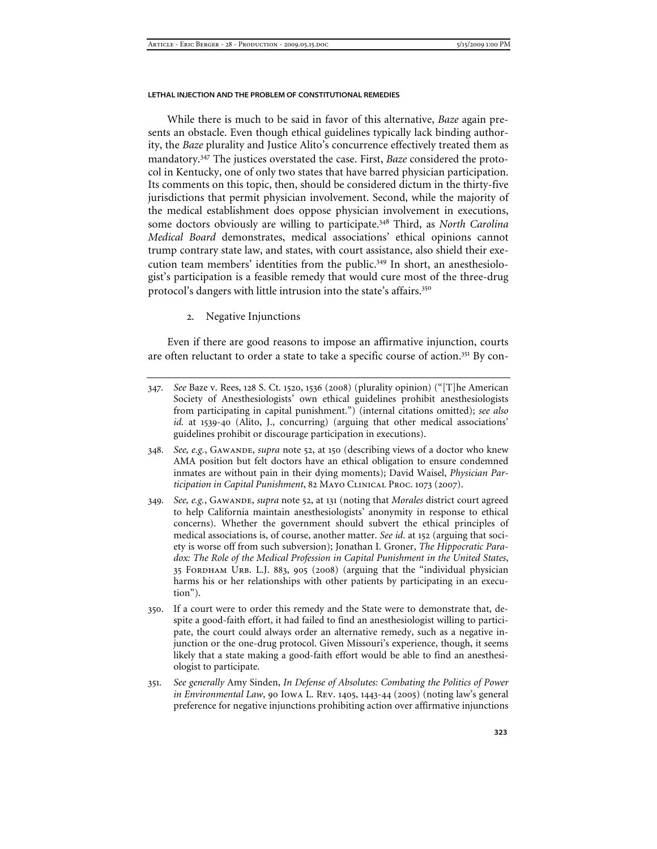## **LETHAL INJECTION AND THE PROBLEM OF CONSTITUTIONAL REMEDIES**

While there is much to be said in favor of this alternative, *Baze* again presents an obstacle. Even though ethical guidelines typically lack binding authority, the *Baze* plurality and Justice Alito's concurrence effectively treated them as mandatory.<sup>347</sup> The justices overstated the case. First, *Baze* considered the protocol in Kentucky, one of only two states that have barred physician participation. Its comments on this topic, then, should be considered dictum in the thirty-five jurisdictions that permit physician involvement. Second, while the majority of the medical establishment does oppose physician involvement in executions, some doctors obviously are willing to participate.<sup>348</sup> Third, as *North Carolina Medical Board* demonstrates, medical associations' ethical opinions cannot trump contrary state law, and states, with court assistance, also shield their execution team members' identities from the public.<sup>349</sup> In short, an anesthesiologist's participation is a feasible remedy that would cure most of the three-drug protocol's dangers with little intrusion into the state's affairs.<sup>350</sup>

2. Negative Injunctions

Even if there are good reasons to impose an affirmative injunction, courts are often reluctant to order a state to take a specific course of action.<sup>351</sup> By con-

- 347*. See* Baze v. Rees, 128 S. Ct. 1520, 1536 (2008) (plurality opinion) ("[T]he American Society of Anesthesiologists' own ethical guidelines prohibit anesthesiologists from participating in capital punishment.") (internal citations omitted); *see also id.* at 1539-40 (Alito, J., concurring) (arguing that other medical associations' guidelines prohibit or discourage participation in executions).
- 348*. See, e.g.*, Gawande, *supra* note 52, at 150 (describing views of a doctor who knew AMA position but felt doctors have an ethical obligation to ensure condemned inmates are without pain in their dying moments); David Waisel, *Physician Participation in Capital Punishment*, 82 Mayo Clinical Proc. 1073 (2007).
- 349*. See, e.g.*, Gawande, *supra* note 52, at 131 (noting that *Morales* district court agreed to help California maintain anesthesiologists' anonymity in response to ethical concerns). Whether the government should subvert the ethical principles of medical associations is, of course, another matter. *See id*. at 152 (arguing that society is worse off from such subversion); Jonathan I. Groner, *The Hippocratic Paradox: The Role of the Medical Profession in Capital Punishment in the United States*, 35 Fordham Urb. L.J. 883, 905 (2008) (arguing that the "individual physician harms his or her relationships with other patients by participating in an execution").
- 350. If a court were to order this remedy and the State were to demonstrate that, despite a good-faith effort, it had failed to find an anesthesiologist willing to participate, the court could always order an alternative remedy, such as a negative injunction or the one-drug protocol. Given Missouri's experience, though, it seems likely that a state making a good-faith effort would be able to find an anesthesiologist to participate.
- 351*. See generally* Amy Sinden, *In Defense of Absolutes: Combating the Politics of Power in Environmental Law*, 90 Iowa L. Rev. 1405, 1443-44 (2005) (noting law's general preference for negative injunctions prohibiting action over affirmative injunctions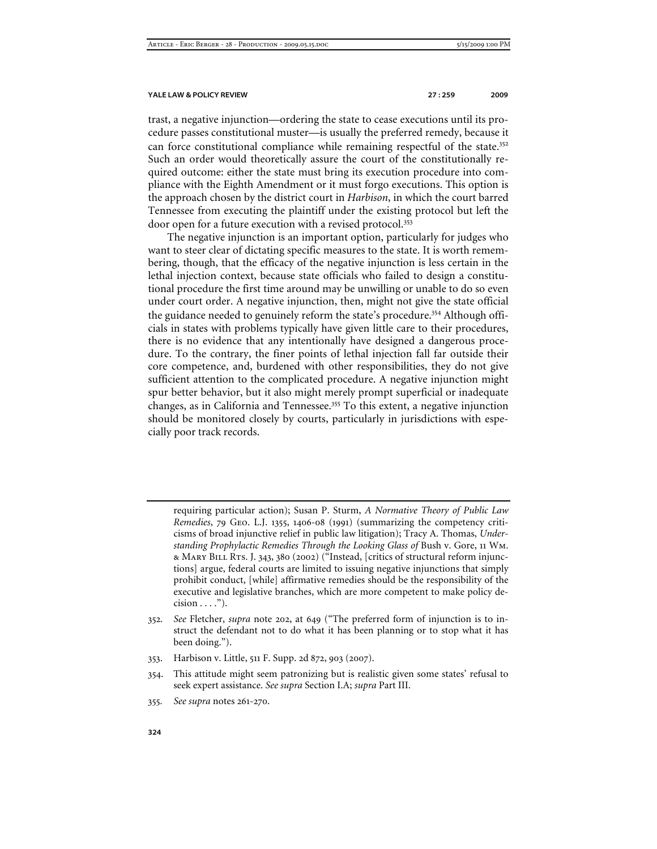trast, a negative injunction—ordering the state to cease executions until its procedure passes constitutional muster—is usually the preferred remedy, because it can force constitutional compliance while remaining respectful of the state. $352$ Such an order would theoretically assure the court of the constitutionally required outcome: either the state must bring its execution procedure into compliance with the Eighth Amendment or it must forgo executions. This option is the approach chosen by the district court in *Harbison*, in which the court barred Tennessee from executing the plaintiff under the existing protocol but left the door open for a future execution with a revised protocol.<sup>353</sup>

The negative injunction is an important option, particularly for judges who want to steer clear of dictating specific measures to the state. It is worth remembering, though, that the efficacy of the negative injunction is less certain in the lethal injection context, because state officials who failed to design a constitutional procedure the first time around may be unwilling or unable to do so even under court order. A negative injunction, then, might not give the state official the guidance needed to genuinely reform the state's procedure.<sup>354</sup> Although officials in states with problems typically have given little care to their procedures, there is no evidence that any intentionally have designed a dangerous procedure. To the contrary, the finer points of lethal injection fall far outside their core competence, and, burdened with other responsibilities, they do not give sufficient attention to the complicated procedure. A negative injunction might spur better behavior, but it also might merely prompt superficial or inadequate changes, as in California and Tennessee.<sup>355</sup> To this extent, a negative injunction should be monitored closely by courts, particularly in jurisdictions with especially poor track records.

- 353. Harbison v. Little, 511 F. Supp. 2d 872, 903 (2007).
- 354. This attitude might seem patronizing but is realistic given some states' refusal to seek expert assistance. *See supra* Section I.A; *supra* Part III.
- 355*. See supra* notes 261-270.

requiring particular action); Susan P. Sturm, *A Normative Theory of Public Law Remedies*, 79 Geo. L.J. 1355, 1406-08 (1991) (summarizing the competency criticisms of broad injunctive relief in public law litigation); Tracy A. Thomas, *Understanding Prophylactic Remedies Through the Looking Glass of* Bush v. Gore, 11 Wm. & Mary Bill Rts. J. 343, 380 (2002) ("Instead, [critics of structural reform injunctions] argue, federal courts are limited to issuing negative injunctions that simply prohibit conduct, [while] affirmative remedies should be the responsibility of the executive and legislative branches, which are more competent to make policy de $cision \dots$ ").

<sup>352</sup>*. See* Fletcher, *supra* note 202, at 649 ("The preferred form of injunction is to instruct the defendant not to do what it has been planning or to stop what it has been doing.").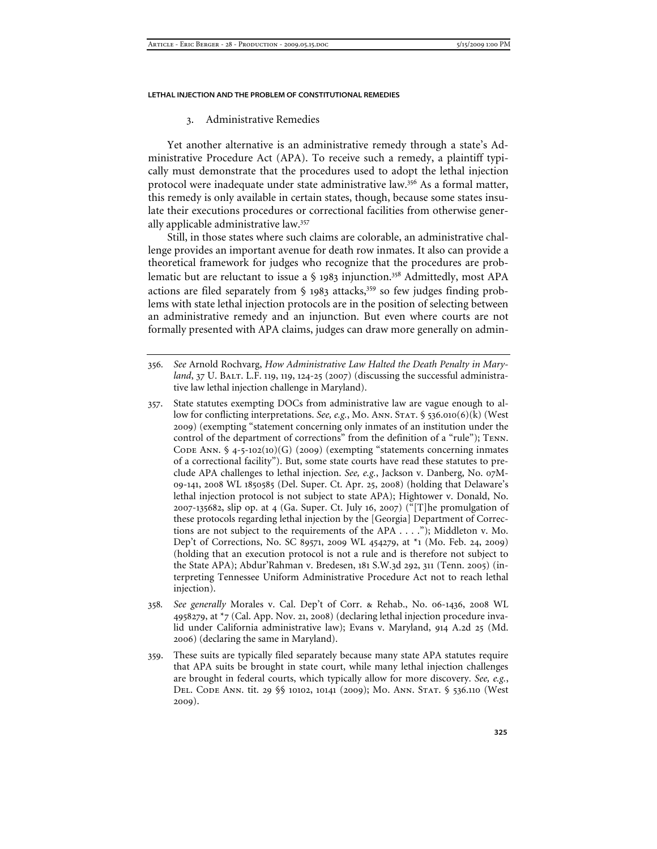# 3. Administrative Remedies

Yet another alternative is an administrative remedy through a state's Administrative Procedure Act (APA). To receive such a remedy, a plaintiff typically must demonstrate that the procedures used to adopt the lethal injection protocol were inadequate under state administrative law.<sup>356</sup> As a formal matter, this remedy is only available in certain states, though, because some states insulate their executions procedures or correctional facilities from otherwise generally applicable administrative law.<sup>357</sup>

Still, in those states where such claims are colorable, an administrative challenge provides an important avenue for death row inmates. It also can provide a theoretical framework for judges who recognize that the procedures are problematic but are reluctant to issue a § 1983 injunction.<sup>358</sup> Admittedly, most APA actions are filed separately from  $\S$  1983 attacks,<sup>359</sup> so few judges finding problems with state lethal injection protocols are in the position of selecting between an administrative remedy and an injunction. But even where courts are not formally presented with APA claims, judges can draw more generally on admin-

- 357. State statutes exempting DOCs from administrative law are vague enough to allow for conflicting interpretations. *See, e.g.*, Mo. Ann. STAT. § 536.010(6)(k) (West 2009) (exempting "statement concerning only inmates of an institution under the control of the department of corrections" from the definition of a "rule"); Tenn. CODE ANN.  $\S$  4-5-102(10)(G) (2009) (exempting "statements concerning inmates of a correctional facility"). But, some state courts have read these statutes to preclude APA challenges to lethal injection. *See, e.g.*, Jackson v. Danberg, No. 07M-09-141, 2008 WL 1850585 (Del. Super. Ct. Apr. 25, 2008) (holding that Delaware's lethal injection protocol is not subject to state APA); Hightower v. Donald, No. 2007-135682, slip op. at 4 (Ga. Super. Ct. July 16, 2007) ("[T]he promulgation of these protocols regarding lethal injection by the [Georgia] Department of Corrections are not subject to the requirements of the APA . . . ."); Middleton v. Mo. Dep't of Corrections, No. SC 89571, 2009 WL 454279, at \*1 (Mo. Feb. 24, 2009) (holding that an execution protocol is not a rule and is therefore not subject to the State APA); Abdur'Rahman v. Bredesen, 181 S.W.3d 292, 311 (Tenn. 2005) (interpreting Tennessee Uniform Administrative Procedure Act not to reach lethal injection).
- 358*. See generally* Morales v. Cal. Dep't of Corr. & Rehab., No. 06-1436, 2008 WL 4958279, at \*7 (Cal. App. Nov. 21, 2008) (declaring lethal injection procedure invalid under California administrative law); Evans v. Maryland, 914 A.2d 25 (Md. 2006) (declaring the same in Maryland).
- 359. These suits are typically filed separately because many state APA statutes require that APA suits be brought in state court, while many lethal injection challenges are brought in federal courts, which typically allow for more discovery. *See, e.g.*, Del. Code Ann. tit. 29 §§ 10102, 10141 (2009); Mo. Ann. Stat. § 536.110 (West 2009).

<sup>356</sup>*. See* Arnold Rochvarg, *How Administrative Law Halted the Death Penalty in Maryland*, 37 U. BALT. L.F. 119, 119, 124-25 (2007) (discussing the successful administrative law lethal injection challenge in Maryland).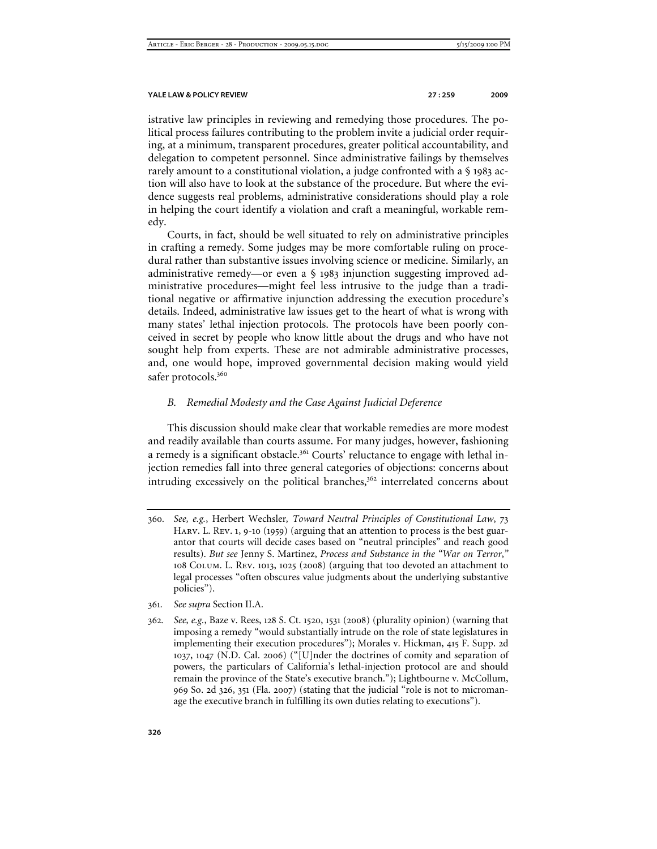istrative law principles in reviewing and remedying those procedures. The political process failures contributing to the problem invite a judicial order requiring, at a minimum, transparent procedures, greater political accountability, and delegation to competent personnel. Since administrative failings by themselves rarely amount to a constitutional violation, a judge confronted with a § 1983 action will also have to look at the substance of the procedure. But where the evidence suggests real problems, administrative considerations should play a role in helping the court identify a violation and craft a meaningful, workable remedy.

Courts, in fact, should be well situated to rely on administrative principles in crafting a remedy. Some judges may be more comfortable ruling on procedural rather than substantive issues involving science or medicine. Similarly, an administrative remedy—or even a § 1983 injunction suggesting improved administrative procedures—might feel less intrusive to the judge than a traditional negative or affirmative injunction addressing the execution procedure's details. Indeed, administrative law issues get to the heart of what is wrong with many states' lethal injection protocols. The protocols have been poorly conceived in secret by people who know little about the drugs and who have not sought help from experts. These are not admirable administrative processes, and, one would hope, improved governmental decision making would yield safer protocols.<sup>360</sup>

# *B. Remedial Modesty and the Case Against Judicial Deference*

This discussion should make clear that workable remedies are more modest and readily available than courts assume. For many judges, however, fashioning a remedy is a significant obstacle.<sup>361</sup> Courts' reluctance to engage with lethal injection remedies fall into three general categories of objections: concerns about intruding excessively on the political branches,<sup>362</sup> interrelated concerns about

- 361*. See supra* Section II.A.
- 362*. See, e.g.*, Baze v. Rees, 128 S. Ct. 1520, 1531 (2008) (plurality opinion) (warning that imposing a remedy "would substantially intrude on the role of state legislatures in implementing their execution procedures"); Morales v. Hickman, 415 F. Supp. 2d 1037, 1047 (N.D. Cal. 2006) ("[U]nder the doctrines of comity and separation of powers, the particulars of California's lethal-injection protocol are and should remain the province of the State's executive branch."); Lightbourne v. McCollum, 969 So. 2d 326, 351 (Fla. 2007) (stating that the judicial "role is not to micromanage the executive branch in fulfilling its own duties relating to executions").

<sup>360</sup>*. See, e.g.*, Herbert Wechsler*, Toward Neutral Principles of Constitutional Law*, 73 Harv. L. Rev. 1, 9-10 (1959) (arguing that an attention to process is the best guarantor that courts will decide cases based on "neutral principles" and reach good results). *But see* Jenny S. Martinez, *Process and Substance in the "War on Terror*,*"* 108 Colum. L. Rev. 1013, 1025 (2008) (arguing that too devoted an attachment to legal processes "often obscures value judgments about the underlying substantive policies").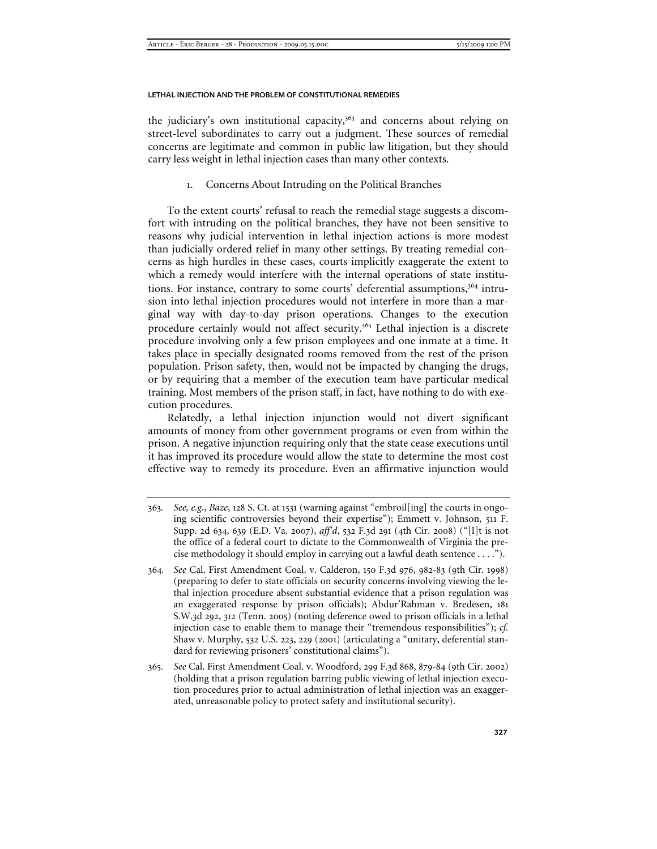the judiciary's own institutional capacity, $363$  and concerns about relying on street-level subordinates to carry out a judgment. These sources of remedial concerns are legitimate and common in public law litigation, but they should carry less weight in lethal injection cases than many other contexts.

1. Concerns About Intruding on the Political Branches

To the extent courts' refusal to reach the remedial stage suggests a discomfort with intruding on the political branches, they have not been sensitive to reasons why judicial intervention in lethal injection actions is more modest than judicially ordered relief in many other settings. By treating remedial concerns as high hurdles in these cases, courts implicitly exaggerate the extent to which a remedy would interfere with the internal operations of state institutions. For instance, contrary to some courts' deferential assumptions,<sup>364</sup> intrusion into lethal injection procedures would not interfere in more than a marginal way with day-to-day prison operations. Changes to the execution procedure certainly would not affect security.<sup>365</sup> Lethal injection is a discrete procedure involving only a few prison employees and one inmate at a time. It takes place in specially designated rooms removed from the rest of the prison population. Prison safety, then, would not be impacted by changing the drugs, or by requiring that a member of the execution team have particular medical training. Most members of the prison staff, in fact, have nothing to do with execution procedures.

Relatedly, a lethal injection injunction would not divert significant amounts of money from other government programs or even from within the prison. A negative injunction requiring only that the state cease executions until it has improved its procedure would allow the state to determine the most cost effective way to remedy its procedure. Even an affirmative injunction would

- 364*. See* Cal. First Amendment Coal. v. Calderon, 150 F.3d 976, 982-83 (9th Cir. 1998) (preparing to defer to state officials on security concerns involving viewing the lethal injection procedure absent substantial evidence that a prison regulation was an exaggerated response by prison officials); Abdur'Rahman v. Bredesen, 181 S.W.3d 292, 312 (Tenn. 2005) (noting deference owed to prison officials in a lethal injection case to enable them to manage their "tremendous responsibilities"); *cf.* Shaw v. Murphy, 532 U.S. 223, 229 (2001) (articulating a "unitary, deferential standard for reviewing prisoners' constitutional claims").
- 365*. See* Cal. First Amendment Coal. v. Woodford, 299 F.3d 868, 879-84 (9th Cir. 2002) (holding that a prison regulation barring public viewing of lethal injection execution procedures prior to actual administration of lethal injection was an exaggerated, unreasonable policy to protect safety and institutional security).

<sup>363</sup>*. See, e.g.*, *Baze*, 128 S. Ct. at 1531 (warning against "embroil[ing] the courts in ongoing scientific controversies beyond their expertise"); Emmett v. Johnson, 511 F. Supp. 2d 634, 639 (E.D. Va. 2007), *aff'd*, 532 F.3d 291 (4th Cir. 2008) ("[I]t is not the office of a federal court to dictate to the Commonwealth of Virginia the precise methodology it should employ in carrying out a lawful death sentence . . . .").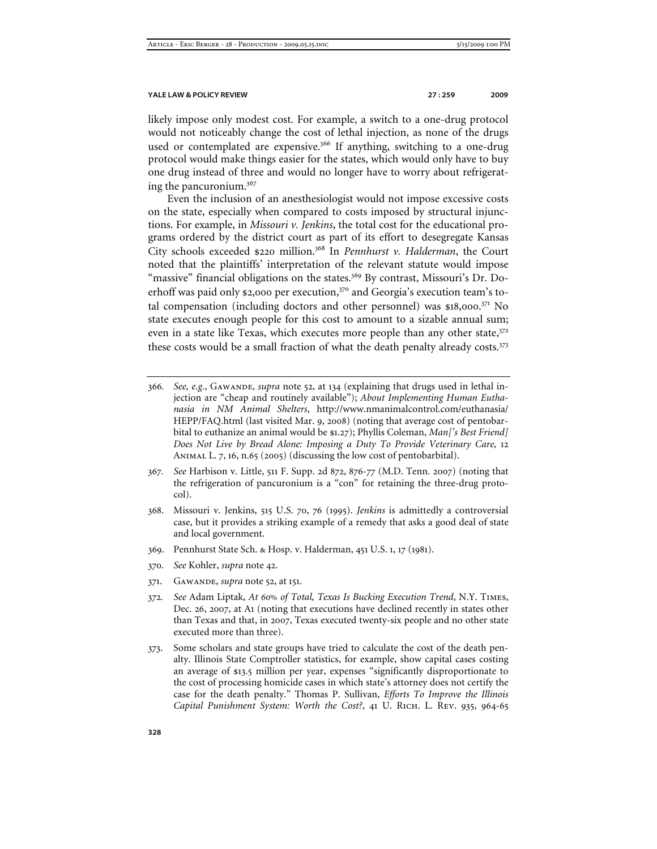likely impose only modest cost. For example, a switch to a one-drug protocol would not noticeably change the cost of lethal injection, as none of the drugs used or contemplated are expensive.<sup>366</sup> If anything, switching to a one-drug protocol would make things easier for the states, which would only have to buy one drug instead of three and would no longer have to worry about refrigerating the pancuronium.<sup>367</sup>

Even the inclusion of an anesthesiologist would not impose excessive costs on the state, especially when compared to costs imposed by structural injunctions. For example, in *Missouri v. Jenkins*, the total cost for the educational programs ordered by the district court as part of its effort to desegregate Kansas City schools exceeded \$220 million.<sup>368</sup> In *Pennhurst v. Halderman*, the Court noted that the plaintiffs' interpretation of the relevant statute would impose "massive" financial obligations on the states.<sup>369</sup> By contrast, Missouri's Dr. Doerhoff was paid only \$2,000 per execution,<sup>370</sup> and Georgia's execution team's total compensation (including doctors and other personnel) was \$18,000.<sup>371</sup> No state executes enough people for this cost to amount to a sizable annual sum; even in a state like Texas, which executes more people than any other state,  $372$ these costs would be a small fraction of what the death penalty already costs.<sup>373</sup>

- 366*. See, e.g.*, Gawande, *supra* note 52, at 134 (explaining that drugs used in lethal injection are "cheap and routinely available"); *About Implementing Human Euthanasia in NM Animal Shelters*, http://www.nmanimalcontrol.com/euthanasia/ HEPP/FAQ.html (last visited Mar. 9, 2008) (noting that average cost of pentobarbital to euthanize an animal would be \$1.27); Phyllis Coleman, *Man['s Best Friend] Does Not Live by Bread Alone: Imposing a Duty To Provide Veterinary Care,* 12 ANIMAL L. 7, 16, n.65 (2005) (discussing the low cost of pentobarbital).
- 367*. See* Harbison v. Little, 511 F. Supp. 2d 872, 876-77 (M.D. Tenn. 2007) (noting that the refrigeration of pancuronium is a "con" for retaining the three-drug protocol).
- 368. Missouri v. Jenkins, 515 U.S. 70, 76 (1995). *Jenkins* is admittedly a controversial case, but it provides a striking example of a remedy that asks a good deal of state and local government.
- 369. Pennhurst State Sch. & Hosp. v. Halderman, 451 U.S. 1, 17 (1981).
- 370*. See* Kohler, *supra* note 42.
- 371. Gawande, *supra* note 52, at 151.
- 372*. See* Adam Liptak, *At 60*% *of Total, Texas Is Bucking Execution Trend*, N.Y. Times, Dec. 26, 2007, at A1 (noting that executions have declined recently in states other than Texas and that, in 2007, Texas executed twenty-six people and no other state executed more than three).
- 373. Some scholars and state groups have tried to calculate the cost of the death penalty. Illinois State Comptroller statistics, for example, show capital cases costing an average of \$13.5 million per year, expenses "significantly disproportionate to the cost of processing homicide cases in which state's attorney does not certify the case for the death penalty." Thomas P. Sullivan, *Efforts To Improve the Illinois Capital Punishment System: Worth the Cost?*, 41 U. RICH. L. REV. 935, 964-65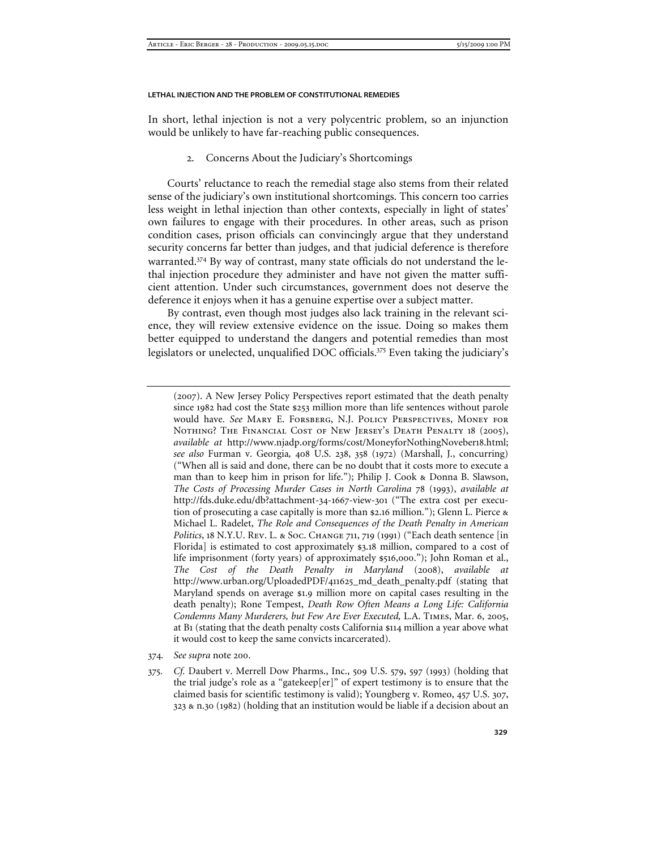In short, lethal injection is not a very polycentric problem, so an injunction would be unlikely to have far-reaching public consequences.

2. Concerns About the Judiciary's Shortcomings

Courts' reluctance to reach the remedial stage also stems from their related sense of the judiciary's own institutional shortcomings. This concern too carries less weight in lethal injection than other contexts, especially in light of states' own failures to engage with their procedures. In other areas, such as prison condition cases, prison officials can convincingly argue that they understand security concerns far better than judges, and that judicial deference is therefore warranted.<sup>374</sup> By way of contrast, many state officials do not understand the lethal injection procedure they administer and have not given the matter sufficient attention. Under such circumstances, government does not deserve the deference it enjoys when it has a genuine expertise over a subject matter.

By contrast, even though most judges also lack training in the relevant science, they will review extensive evidence on the issue. Doing so makes them better equipped to understand the dangers and potential remedies than most legislators or unelected, unqualified DOC officials.<sup>375</sup> Even taking the judiciary's

- 374*. See supra* note 200.
- 375*. Cf.* Daubert v. Merrell Dow Pharms., Inc., 509 U.S. 579, 597 (1993) (holding that the trial judge's role as a "gatekeep[er]" of expert testimony is to ensure that the claimed basis for scientific testimony is valid); Youngberg v. Romeo, 457 U.S. 307, 323 & n.30 (1982) (holding that an institution would be liable if a decision about an

<sup>(</sup>2007). A New Jersey Policy Perspectives report estimated that the death penalty since 1982 had cost the State \$253 million more than life sentences without parole would have. *See* Mary E. Forsberg, N.J. Policy Perspectives, Money for NOTHING? THE FINANCIAL COST OF NEW JERSEY'S DEATH PENALTY 18 (2005), *available at* http://www.njadp.org/forms/cost/MoneyforNothingNoveber18.html; *see also* Furman v. Georgia*,* 408 U.S. 238, 358 (1972) (Marshall, J., concurring) ("When all is said and done, there can be no doubt that it costs more to execute a man than to keep him in prison for life."); Philip J. Cook & Donna B. Slawson, *The Costs of Processing Murder Cases in North Carolina* 78 (1993), *available at*  http://fds.duke.edu/db?attachment-34-1667-view-301 ("The extra cost per execution of prosecuting a case capitally is more than \$2.16 million."); Glenn L. Pierce & Michael L. Radelet, *The Role and Consequences of the Death Penalty in American Politics*, 18 N.Y.U. Rev. L. & Soc. Change 711, 719 (1991) ("Each death sentence [in Florida] is estimated to cost approximately \$3.18 million, compared to a cost of life imprisonment (forty years) of approximately \$516,000."); John Roman et al., *The Cost of the Death Penalty in Maryland* (2008), *available at* http://www.urban.org/UploadedPDF/411625\_md\_death\_penalty.pdf (stating that Maryland spends on average \$1.9 million more on capital cases resulting in the death penalty); Rone Tempest, *Death Row Often Means a Long Life: California Condemns Many Murderers, but Few Are Ever Executed,* L.A. Times, Mar. 6, 2005, at B1 (stating that the death penalty costs California \$114 million a year above what it would cost to keep the same convicts incarcerated).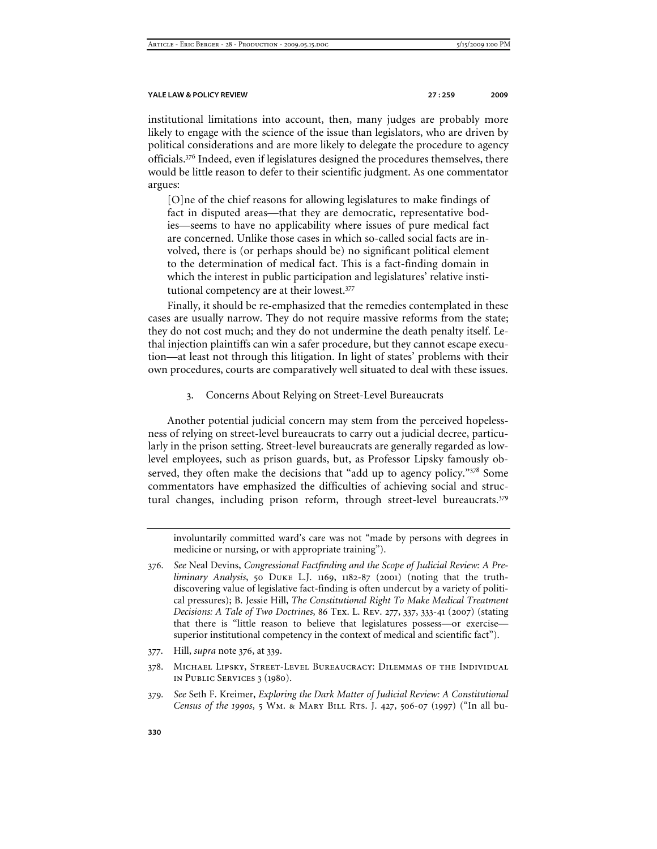institutional limitations into account, then, many judges are probably more likely to engage with the science of the issue than legislators, who are driven by political considerations and are more likely to delegate the procedure to agency officials.<sup>376</sup> Indeed, even if legislatures designed the procedures themselves, there would be little reason to defer to their scientific judgment. As one commentator argues:

[O]ne of the chief reasons for allowing legislatures to make findings of fact in disputed areas—that they are democratic, representative bodies—seems to have no applicability where issues of pure medical fact are concerned. Unlike those cases in which so-called social facts are involved, there is (or perhaps should be) no significant political element to the determination of medical fact. This is a fact-finding domain in which the interest in public participation and legislatures' relative institutional competency are at their lowest.<sup>377</sup>

Finally, it should be re-emphasized that the remedies contemplated in these cases are usually narrow. They do not require massive reforms from the state; they do not cost much; and they do not undermine the death penalty itself. Lethal injection plaintiffs can win a safer procedure, but they cannot escape execution—at least not through this litigation. In light of states' problems with their own procedures, courts are comparatively well situated to deal with these issues.

3. Concerns About Relying on Street-Level Bureaucrats

Another potential judicial concern may stem from the perceived hopelessness of relying on street-level bureaucrats to carry out a judicial decree, particularly in the prison setting. Street-level bureaucrats are generally regarded as lowlevel employees, such as prison guards, but, as Professor Lipsky famously observed, they often make the decisions that "add up to agency policy."378 Some commentators have emphasized the difficulties of achieving social and structural changes, including prison reform, through street-level bureaucrats.<sup>379</sup>

involuntarily committed ward's care was not "made by persons with degrees in medicine or nursing, or with appropriate training").

- 376*. See* Neal Devins, *Congressional Factfinding and the Scope of Judicial Review: A Preliminary Analysis*, 50 Duke L.J. 1169, 1182-87 (2001) (noting that the truthdiscovering value of legislative fact-finding is often undercut by a variety of political pressures); B. Jessie Hill, *The Constitutional Right To Make Medical Treatment Decisions: A Tale of Two Doctrines*, 86 Tex. L. Rev. 277, 337, 333-41 (2007) (stating that there is "little reason to believe that legislatures possess—or exercise superior institutional competency in the context of medical and scientific fact").
- 377. Hill, *supra* note 376, at 339.
- 378. Michael Lipsky, Street-Level Bureaucracy: Dilemmas of the Individual in Public Services 3 (1980).
- 379*. See* Seth F. Kreimer, *Exploring the Dark Matter of Judicial Review: A Constitutional Census of the 1990s*, 5 Wm. & Mary Bill Rts. J. 427, 506-07 (1997) ("In all bu-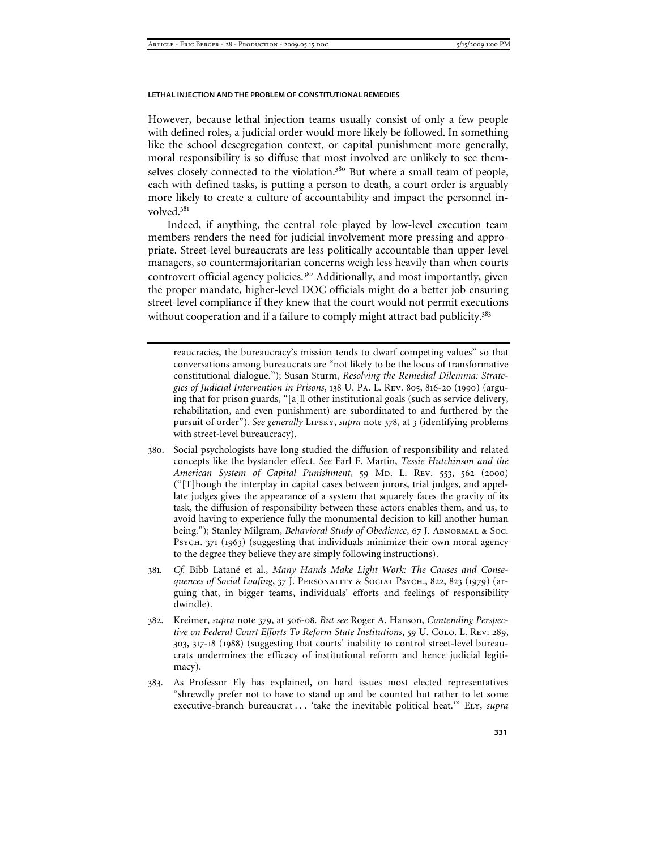## **LETHAL INJECTION AND THE PROBLEM OF CONSTITUTIONAL REMEDIES**

However, because lethal injection teams usually consist of only a few people with defined roles, a judicial order would more likely be followed. In something like the school desegregation context, or capital punishment more generally, moral responsibility is so diffuse that most involved are unlikely to see themselves closely connected to the violation.<sup>380</sup> But where a small team of people, each with defined tasks, is putting a person to death, a court order is arguably more likely to create a culture of accountability and impact the personnel involved.<sup>381</sup>

Indeed, if anything, the central role played by low-level execution team members renders the need for judicial involvement more pressing and appropriate. Street-level bureaucrats are less politically accountable than upper-level managers, so countermajoritarian concerns weigh less heavily than when courts controvert official agency policies.<sup>382</sup> Additionally, and most importantly, given the proper mandate, higher-level DOC officials might do a better job ensuring street-level compliance if they knew that the court would not permit executions without cooperation and if a failure to comply might attract bad publicity.<sup>383</sup>

reaucracies, the bureaucracy's mission tends to dwarf competing values" so that conversations among bureaucrats are "not likely to be the locus of transformative constitutional dialogue."); Susan Sturm, *Resolving the Remedial Dilemma: Strategies of Judicial Intervention in Prisons*, 138 U. Pa. L. Rev. 805, 816-20 (1990) (arguing that for prison guards, "[a]ll other institutional goals (such as service delivery, rehabilitation, and even punishment) are subordinated to and furthered by the pursuit of order")*. See generally* Lipsky, *supra* note 378, at 3 (identifying problems with street-level bureaucracy).

- 380. Social psychologists have long studied the diffusion of responsibility and related concepts like the bystander effect. *See* Earl F. Martin, *Tessie Hutchinson and the*  American System of Capital Punishment, 59 MD. L. Rev. 553, 562 (2000) ("[T]hough the interplay in capital cases between jurors, trial judges, and appellate judges gives the appearance of a system that squarely faces the gravity of its task, the diffusion of responsibility between these actors enables them, and us, to avoid having to experience fully the monumental decision to kill another human being."); Stanley Milgram, *Behavioral Study of Obedience*, 67 J. ABNORMAL & Soc. Psych. 371 (1963) (suggesting that individuals minimize their own moral agency to the degree they believe they are simply following instructions).
- 381*. Cf.* Bibb Latané et al., *Many Hands Make Light Work: The Causes and Consequences of Social Loafing*, 37 J. Personality & Social Psych., 822, 823 (1979) (arguing that, in bigger teams, individuals' efforts and feelings of responsibility dwindle).
- 382. Kreimer, *supra* note 379, at 506-08. *But see* Roger A. Hanson, *Contending Perspective on Federal Court Efforts To Reform State Institutions*, 59 U. Colo. L. Rev. 289, 303, 317-18 (1988) (suggesting that courts' inability to control street-level bureaucrats undermines the efficacy of institutional reform and hence judicial legitimacy).
- 383. As Professor Ely has explained, on hard issues most elected representatives "shrewdly prefer not to have to stand up and be counted but rather to let some executive-branch bureaucrat . . . 'take the inevitable political heat.'" Ely, *supra*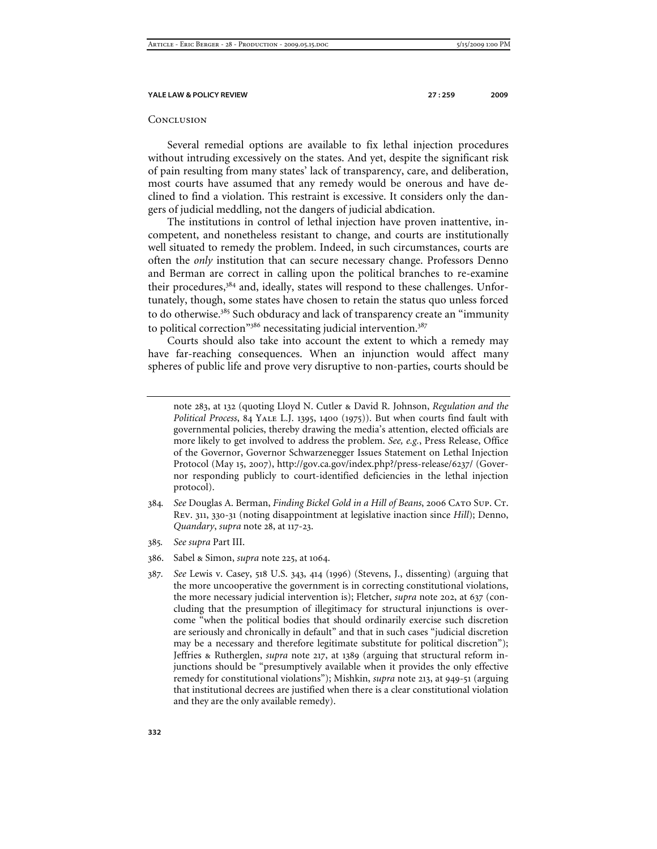## **CONCLUSION**

Several remedial options are available to fix lethal injection procedures without intruding excessively on the states. And yet, despite the significant risk of pain resulting from many states' lack of transparency, care, and deliberation, most courts have assumed that any remedy would be onerous and have declined to find a violation. This restraint is excessive. It considers only the dangers of judicial meddling, not the dangers of judicial abdication.

The institutions in control of lethal injection have proven inattentive, incompetent, and nonetheless resistant to change, and courts are institutionally well situated to remedy the problem. Indeed, in such circumstances, courts are often the *only* institution that can secure necessary change. Professors Denno and Berman are correct in calling upon the political branches to re-examine their procedures,<sup>384</sup> and, ideally, states will respond to these challenges. Unfortunately, though, some states have chosen to retain the status quo unless forced to do otherwise.<sup>385</sup> Such obduracy and lack of transparency create an "immunity to political correction"<sup>386</sup> necessitating judicial intervention.<sup>387</sup>

Courts should also take into account the extent to which a remedy may have far-reaching consequences. When an injunction would affect many spheres of public life and prove very disruptive to non-parties, courts should be

- 384*. See* Douglas A. Berman, *Finding Bickel Gold in a Hill of Beans*, 2006 Cato Sup. Ct. Rev. 311, 330-31 (noting disappointment at legislative inaction since *Hill*); Denno, *Quandary*, *supra* note 28, at 117-23.
- 385*. See supra* Part III.
- 386. Sabel & Simon, *supra* note 225, at 1064.
- 387*. See* Lewis v. Casey, 518 U.S. 343, 414 (1996) (Stevens, J., dissenting) (arguing that the more uncooperative the government is in correcting constitutional violations, the more necessary judicial intervention is); Fletcher, *supra* note 202, at 637 (concluding that the presumption of illegitimacy for structural injunctions is overcome "when the political bodies that should ordinarily exercise such discretion are seriously and chronically in default" and that in such cases "judicial discretion may be a necessary and therefore legitimate substitute for political discretion"); Jeffries & Rutherglen, *supra* note 217, at 1389 (arguing that structural reform injunctions should be "presumptively available when it provides the only effective remedy for constitutional violations"); Mishkin, *supra* note 213, at 949-51 (arguing that institutional decrees are justified when there is a clear constitutional violation and they are the only available remedy).

note 283, at 132 (quoting Lloyd N. Cutler & David R. Johnson, *Regulation and the Political Process*, 84 Yale L.J. 1395, 1400 (1975)). But when courts find fault with governmental policies, thereby drawing the media's attention, elected officials are more likely to get involved to address the problem. *See, e.g.*, Press Release, Office of the Governor, Governor Schwarzenegger Issues Statement on Lethal Injection Protocol (May 15, 2007), http://gov.ca.gov/index.php?/press-release/6237/ (Governor responding publicly to court-identified deficiencies in the lethal injection protocol).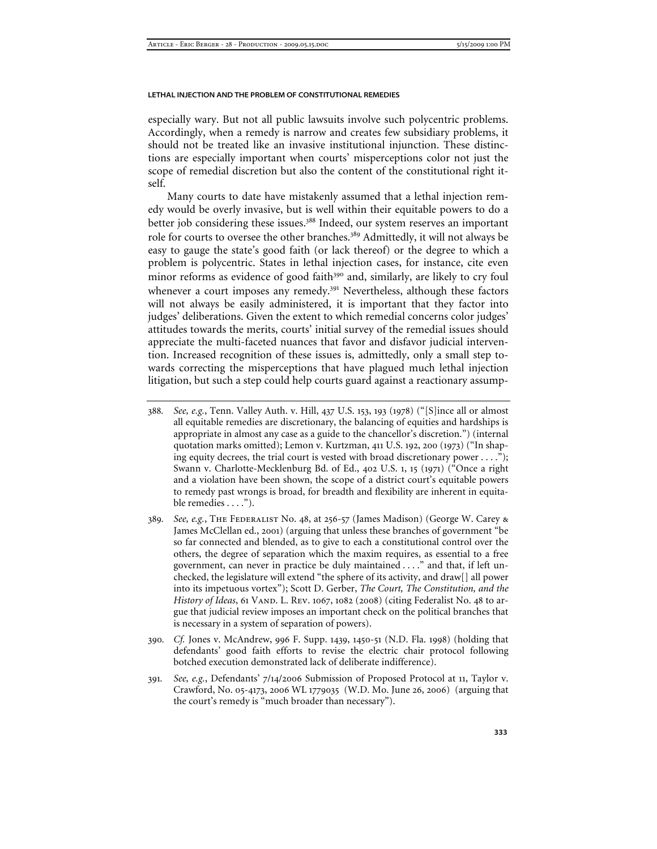## **LETHAL INJECTION AND THE PROBLEM OF CONSTITUTIONAL REMEDIES**

especially wary. But not all public lawsuits involve such polycentric problems. Accordingly, when a remedy is narrow and creates few subsidiary problems, it should not be treated like an invasive institutional injunction. These distinctions are especially important when courts' misperceptions color not just the scope of remedial discretion but also the content of the constitutional right itself.

Many courts to date have mistakenly assumed that a lethal injection remedy would be overly invasive, but is well within their equitable powers to do a better job considering these issues.<sup>388</sup> Indeed, our system reserves an important role for courts to oversee the other branches.<sup>389</sup> Admittedly, it will not always be easy to gauge the state's good faith (or lack thereof) or the degree to which a problem is polycentric. States in lethal injection cases, for instance, cite even minor reforms as evidence of good faith<sup>390</sup> and, similarly, are likely to cry foul whenever a court imposes any remedy.<sup>391</sup> Nevertheless, although these factors will not always be easily administered, it is important that they factor into judges' deliberations. Given the extent to which remedial concerns color judges' attitudes towards the merits, courts' initial survey of the remedial issues should appreciate the multi-faceted nuances that favor and disfavor judicial intervention. Increased recognition of these issues is, admittedly, only a small step towards correcting the misperceptions that have plagued much lethal injection litigation, but such a step could help courts guard against a reactionary assump-

- 388*. See, e.g.*, Tenn. Valley Auth. v. Hill, 437 U.S. 153, 193 (1978) ("[S]ince all or almost all equitable remedies are discretionary, the balancing of equities and hardships is appropriate in almost any case as a guide to the chancellor's discretion.") (internal quotation marks omitted); Lemon v. Kurtzman, 411 U.S. 192, 200 (1973) ("In shaping equity decrees, the trial court is vested with broad discretionary power . . . ."); Swann v. Charlotte-Mecklenburg Bd. of Ed., 402 U.S. 1, 15 (1971) ("Once a right and a violation have been shown, the scope of a district court's equitable powers to remedy past wrongs is broad, for breadth and flexibility are inherent in equitable remedies . . . .").
- 389*. See, e.g.*, The Federalist No. 48, at 256-57 (James Madison) (George W. Carey & James McClellan ed., 2001) (arguing that unless these branches of government "be so far connected and blended, as to give to each a constitutional control over the others, the degree of separation which the maxim requires, as essential to a free government, can never in practice be duly maintained . . . ." and that, if left unchecked, the legislature will extend "the sphere of its activity, and draw[] all power into its impetuous vortex"); Scott D. Gerber, *The Court, The Constitution, and the History of Ideas*, 61 VAND. L. REV. 1067, 1082 (2008) (citing Federalist No. 48 to argue that judicial review imposes an important check on the political branches that is necessary in a system of separation of powers).
- 390*. Cf.* Jones v. McAndrew, 996 F. Supp. 1439, 1450-51 (N.D. Fla. 1998) (holding that defendants' good faith efforts to revise the electric chair protocol following botched execution demonstrated lack of deliberate indifference).
- 391*. See, e.g.*, Defendants' 7/14/2006 Submission of Proposed Protocol at 11, Taylor v. Crawford, No. 05-4173, 2006 WL 1779035 (W.D. Mo. June 26, 2006) (arguing that the court's remedy is "much broader than necessary").